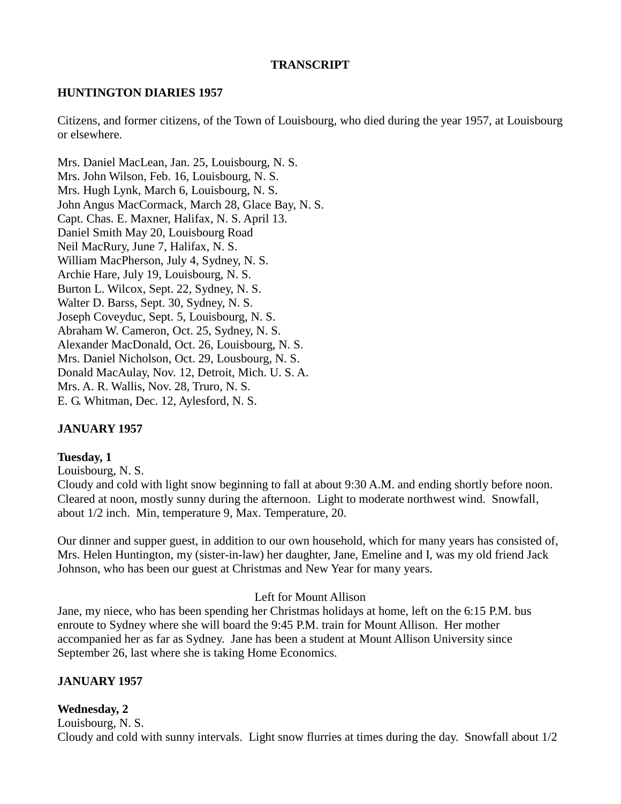#### **TRANSCRIPT**

#### **HUNTINGTON DIARIES 1957**

Citizens, and former citizens, of the Town of Louisbourg, who died during the year 1957, at Louisbourg or elsewhere.

Mrs. Daniel MacLean, Jan. 25, Louisbourg, N. S. Mrs. John Wilson, Feb. 16, Louisbourg, N. S. Mrs. Hugh Lynk, March 6, Louisbourg, N. S. John Angus MacCormack, March 28, Glace Bay, N. S. Capt. Chas. E. Maxner, Halifax, N. S. April 13. Daniel Smith May 20, Louisbourg Road Neil MacRury, June 7, Halifax, N. S. William MacPherson, July 4, Sydney, N. S. Archie Hare, July 19, Louisbourg, N. S. Burton L. Wilcox, Sept. 22, Sydney, N. S. Walter D. Barss, Sept. 30, Sydney, N. S. Joseph Coveyduc, Sept. 5, Louisbourg, N. S. Abraham W. Cameron, Oct. 25, Sydney, N. S. Alexander MacDonald, Oct. 26, Louisbourg, N. S. Mrs. Daniel Nicholson, Oct. 29, Lousbourg, N. S. Donald MacAulay, Nov. 12, Detroit, Mich. U. S. A. Mrs. A. R. Wallis, Nov. 28, Truro, N. S. E. G. Whitman, Dec. 12, Aylesford, N. S.

#### **JANUARY 1957**

#### **Tuesday, 1**

Louisbourg, N. S.

Cloudy and cold with light snow beginning to fall at about 9:30 A.M. and ending shortly before noon. Cleared at noon, mostly sunny during the afternoon. Light to moderate northwest wind. Snowfall, about 1/2 inch. Min, temperature 9, Max. Temperature, 20.

Our dinner and supper guest, in addition to our own household, which for many years has consisted of, Mrs. Helen Huntington, my (sister-in-law) her daughter, Jane, Emeline and I, was my old friend Jack Johnson, who has been our guest at Christmas and New Year for many years.

#### Left for Mount Allison

Jane, my niece, who has been spending her Christmas holidays at home, left on the 6:15 P.M. bus enroute to Sydney where she will board the 9:45 P.M. train for Mount Allison. Her mother accompanied her as far as Sydney. Jane has been a student at Mount Allison University since September 26, last where she is taking Home Economics.

#### **JANUARY 1957**

#### **Wednesday, 2**

Louisbourg, N. S. Cloudy and cold with sunny intervals. Light snow flurries at times during the day. Snowfall about 1/2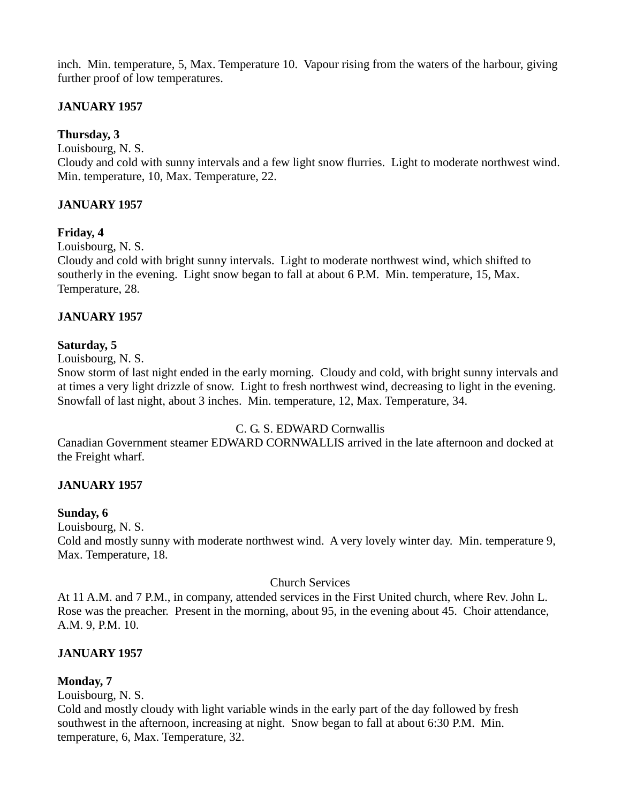inch. Min. temperature, 5, Max. Temperature 10. Vapour rising from the waters of the harbour, giving further proof of low temperatures.

# **JANUARY 1957**

# **Thursday, 3**

Louisbourg, N. S.

Cloudy and cold with sunny intervals and a few light snow flurries. Light to moderate northwest wind. Min. temperature, 10, Max. Temperature, 22.

## **JANUARY 1957**

## **Friday, 4**

Louisbourg, N. S.

Cloudy and cold with bright sunny intervals. Light to moderate northwest wind, which shifted to southerly in the evening. Light snow began to fall at about 6 P.M. Min. temperature, 15, Max. Temperature, 28.

## **JANUARY 1957**

## **Saturday, 5**

Louisbourg, N. S.

Snow storm of last night ended in the early morning. Cloudy and cold, with bright sunny intervals and at times a very light drizzle of snow. Light to fresh northwest wind, decreasing to light in the evening. Snowfall of last night, about 3 inches. Min. temperature, 12, Max. Temperature, 34.

## C. G. S. EDWARD Cornwallis

Canadian Government steamer EDWARD CORNWALLIS arrived in the late afternoon and docked at the Freight wharf.

## **JANUARY 1957**

#### **Sunday, 6**

Louisbourg, N. S.

Cold and mostly sunny with moderate northwest wind. A very lovely winter day. Min. temperature 9, Max. Temperature, 18.

#### Church Services

At 11 A.M. and 7 P.M., in company, attended services in the First United church, where Rev. John L. Rose was the preacher. Present in the morning, about 95, in the evening about 45. Choir attendance, A.M. 9, P.M. 10.

## **JANUARY 1957**

## **Monday, 7**

Louisbourg, N. S.

Cold and mostly cloudy with light variable winds in the early part of the day followed by fresh southwest in the afternoon, increasing at night. Snow began to fall at about 6:30 P.M. Min. temperature, 6, Max. Temperature, 32.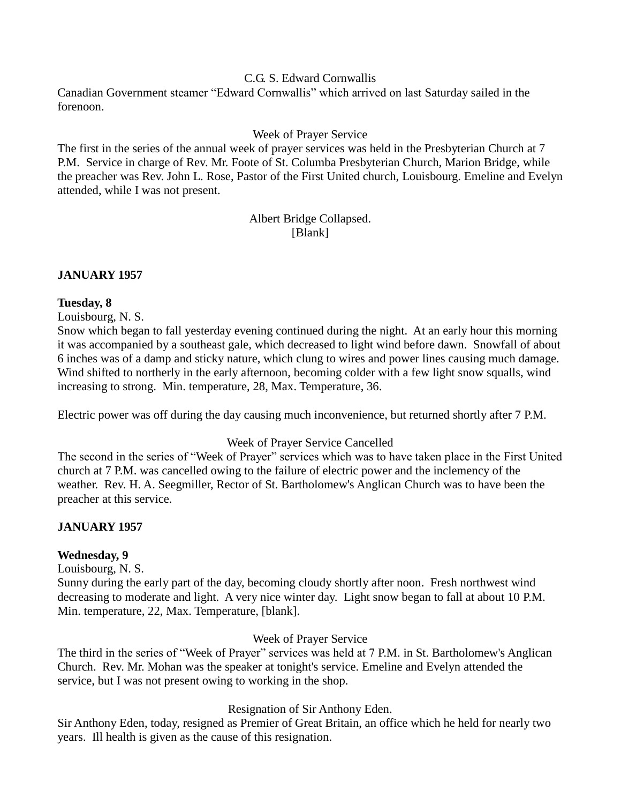## C.G. S. Edward Cornwallis

Canadian Government steamer "Edward Cornwallis" which arrived on last Saturday sailed in the forenoon.

## Week of Prayer Service

The first in the series of the annual week of prayer services was held in the Presbyterian Church at 7 P.M. Service in charge of Rev. Mr. Foote of St. Columba Presbyterian Church, Marion Bridge, while the preacher was Rev. John L. Rose, Pastor of the First United church, Louisbourg. Emeline and Evelyn attended, while I was not present.

# Albert Bridge Collapsed. [Blank]

#### **JANUARY 1957**

## **Tuesday, 8**

Louisbourg, N. S.

Snow which began to fall yesterday evening continued during the night. At an early hour this morning it was accompanied by a southeast gale, which decreased to light wind before dawn. Snowfall of about 6 inches was of a damp and sticky nature, which clung to wires and power lines causing much damage. Wind shifted to northerly in the early afternoon, becoming colder with a few light snow squalls, wind increasing to strong. Min. temperature, 28, Max. Temperature, 36.

Electric power was off during the day causing much inconvenience, but returned shortly after 7 P.M.

#### Week of Prayer Service Cancelled

The second in the series of "Week of Prayer" services which was to have taken place in the First United church at 7 P.M. was cancelled owing to the failure of electric power and the inclemency of the weather. Rev. H. A. Seegmiller, Rector of St. Bartholomew's Anglican Church was to have been the preacher at this service.

## **JANUARY 1957**

## **Wednesday, 9**

Louisbourg, N. S.

Sunny during the early part of the day, becoming cloudy shortly after noon. Fresh northwest wind decreasing to moderate and light. A very nice winter day. Light snow began to fall at about 10 P.M. Min. temperature, 22, Max. Temperature, [blank].

#### Week of Prayer Service

The third in the series of "Week of Prayer" services was held at 7 P.M. in St. Bartholomew's Anglican Church. Rev. Mr. Mohan was the speaker at tonight's service. Emeline and Evelyn attended the service, but I was not present owing to working in the shop.

## Resignation of Sir Anthony Eden.

Sir Anthony Eden, today, resigned as Premier of Great Britain, an office which he held for nearly two years. Ill health is given as the cause of this resignation.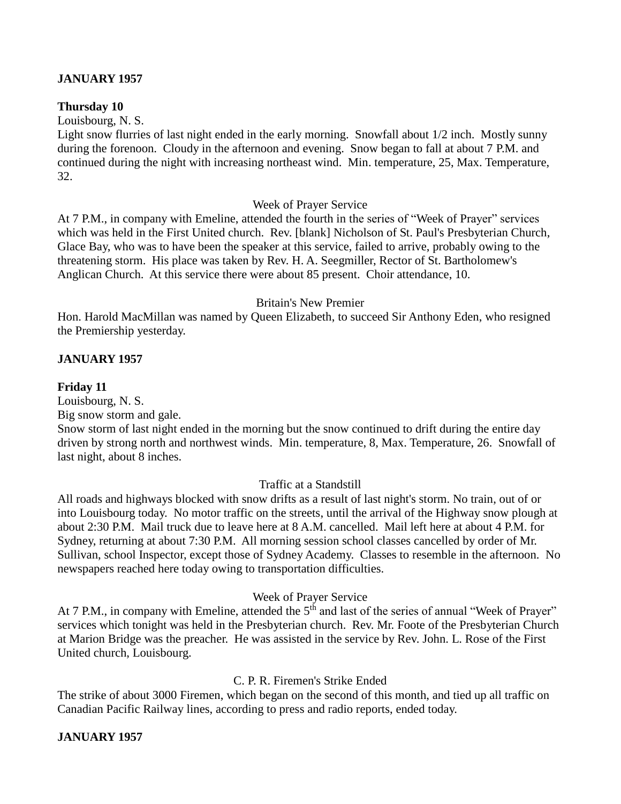## **JANUARY 1957**

#### **Thursday 10**

Louisbourg, N. S.

Light snow flurries of last night ended in the early morning. Snowfall about 1/2 inch. Mostly sunny during the forenoon. Cloudy in the afternoon and evening. Snow began to fall at about 7 P.M. and continued during the night with increasing northeast wind. Min. temperature, 25, Max. Temperature, 32.

#### Week of Prayer Service

At 7 P.M., in company with Emeline, attended the fourth in the series of "Week of Prayer" services which was held in the First United church. Rev. [blank] Nicholson of St. Paul's Presbyterian Church, Glace Bay, who was to have been the speaker at this service, failed to arrive, probably owing to the threatening storm. His place was taken by Rev. H. A. Seegmiller, Rector of St. Bartholomew's Anglican Church. At this service there were about 85 present. Choir attendance, 10.

#### Britain's New Premier

Hon. Harold MacMillan was named by Queen Elizabeth, to succeed Sir Anthony Eden, who resigned the Premiership yesterday.

#### **JANUARY 1957**

#### **Friday 11**

Louisbourg, N. S.

Big snow storm and gale.

Snow storm of last night ended in the morning but the snow continued to drift during the entire day driven by strong north and northwest winds. Min. temperature, 8, Max. Temperature, 26. Snowfall of last night, about 8 inches.

#### Traffic at a Standstill

All roads and highways blocked with snow drifts as a result of last night's storm. No train, out of or into Louisbourg today. No motor traffic on the streets, until the arrival of the Highway snow plough at about 2:30 P.M. Mail truck due to leave here at 8 A.M. cancelled. Mail left here at about 4 P.M. for Sydney, returning at about 7:30 P.M. All morning session school classes cancelled by order of Mr. Sullivan, school Inspector, except those of Sydney Academy. Classes to resemble in the afternoon. No newspapers reached here today owing to transportation difficulties.

#### Week of Prayer Service

At 7 P.M., in company with Emeline, attended the  $5<sup>th</sup>$  and last of the series of annual "Week of Prayer" services which tonight was held in the Presbyterian church. Rev. Mr. Foote of the Presbyterian Church at Marion Bridge was the preacher. He was assisted in the service by Rev. John. L. Rose of the First United church, Louisbourg.

## C. P. R. Firemen's Strike Ended

The strike of about 3000 Firemen, which began on the second of this month, and tied up all traffic on Canadian Pacific Railway lines, according to press and radio reports, ended today.

#### **JANUARY 1957**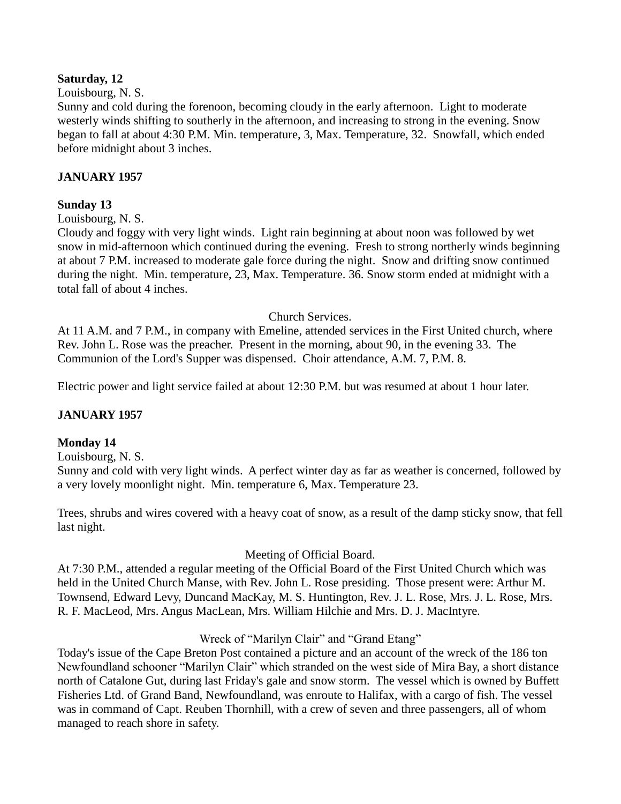## **Saturday, 12**

#### Louisbourg, N. S.

Sunny and cold during the forenoon, becoming cloudy in the early afternoon. Light to moderate westerly winds shifting to southerly in the afternoon, and increasing to strong in the evening. Snow began to fall at about 4:30 P.M. Min. temperature, 3, Max. Temperature, 32. Snowfall, which ended before midnight about 3 inches.

## **JANUARY 1957**

## **Sunday 13**

#### Louisbourg, N. S.

Cloudy and foggy with very light winds. Light rain beginning at about noon was followed by wet snow in mid-afternoon which continued during the evening. Fresh to strong northerly winds beginning at about 7 P.M. increased to moderate gale force during the night. Snow and drifting snow continued during the night. Min. temperature, 23, Max. Temperature. 36. Snow storm ended at midnight with a total fall of about 4 inches.

#### Church Services.

At 11 A.M. and 7 P.M., in company with Emeline, attended services in the First United church, where Rev. John L. Rose was the preacher. Present in the morning, about 90, in the evening 33. The Communion of the Lord's Supper was dispensed. Choir attendance, A.M. 7, P.M. 8.

Electric power and light service failed at about 12:30 P.M. but was resumed at about 1 hour later.

#### **JANUARY 1957**

#### **Monday 14**

Louisbourg, N. S.

Sunny and cold with very light winds. A perfect winter day as far as weather is concerned, followed by a very lovely moonlight night. Min. temperature 6, Max. Temperature 23.

Trees, shrubs and wires covered with a heavy coat of snow, as a result of the damp sticky snow, that fell last night.

#### Meeting of Official Board.

At 7:30 P.M., attended a regular meeting of the Official Board of the First United Church which was held in the United Church Manse, with Rev. John L. Rose presiding. Those present were: Arthur M. Townsend, Edward Levy, Duncand MacKay, M. S. Huntington, Rev. J. L. Rose, Mrs. J. L. Rose, Mrs. R. F. MacLeod, Mrs. Angus MacLean, Mrs. William Hilchie and Mrs. D. J. MacIntyre.

## Wreck of "Marilyn Clair" and "Grand Etang"

Today's issue of the Cape Breton Post contained a picture and an account of the wreck of the 186 ton Newfoundland schooner "Marilyn Clair" which stranded on the west side of Mira Bay, a short distance north of Catalone Gut, during last Friday's gale and snow storm. The vessel which is owned by Buffett Fisheries Ltd. of Grand Band, Newfoundland, was enroute to Halifax, with a cargo of fish. The vessel was in command of Capt. Reuben Thornhill, with a crew of seven and three passengers, all of whom managed to reach shore in safety.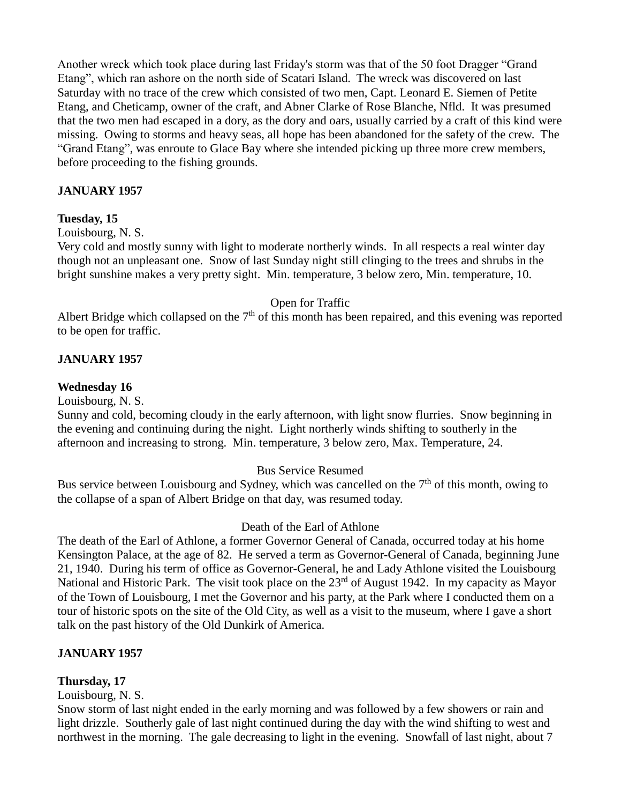Another wreck which took place during last Friday's storm was that of the 50 foot Dragger "Grand Etang", which ran ashore on the north side of Scatari Island. The wreck was discovered on last Saturday with no trace of the crew which consisted of two men, Capt. Leonard E. Siemen of Petite Etang, and Cheticamp, owner of the craft, and Abner Clarke of Rose Blanche, Nfld. It was presumed that the two men had escaped in a dory, as the dory and oars, usually carried by a craft of this kind were missing. Owing to storms and heavy seas, all hope has been abandoned for the safety of the crew. The "Grand Etang", was enroute to Glace Bay where she intended picking up three more crew members, before proceeding to the fishing grounds.

## **JANUARY 1957**

#### **Tuesday, 15**

#### Louisbourg, N. S.

Very cold and mostly sunny with light to moderate northerly winds. In all respects a real winter day though not an unpleasant one. Snow of last Sunday night still clinging to the trees and shrubs in the bright sunshine makes a very pretty sight. Min. temperature, 3 below zero, Min. temperature, 10.

#### Open for Traffic

Albert Bridge which collapsed on the  $7<sup>th</sup>$  of this month has been repaired, and this evening was reported to be open for traffic.

#### **JANUARY 1957**

#### **Wednesday 16**

Louisbourg, N. S.

Sunny and cold, becoming cloudy in the early afternoon, with light snow flurries. Snow beginning in the evening and continuing during the night. Light northerly winds shifting to southerly in the afternoon and increasing to strong. Min. temperature, 3 below zero, Max. Temperature, 24.

#### Bus Service Resumed

Bus service between Louisbourg and Sydney, which was cancelled on the 7<sup>th</sup> of this month, owing to the collapse of a span of Albert Bridge on that day, was resumed today.

#### Death of the Earl of Athlone

The death of the Earl of Athlone, a former Governor General of Canada, occurred today at his home Kensington Palace, at the age of 82. He served a term as Governor-General of Canada, beginning June 21, 1940. During his term of office as Governor-General, he and Lady Athlone visited the Louisbourg National and Historic Park. The visit took place on the 23<sup>rd</sup> of August 1942. In my capacity as Mayor of the Town of Louisbourg, I met the Governor and his party, at the Park where I conducted them on a tour of historic spots on the site of the Old City, as well as a visit to the museum, where I gave a short talk on the past history of the Old Dunkirk of America.

#### **JANUARY 1957**

#### **Thursday, 17**

Louisbourg, N. S.

Snow storm of last night ended in the early morning and was followed by a few showers or rain and light drizzle. Southerly gale of last night continued during the day with the wind shifting to west and northwest in the morning. The gale decreasing to light in the evening. Snowfall of last night, about 7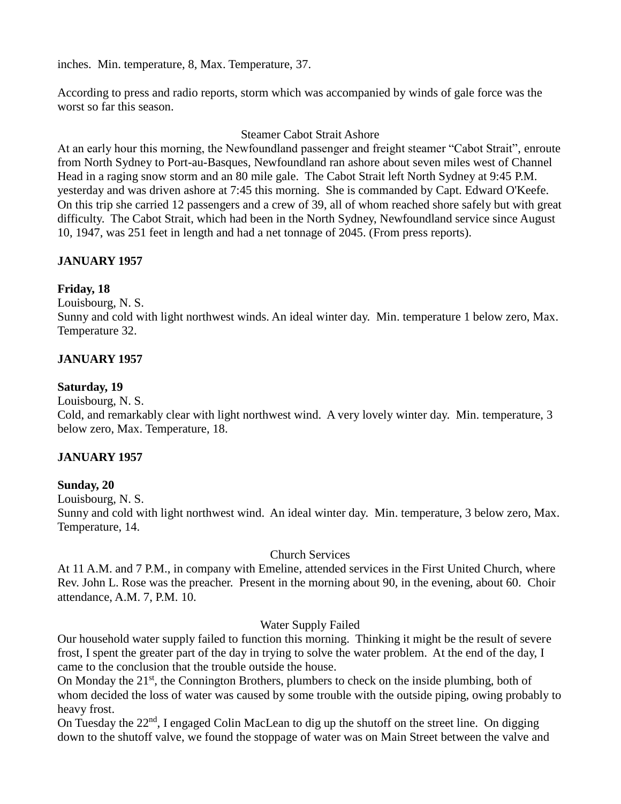inches. Min. temperature, 8, Max. Temperature, 37.

According to press and radio reports, storm which was accompanied by winds of gale force was the worst so far this season.

#### Steamer Cabot Strait Ashore

At an early hour this morning, the Newfoundland passenger and freight steamer "Cabot Strait", enroute from North Sydney to Port-au-Basques, Newfoundland ran ashore about seven miles west of Channel Head in a raging snow storm and an 80 mile gale. The Cabot Strait left North Sydney at 9:45 P.M. yesterday and was driven ashore at 7:45 this morning. She is commanded by Capt. Edward O'Keefe. On this trip she carried 12 passengers and a crew of 39, all of whom reached shore safely but with great difficulty. The Cabot Strait, which had been in the North Sydney, Newfoundland service since August 10, 1947, was 251 feet in length and had a net tonnage of 2045. (From press reports).

## **JANUARY 1957**

#### **Friday, 18**

Louisbourg, N. S.

Sunny and cold with light northwest winds. An ideal winter day. Min. temperature 1 below zero, Max. Temperature 32.

#### **JANUARY 1957**

#### **Saturday, 19**

Louisbourg, N. S.

Cold, and remarkably clear with light northwest wind. A very lovely winter day. Min. temperature, 3 below zero, Max. Temperature, 18.

#### **JANUARY 1957**

#### **Sunday, 20**

Louisbourg, N. S.

Sunny and cold with light northwest wind. An ideal winter day. Min. temperature, 3 below zero, Max. Temperature, 14.

#### Church Services

At 11 A.M. and 7 P.M., in company with Emeline, attended services in the First United Church, where Rev. John L. Rose was the preacher. Present in the morning about 90, in the evening, about 60. Choir attendance, A.M. 7, P.M. 10.

#### Water Supply Failed

Our household water supply failed to function this morning. Thinking it might be the result of severe frost, I spent the greater part of the day in trying to solve the water problem. At the end of the day, I came to the conclusion that the trouble outside the house.

On Monday the 21<sup>st</sup>, the Connington Brothers, plumbers to check on the inside plumbing, both of whom decided the loss of water was caused by some trouble with the outside piping, owing probably to heavy frost.

On Tuesday the  $22<sup>nd</sup>$ , I engaged Colin MacLean to dig up the shutoff on the street line. On digging down to the shutoff valve, we found the stoppage of water was on Main Street between the valve and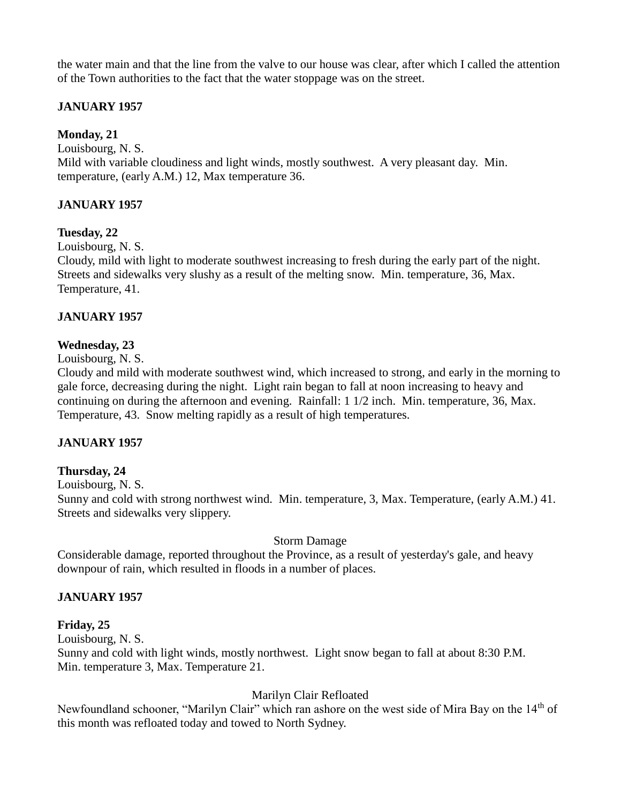the water main and that the line from the valve to our house was clear, after which I called the attention of the Town authorities to the fact that the water stoppage was on the street.

# **JANUARY 1957**

**Monday, 21**

Louisbourg, N. S. Mild with variable cloudiness and light winds, mostly southwest. A very pleasant day. Min. temperature, (early A.M.) 12, Max temperature 36.

## **JANUARY 1957**

## **Tuesday, 22**

Louisbourg, N. S.

Cloudy, mild with light to moderate southwest increasing to fresh during the early part of the night. Streets and sidewalks very slushy as a result of the melting snow. Min. temperature, 36, Max. Temperature, 41.

## **JANUARY 1957**

## **Wednesday, 23**

Louisbourg, N. S.

Cloudy and mild with moderate southwest wind, which increased to strong, and early in the morning to gale force, decreasing during the night. Light rain began to fall at noon increasing to heavy and continuing on during the afternoon and evening. Rainfall: 1 1/2 inch. Min. temperature, 36, Max. Temperature, 43. Snow melting rapidly as a result of high temperatures.

# **JANUARY 1957**

## **Thursday, 24**

Louisbourg, N. S.

Sunny and cold with strong northwest wind. Min. temperature, 3, Max. Temperature, (early A.M.) 41. Streets and sidewalks very slippery.

## Storm Damage

Considerable damage, reported throughout the Province, as a result of yesterday's gale, and heavy downpour of rain, which resulted in floods in a number of places.

# **JANUARY 1957**

## **Friday, 25**

Louisbourg, N. S.

Sunny and cold with light winds, mostly northwest. Light snow began to fall at about 8:30 P.M. Min. temperature 3, Max. Temperature 21.

# Marilyn Clair Refloated

Newfoundland schooner, "Marilyn Clair" which ran ashore on the west side of Mira Bay on the 14<sup>th</sup> of this month was refloated today and towed to North Sydney.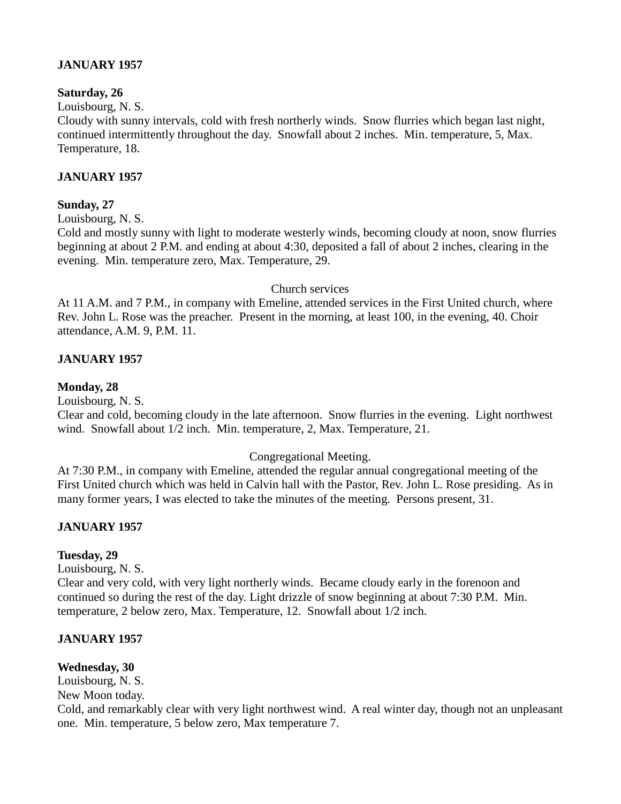## **JANUARY 1957**

#### **Saturday, 26**

Louisbourg, N. S.

Cloudy with sunny intervals, cold with fresh northerly winds. Snow flurries which began last night, continued intermittently throughout the day. Snowfall about 2 inches. Min. temperature, 5, Max. Temperature, 18.

## **JANUARY 1957**

## **Sunday, 27**

Louisbourg, N. S.

Cold and mostly sunny with light to moderate westerly winds, becoming cloudy at noon, snow flurries beginning at about 2 P.M. and ending at about 4:30, deposited a fall of about 2 inches, clearing in the evening. Min. temperature zero, Max. Temperature, 29.

#### Church services

At 11 A.M. and 7 P.M., in company with Emeline, attended services in the First United church, where Rev. John L. Rose was the preacher. Present in the morning, at least 100, in the evening, 40. Choir attendance, A.M. 9, P.M. 11.

## **JANUARY 1957**

## **Monday, 28**

Louisbourg, N. S.

Clear and cold, becoming cloudy in the late afternoon. Snow flurries in the evening. Light northwest wind. Snowfall about 1/2 inch. Min. temperature, 2, Max. Temperature, 21.

#### Congregational Meeting.

At 7:30 P.M., in company with Emeline, attended the regular annual congregational meeting of the First United church which was held in Calvin hall with the Pastor, Rev. John L. Rose presiding. As in many former years, I was elected to take the minutes of the meeting. Persons present, 31.

## **JANUARY 1957**

## **Tuesday, 29**

Louisbourg, N. S.

Clear and very cold, with very light northerly winds. Became cloudy early in the forenoon and continued so during the rest of the day. Light drizzle of snow beginning at about 7:30 P.M. Min. temperature, 2 below zero, Max. Temperature, 12. Snowfall about 1/2 inch.

#### **JANUARY 1957**

#### **Wednesday, 30**

Louisbourg, N. S.

New Moon today.

Cold, and remarkably clear with very light northwest wind. A real winter day, though not an unpleasant one. Min. temperature, 5 below zero, Max temperature 7.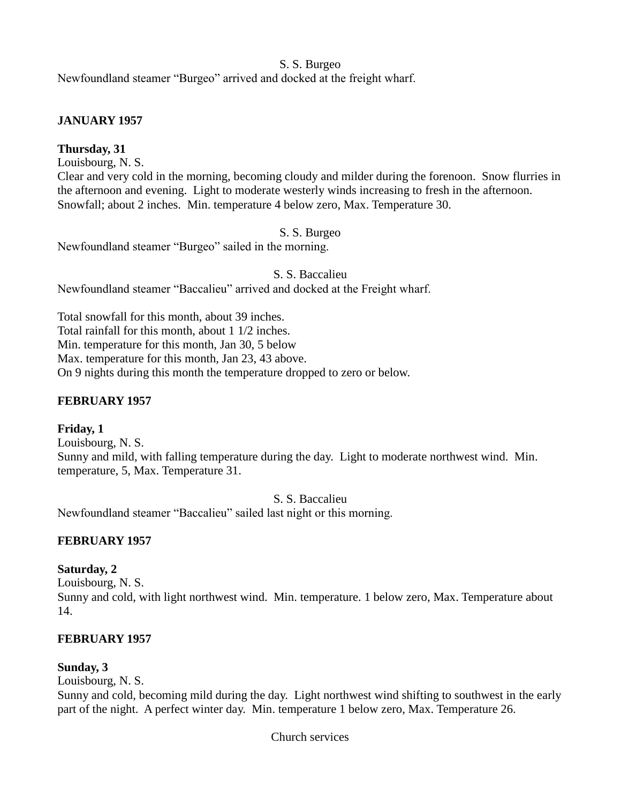## S. S. Burgeo

Newfoundland steamer "Burgeo" arrived and docked at the freight wharf.

## **JANUARY 1957**

# **Thursday, 31**

Louisbourg, N. S.

Clear and very cold in the morning, becoming cloudy and milder during the forenoon. Snow flurries in the afternoon and evening. Light to moderate westerly winds increasing to fresh in the afternoon. Snowfall; about 2 inches. Min. temperature 4 below zero, Max. Temperature 30.

## S. S. Burgeo

Newfoundland steamer "Burgeo" sailed in the morning.

S. S. Baccalieu

Newfoundland steamer "Baccalieu" arrived and docked at the Freight wharf.

Total snowfall for this month, about 39 inches. Total rainfall for this month, about 1 1/2 inches. Min. temperature for this month, Jan 30, 5 below Max. temperature for this month, Jan 23, 43 above. On 9 nights during this month the temperature dropped to zero or below.

# **FEBRUARY 1957**

## **Friday, 1**

Louisbourg, N. S. Sunny and mild, with falling temperature during the day. Light to moderate northwest wind. Min. temperature, 5, Max. Temperature 31.

S. S. Baccalieu

Newfoundland steamer "Baccalieu" sailed last night or this morning.

# **FEBRUARY 1957**

# **Saturday, 2**

Louisbourg, N. S. Sunny and cold, with light northwest wind. Min. temperature. 1 below zero, Max. Temperature about 14.

# **FEBRUARY 1957**

# **Sunday, 3**

Louisbourg, N. S.

Sunny and cold, becoming mild during the day. Light northwest wind shifting to southwest in the early part of the night. A perfect winter day. Min. temperature 1 below zero, Max. Temperature 26.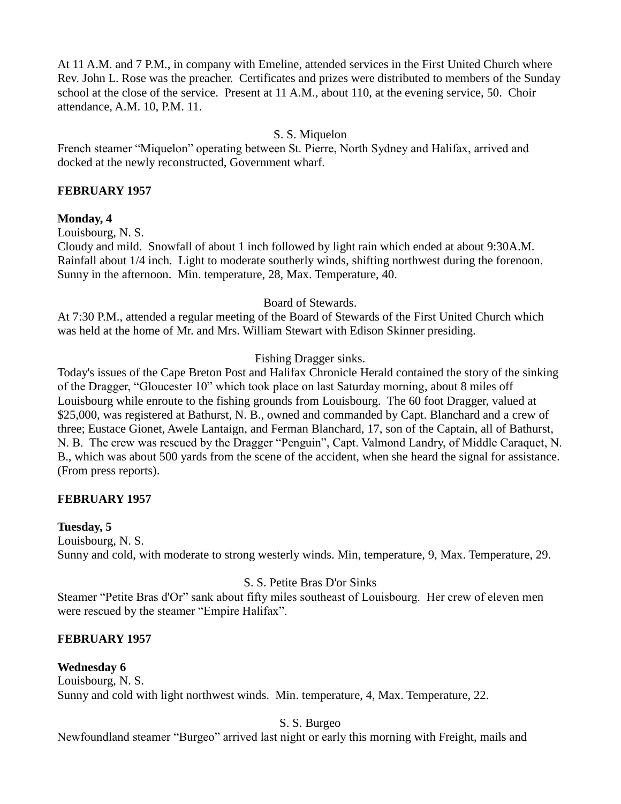At 11 A.M. and 7 P.M., in company with Emeline, attended services in the First United Church where Rev. John L. Rose was the preacher. Certificates and prizes were distributed to members of the Sunday school at the close of the service. Present at 11 A.M., about 110, at the evening service, 50. Choir attendance, A.M. 10, P.M. 11.

## S. S. Miquelon

French steamer "Miquelon" operating between St. Pierre, North Sydney and Halifax, arrived and docked at the newly reconstructed, Government wharf.

#### **FEBRUARY 1957**

## **Monday, 4**

Louisbourg, N. S.

Cloudy and mild. Snowfall of about 1 inch followed by light rain which ended at about 9:30A.M. Rainfall about 1/4 inch. Light to moderate southerly winds, shifting northwest during the forenoon. Sunny in the afternoon. Min. temperature, 28, Max. Temperature, 40.

Board of Stewards.

At 7:30 P.M., attended a regular meeting of the Board of Stewards of the First United Church which was held at the home of Mr. and Mrs. William Stewart with Edison Skinner presiding.

## Fishing Dragger sinks.

Today's issues of the Cape Breton Post and Halifax Chronicle Herald contained the story of the sinking of the Dragger, "Gloucester 10" which took place on last Saturday morning, about 8 miles off Louisbourg while enroute to the fishing grounds from Louisbourg. The 60 foot Dragger, valued at \$25,000, was registered at Bathurst, N. B., owned and commanded by Capt. Blanchard and a crew of three; Eustace Gionet, Awele Lantaign, and Ferman Blanchard, 17, son of the Captain, all of Bathurst, N. B. The crew was rescued by the Dragger "Penguin", Capt. Valmond Landry, of Middle Caraquet, N. B., which was about 500 yards from the scene of the accident, when she heard the signal for assistance. (From press reports).

## **FEBRUARY 1957**

#### **Tuesday, 5**

Louisbourg, N. S. Sunny and cold, with moderate to strong westerly winds. Min, temperature, 9, Max. Temperature, 29.

## S. S. Petite Bras D'or Sinks

Steamer "Petite Bras d'Or" sank about fifty miles southeast of Louisbourg. Her crew of eleven men were rescued by the steamer "Empire Halifax".

## **FEBRUARY 1957**

# **Wednesday 6**

Louisbourg, N. S. Sunny and cold with light northwest winds. Min. temperature, 4, Max. Temperature, 22.

S. S. Burgeo

Newfoundland steamer "Burgeo" arrived last night or early this morning with Freight, mails and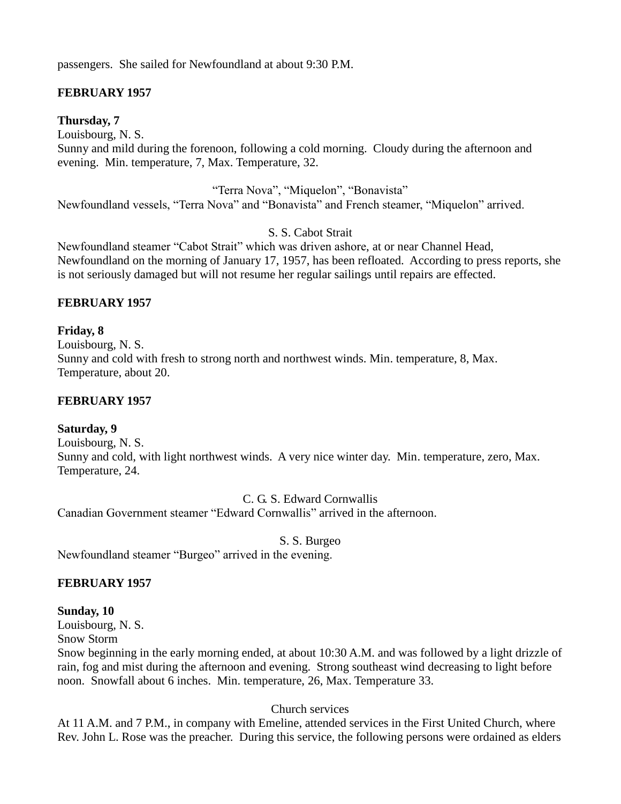passengers. She sailed for Newfoundland at about 9:30 P.M.

# **FEBRUARY 1957**

## **Thursday, 7**

Louisbourg, N. S. Sunny and mild during the forenoon, following a cold morning. Cloudy during the afternoon and evening. Min. temperature, 7, Max. Temperature, 32.

"Terra Nova", "Miquelon", "Bonavista"

Newfoundland vessels, "Terra Nova" and "Bonavista" and French steamer, "Miquelon" arrived.

S. S. Cabot Strait

Newfoundland steamer "Cabot Strait" which was driven ashore, at or near Channel Head, Newfoundland on the morning of January 17, 1957, has been refloated. According to press reports, she is not seriously damaged but will not resume her regular sailings until repairs are effected.

## **FEBRUARY 1957**

**Friday, 8**

Louisbourg, N. S. Sunny and cold with fresh to strong north and northwest winds. Min. temperature, 8, Max. Temperature, about 20.

## **FEBRUARY 1957**

## **Saturday, 9**

Louisbourg, N. S. Sunny and cold, with light northwest winds. A very nice winter day. Min. temperature, zero, Max. Temperature, 24.

C. G. S. Edward Cornwallis

Canadian Government steamer "Edward Cornwallis" arrived in the afternoon.

S. S. Burgeo

Newfoundland steamer "Burgeo" arrived in the evening.

## **FEBRUARY 1957**

#### **Sunday, 10**

Louisbourg, N. S.

Snow Storm

Snow beginning in the early morning ended, at about 10:30 A.M. and was followed by a light drizzle of rain, fog and mist during the afternoon and evening. Strong southeast wind decreasing to light before noon. Snowfall about 6 inches. Min. temperature, 26, Max. Temperature 33.

## Church services

At 11 A.M. and 7 P.M., in company with Emeline, attended services in the First United Church, where Rev. John L. Rose was the preacher. During this service, the following persons were ordained as elders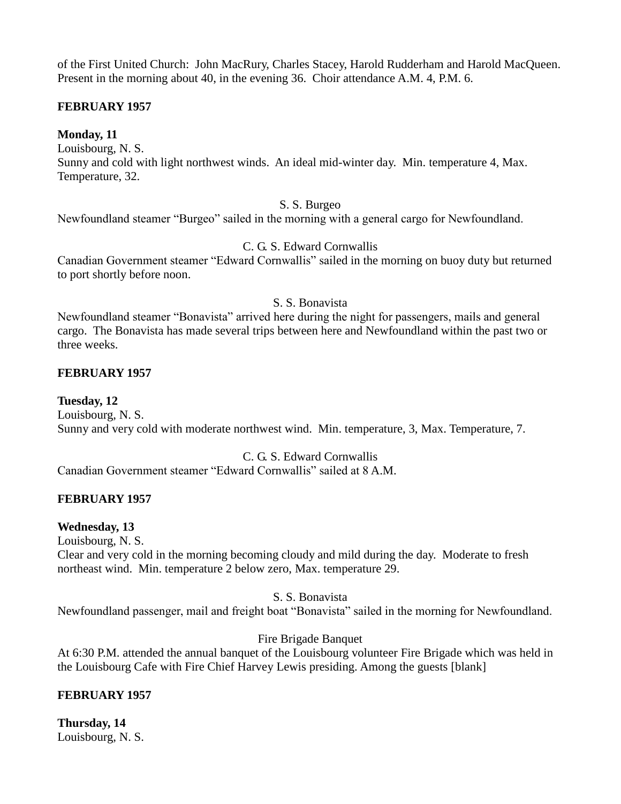of the First United Church: John MacRury, Charles Stacey, Harold Rudderham and Harold MacQueen. Present in the morning about 40, in the evening 36. Choir attendance A.M. 4, P.M. 6.

## **FEBRUARY 1957**

**Monday, 11** Louisbourg, N. S. Sunny and cold with light northwest winds. An ideal mid-winter day. Min. temperature 4, Max. Temperature, 32.

#### S. S. Burgeo

Newfoundland steamer "Burgeo" sailed in the morning with a general cargo for Newfoundland.

## C. G. S. Edward Cornwallis

Canadian Government steamer "Edward Cornwallis" sailed in the morning on buoy duty but returned to port shortly before noon.

#### S. S. Bonavista

Newfoundland steamer "Bonavista" arrived here during the night for passengers, mails and general cargo. The Bonavista has made several trips between here and Newfoundland within the past two or three weeks.

#### **FEBRUARY 1957**

**Tuesday, 12** Louisbourg, N. S. Sunny and very cold with moderate northwest wind. Min. temperature, 3, Max. Temperature, 7.

#### C. G. S. Edward Cornwallis

Canadian Government steamer "Edward Cornwallis" sailed at 8 A.M.

## **FEBRUARY 1957**

#### **Wednesday, 13**

Louisbourg, N. S. Clear and very cold in the morning becoming cloudy and mild during the day. Moderate to fresh northeast wind. Min. temperature 2 below zero, Max. temperature 29.

#### S. S. Bonavista

Newfoundland passenger, mail and freight boat "Bonavista" sailed in the morning for Newfoundland.

## Fire Brigade Banquet

At 6:30 P.M. attended the annual banquet of the Louisbourg volunteer Fire Brigade which was held in the Louisbourg Cafe with Fire Chief Harvey Lewis presiding. Among the guests [blank]

## **FEBRUARY 1957**

**Thursday, 14** Louisbourg, N. S.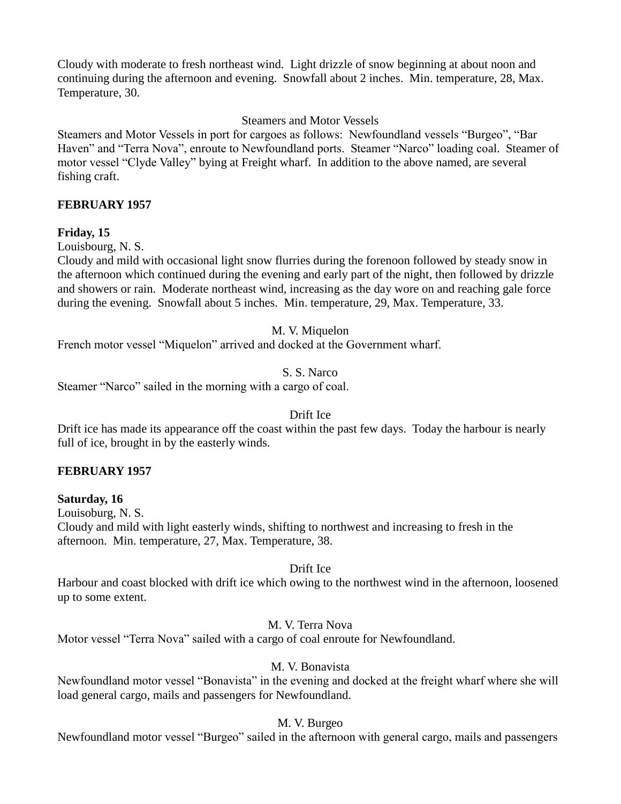Cloudy with moderate to fresh northeast wind. Light drizzle of snow beginning at about noon and continuing during the afternoon and evening. Snowfall about 2 inches. Min. temperature, 28, Max. Temperature, 30.

#### Steamers and Motor Vessels

Steamers and Motor Vessels in port for cargoes as follows: Newfoundland vessels "Burgeo", "Bar Haven" and "Terra Nova", enroute to Newfoundland ports. Steamer "Narco" loading coal. Steamer of motor vessel "Clyde Valley" bying at Freight wharf. In addition to the above named, are several fishing craft.

#### **FEBRUARY 1957**

## **Friday, 15**

Louisbourg, N. S.

Cloudy and mild with occasional light snow flurries during the forenoon followed by steady snow in the afternoon which continued during the evening and early part of the night, then followed by drizzle and showers or rain. Moderate northeast wind, increasing as the day wore on and reaching gale force during the evening. Snowfall about 5 inches. Min. temperature, 29, Max. Temperature, 33.

#### M. V. Miquelon

French motor vessel "Miquelon" arrived and docked at the Government wharf.

#### S. S. Narco

Steamer "Narco" sailed in the morning with a cargo of coal.

#### Drift Ice

Drift ice has made its appearance off the coast within the past few days. Today the harbour is nearly full of ice, brought in by the easterly winds.

## **FEBRUARY 1957**

## **Saturday, 16**

Louisoburg, N. S.

Cloudy and mild with light easterly winds, shifting to northwest and increasing to fresh in the afternoon. Min. temperature, 27, Max. Temperature, 38.

#### Drift Ice

Harbour and coast blocked with drift ice which owing to the northwest wind in the afternoon, loosened up to some extent.

#### M. V. Terra Nova

Motor vessel "Terra Nova" sailed with a cargo of coal enroute for Newfoundland.

#### M. V. Bonavista

Newfoundland motor vessel "Bonavista" in the evening and docked at the freight wharf where she will load general cargo, mails and passengers for Newfoundland.

#### M. V. Burgeo

Newfoundland motor vessel "Burgeo" sailed in the afternoon with general cargo, mails and passengers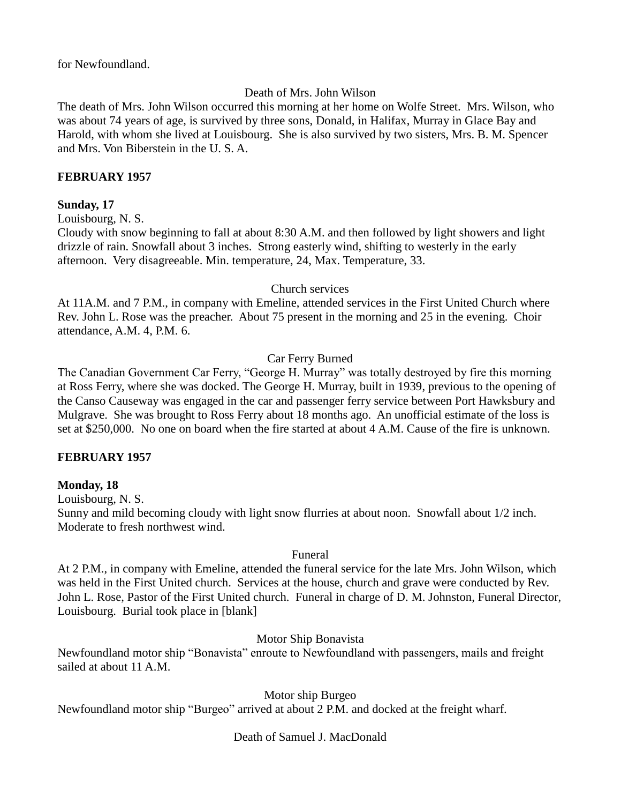for Newfoundland.

# Death of Mrs. John Wilson

The death of Mrs. John Wilson occurred this morning at her home on Wolfe Street. Mrs. Wilson, who was about 74 years of age, is survived by three sons, Donald, in Halifax, Murray in Glace Bay and Harold, with whom she lived at Louisbourg. She is also survived by two sisters, Mrs. B. M. Spencer and Mrs. Von Biberstein in the U. S. A.

## **FEBRUARY 1957**

## **Sunday, 17**

Louisbourg, N. S.

Cloudy with snow beginning to fall at about 8:30 A.M. and then followed by light showers and light drizzle of rain. Snowfall about 3 inches. Strong easterly wind, shifting to westerly in the early afternoon. Very disagreeable. Min. temperature, 24, Max. Temperature, 33.

#### Church services

At 11A.M. and 7 P.M., in company with Emeline, attended services in the First United Church where Rev. John L. Rose was the preacher. About 75 present in the morning and 25 in the evening. Choir attendance, A.M. 4, P.M. 6.

## Car Ferry Burned

The Canadian Government Car Ferry, "George H. Murray" was totally destroyed by fire this morning at Ross Ferry, where she was docked. The George H. Murray, built in 1939, previous to the opening of the Canso Causeway was engaged in the car and passenger ferry service between Port Hawksbury and Mulgrave. She was brought to Ross Ferry about 18 months ago. An unofficial estimate of the loss is set at \$250,000. No one on board when the fire started at about 4 A.M. Cause of the fire is unknown.

## **FEBRUARY 1957**

## **Monday, 18**

Louisbourg, N. S.

Sunny and mild becoming cloudy with light snow flurries at about noon. Snowfall about 1/2 inch. Moderate to fresh northwest wind.

#### Funeral

At 2 P.M., in company with Emeline, attended the funeral service for the late Mrs. John Wilson, which was held in the First United church. Services at the house, church and grave were conducted by Rev. John L. Rose, Pastor of the First United church. Funeral in charge of D. M. Johnston, Funeral Director, Louisbourg. Burial took place in [blank]

## Motor Ship Bonavista

Newfoundland motor ship "Bonavista" enroute to Newfoundland with passengers, mails and freight sailed at about 11 A.M.

Motor ship Burgeo

Newfoundland motor ship "Burgeo" arrived at about 2 P.M. and docked at the freight wharf.

## Death of Samuel J. MacDonald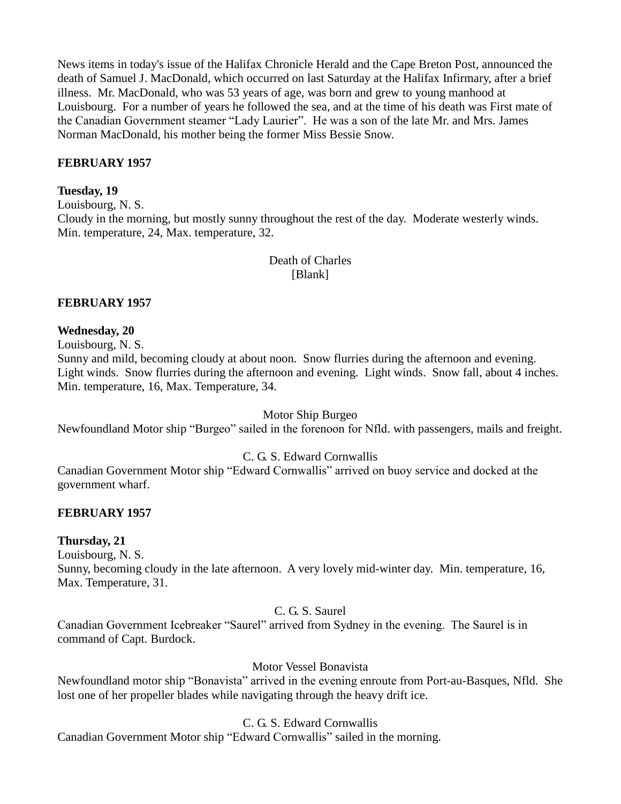News items in today's issue of the Halifax Chronicle Herald and the Cape Breton Post, announced the death of Samuel J. MacDonald, which occurred on last Saturday at the Halifax Infirmary, after a brief illness. Mr. MacDonald, who was 53 years of age, was born and grew to young manhood at Louisbourg. For a number of years he followed the sea, and at the time of his death was First mate of the Canadian Government steamer "Lady Laurier". He was a son of the late Mr. and Mrs. James Norman MacDonald, his mother being the former Miss Bessie Snow.

## **FEBRUARY 1957**

#### **Tuesday, 19**

Louisbourg, N. S. Cloudy in the morning, but mostly sunny throughout the rest of the day. Moderate westerly winds. Min. temperature, 24, Max. temperature, 32.

> Death of Charles [Blank]

#### **FEBRUARY 1957**

#### **Wednesday, 20**

Louisbourg, N. S.

Sunny and mild, becoming cloudy at about noon. Snow flurries during the afternoon and evening. Light winds. Snow flurries during the afternoon and evening. Light winds. Snow fall, about 4 inches. Min. temperature, 16, Max. Temperature, 34.

Motor Ship Burgeo

Newfoundland Motor ship "Burgeo" sailed in the forenoon for Nfld. with passengers, mails and freight.

#### C. G. S. Edward Cornwallis

Canadian Government Motor ship "Edward Cornwallis" arrived on buoy service and docked at the government wharf.

#### **FEBRUARY 1957**

#### **Thursday, 21**

Louisbourg, N. S.

Sunny, becoming cloudy in the late afternoon. A very lovely mid-winter day. Min. temperature, 16, Max. Temperature, 31.

## C. G. S. Saurel

Canadian Government Icebreaker "Saurel" arrived from Sydney in the evening. The Saurel is in command of Capt. Burdock.

Motor Vessel Bonavista

Newfoundland motor ship "Bonavista" arrived in the evening enroute from Port-au-Basques, Nfld. She lost one of her propeller blades while navigating through the heavy drift ice.

C. G. S. Edward Cornwallis

Canadian Government Motor ship "Edward Cornwallis" sailed in the morning.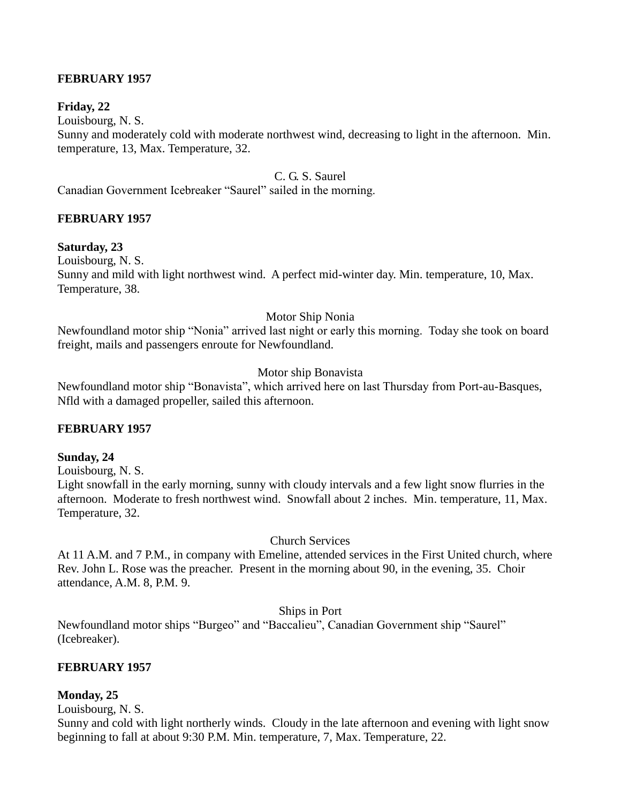## **FEBRUARY 1957**

## **Friday, 22**

Louisbourg, N. S.

Sunny and moderately cold with moderate northwest wind, decreasing to light in the afternoon. Min. temperature, 13, Max. Temperature, 32.

## C. G. S. Saurel

Canadian Government Icebreaker "Saurel" sailed in the morning.

## **FEBRUARY 1957**

## **Saturday, 23**

Louisbourg, N. S.

Sunny and mild with light northwest wind. A perfect mid-winter day. Min. temperature, 10, Max. Temperature, 38.

#### Motor Ship Nonia

Newfoundland motor ship "Nonia" arrived last night or early this morning. Today she took on board freight, mails and passengers enroute for Newfoundland.

## Motor ship Bonavista

Newfoundland motor ship "Bonavista", which arrived here on last Thursday from Port-au-Basques, Nfld with a damaged propeller, sailed this afternoon.

## **FEBRUARY 1957**

#### **Sunday, 24**

Louisbourg, N. S.

Light snowfall in the early morning, sunny with cloudy intervals and a few light snow flurries in the afternoon. Moderate to fresh northwest wind. Snowfall about 2 inches. Min. temperature, 11, Max. Temperature, 32.

#### Church Services

At 11 A.M. and 7 P.M., in company with Emeline, attended services in the First United church, where Rev. John L. Rose was the preacher. Present in the morning about 90, in the evening, 35. Choir attendance, A.M. 8, P.M. 9.

Ships in Port

Newfoundland motor ships "Burgeo" and "Baccalieu", Canadian Government ship "Saurel" (Icebreaker).

## **FEBRUARY 1957**

## **Monday, 25**

Louisbourg, N. S.

Sunny and cold with light northerly winds. Cloudy in the late afternoon and evening with light snow beginning to fall at about 9:30 P.M. Min. temperature, 7, Max. Temperature, 22.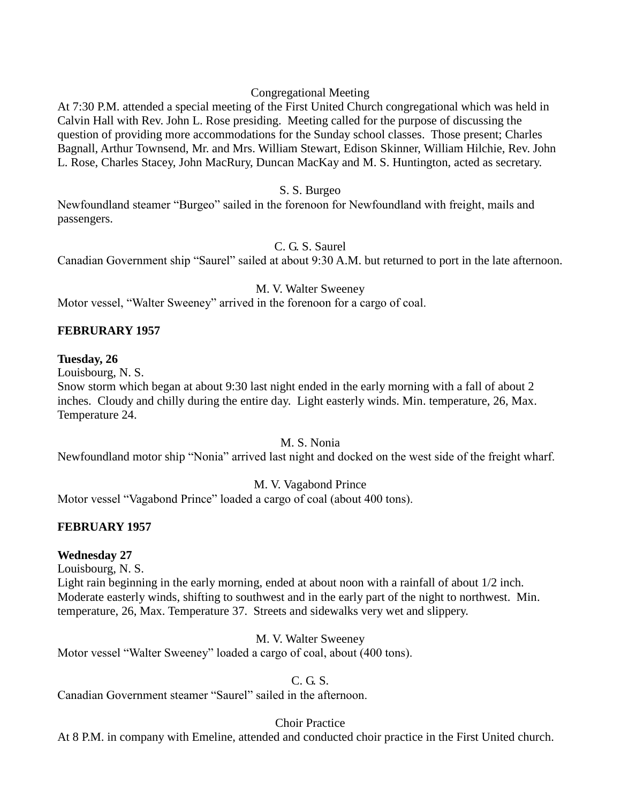## Congregational Meeting

At 7:30 P.M. attended a special meeting of the First United Church congregational which was held in Calvin Hall with Rev. John L. Rose presiding. Meeting called for the purpose of discussing the question of providing more accommodations for the Sunday school classes. Those present; Charles Bagnall, Arthur Townsend, Mr. and Mrs. William Stewart, Edison Skinner, William Hilchie, Rev. John L. Rose, Charles Stacey, John MacRury, Duncan MacKay and M. S. Huntington, acted as secretary.

#### S. S. Burgeo

Newfoundland steamer "Burgeo" sailed in the forenoon for Newfoundland with freight, mails and passengers.

C. G. S. Saurel

Canadian Government ship "Saurel" sailed at about 9:30 A.M. but returned to port in the late afternoon.

M. V. Walter Sweeney

Motor vessel, "Walter Sweeney" arrived in the forenoon for a cargo of coal.

## **FEBRURARY 1957**

#### **Tuesday, 26**

Louisbourg, N. S.

Snow storm which began at about 9:30 last night ended in the early morning with a fall of about 2 inches. Cloudy and chilly during the entire day. Light easterly winds. Min. temperature, 26, Max. Temperature 24.

#### M. S. Nonia

Newfoundland motor ship "Nonia" arrived last night and docked on the west side of the freight wharf.

M. V. Vagabond Prince

Motor vessel "Vagabond Prince" loaded a cargo of coal (about 400 tons).

## **FEBRUARY 1957**

## **Wednesday 27**

Louisbourg, N. S.

Light rain beginning in the early morning, ended at about noon with a rainfall of about 1/2 inch. Moderate easterly winds, shifting to southwest and in the early part of the night to northwest. Min. temperature, 26, Max. Temperature 37. Streets and sidewalks very wet and slippery.

M. V. Walter Sweeney

Motor vessel "Walter Sweeney" loaded a cargo of coal, about (400 tons).

#### C. G. S.

Canadian Government steamer "Saurel" sailed in the afternoon.

## Choir Practice

At 8 P.M. in company with Emeline, attended and conducted choir practice in the First United church.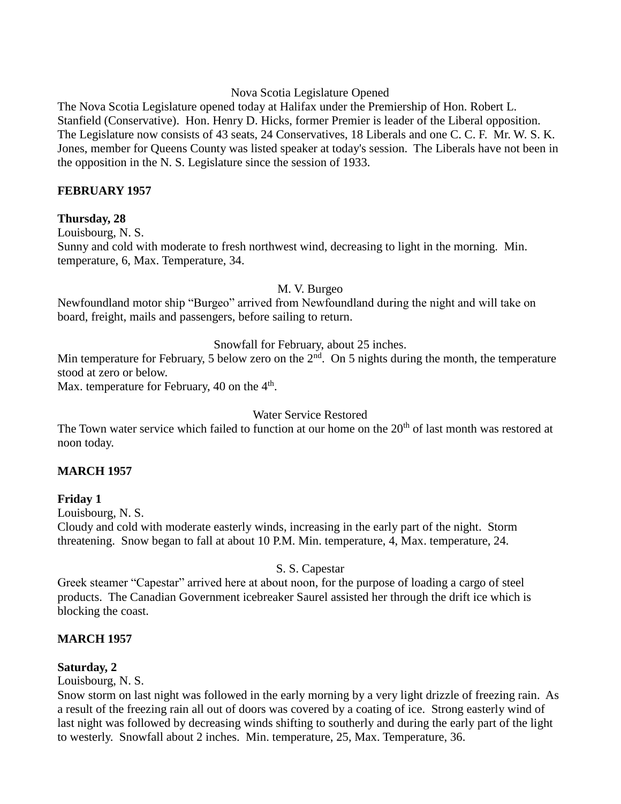#### Nova Scotia Legislature Opened

The Nova Scotia Legislature opened today at Halifax under the Premiership of Hon. Robert L. Stanfield (Conservative). Hon. Henry D. Hicks, former Premier is leader of the Liberal opposition. The Legislature now consists of 43 seats, 24 Conservatives, 18 Liberals and one C. C. F. Mr. W. S. K. Jones, member for Queens County was listed speaker at today's session. The Liberals have not been in the opposition in the N. S. Legislature since the session of 1933.

## **FEBRUARY 1957**

## **Thursday, 28**

Louisbourg, N. S. Sunny and cold with moderate to fresh northwest wind, decreasing to light in the morning. Min. temperature, 6, Max. Temperature, 34.

M. V. Burgeo

Newfoundland motor ship "Burgeo" arrived from Newfoundland during the night and will take on board, freight, mails and passengers, before sailing to return.

Snowfall for February, about 25 inches.

Min temperature for February, 5 below zero on the  $2<sup>nd</sup>$ . On 5 nights during the month, the temperature stood at zero or below.

Max. temperature for February, 40 on the  $4<sup>th</sup>$ .

#### Water Service Restored

The Town water service which failed to function at our home on the  $20<sup>th</sup>$  of last month was restored at noon today.

## **MARCH 1957**

## **Friday 1**

Louisbourg, N. S.

Cloudy and cold with moderate easterly winds, increasing in the early part of the night. Storm threatening. Snow began to fall at about 10 P.M. Min. temperature, 4, Max. temperature, 24.

#### S. S. Capestar

Greek steamer "Capestar" arrived here at about noon, for the purpose of loading a cargo of steel products. The Canadian Government icebreaker Saurel assisted her through the drift ice which is blocking the coast.

## **MARCH 1957**

## **Saturday, 2**

Louisbourg, N. S.

Snow storm on last night was followed in the early morning by a very light drizzle of freezing rain. As a result of the freezing rain all out of doors was covered by a coating of ice. Strong easterly wind of last night was followed by decreasing winds shifting to southerly and during the early part of the light to westerly. Snowfall about 2 inches. Min. temperature, 25, Max. Temperature, 36.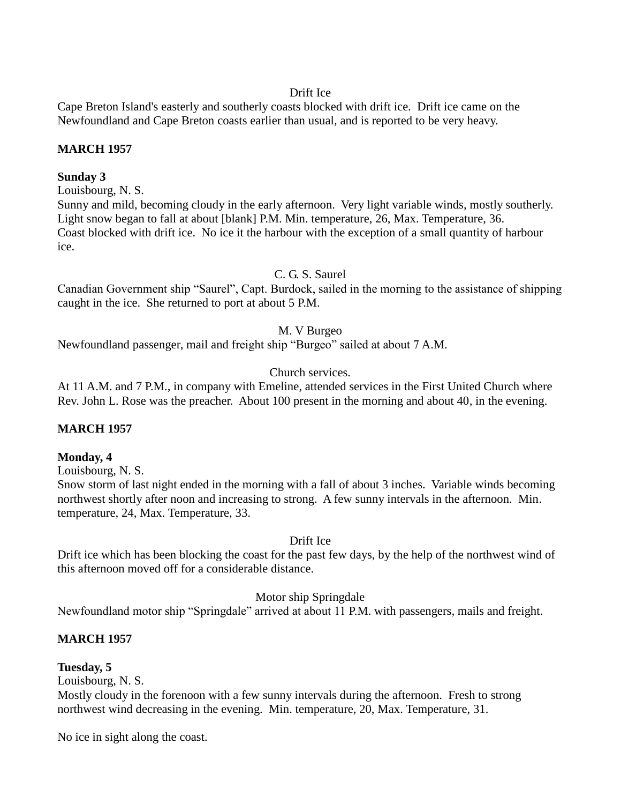## Drift Ice

Cape Breton Island's easterly and southerly coasts blocked with drift ice. Drift ice came on the Newfoundland and Cape Breton coasts earlier than usual, and is reported to be very heavy.

## **MARCH 1957**

#### **Sunday 3**

Louisbourg, N. S.

Sunny and mild, becoming cloudy in the early afternoon. Very light variable winds, mostly southerly. Light snow began to fall at about [blank] P.M. Min. temperature, 26, Max. Temperature, 36. Coast blocked with drift ice. No ice it the harbour with the exception of a small quantity of harbour ice.

## C. G. S. Saurel

Canadian Government ship "Saurel", Capt. Burdock, sailed in the morning to the assistance of shipping caught in the ice. She returned to port at about 5 P.M.

## M. V Burgeo

Newfoundland passenger, mail and freight ship "Burgeo" sailed at about 7 A.M.

## Church services.

At 11 A.M. and 7 P.M., in company with Emeline, attended services in the First United Church where Rev. John L. Rose was the preacher. About 100 present in the morning and about 40, in the evening.

## **MARCH 1957**

#### **Monday, 4**

Louisbourg, N. S.

Snow storm of last night ended in the morning with a fall of about 3 inches. Variable winds becoming northwest shortly after noon and increasing to strong. A few sunny intervals in the afternoon. Min. temperature, 24, Max. Temperature, 33.

#### Drift Ice

Drift ice which has been blocking the coast for the past few days, by the help of the northwest wind of this afternoon moved off for a considerable distance.

#### Motor ship Springdale

Newfoundland motor ship "Springdale" arrived at about 11 P.M. with passengers, mails and freight.

## **MARCH 1957**

## **Tuesday, 5**

Louisbourg, N. S.

Mostly cloudy in the forenoon with a few sunny intervals during the afternoon. Fresh to strong northwest wind decreasing in the evening. Min. temperature, 20, Max. Temperature, 31.

No ice in sight along the coast.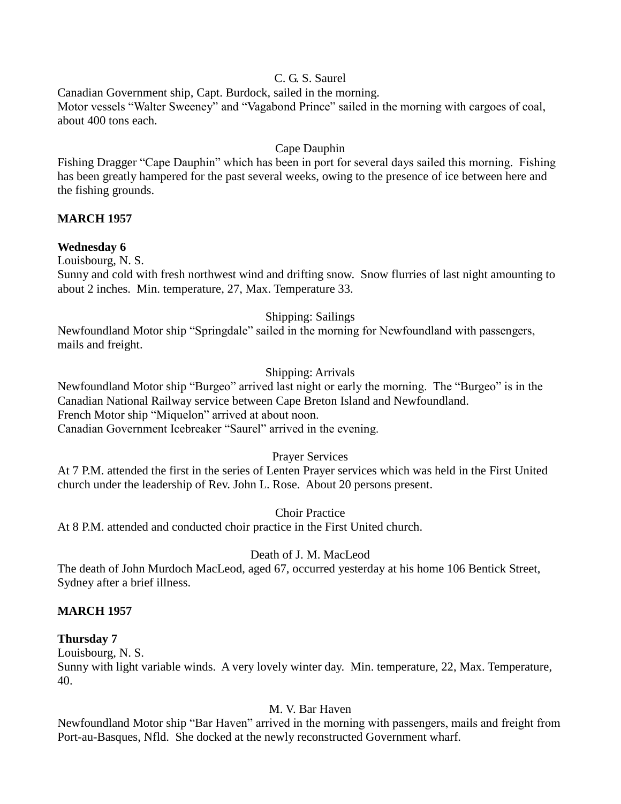# C. G. S. Saurel

Canadian Government ship, Capt. Burdock, sailed in the morning. Motor vessels "Walter Sweeney" and "Vagabond Prince" sailed in the morning with cargoes of coal, about 400 tons each.

# Cape Dauphin

Fishing Dragger "Cape Dauphin" which has been in port for several days sailed this morning. Fishing has been greatly hampered for the past several weeks, owing to the presence of ice between here and the fishing grounds.

## **MARCH 1957**

## **Wednesday 6**

Louisbourg, N. S.

Sunny and cold with fresh northwest wind and drifting snow. Snow flurries of last night amounting to about 2 inches. Min. temperature, 27, Max. Temperature 33.

## Shipping: Sailings

Newfoundland Motor ship "Springdale" sailed in the morning for Newfoundland with passengers, mails and freight.

## Shipping: Arrivals

Newfoundland Motor ship "Burgeo" arrived last night or early the morning. The "Burgeo" is in the Canadian National Railway service between Cape Breton Island and Newfoundland. French Motor ship "Miquelon" arrived at about noon. Canadian Government Icebreaker "Saurel" arrived in the evening.

## Prayer Services

At 7 P.M. attended the first in the series of Lenten Prayer services which was held in the First United church under the leadership of Rev. John L. Rose. About 20 persons present.

#### Choir Practice

At 8 P.M. attended and conducted choir practice in the First United church.

## Death of J. M. MacLeod

The death of John Murdoch MacLeod, aged 67, occurred yesterday at his home 106 Bentick Street, Sydney after a brief illness.

## **MARCH 1957**

#### **Thursday 7**

Louisbourg, N. S. Sunny with light variable winds. A very lovely winter day. Min. temperature, 22, Max. Temperature, 40.

## M. V. Bar Haven

Newfoundland Motor ship "Bar Haven" arrived in the morning with passengers, mails and freight from Port-au-Basques, Nfld. She docked at the newly reconstructed Government wharf.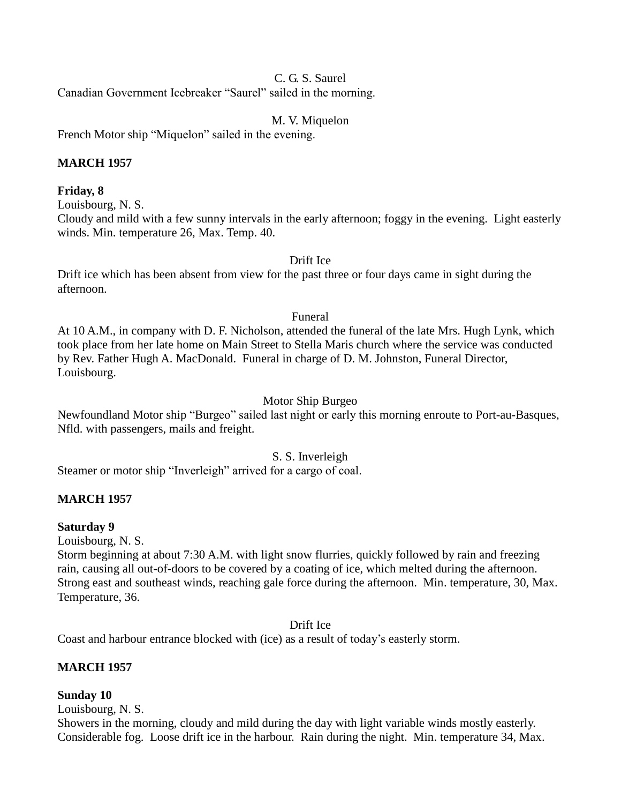## C. G. S. Saurel

Canadian Government Icebreaker "Saurel" sailed in the morning.

M. V. Miquelon

French Motor ship "Miquelon" sailed in the evening.

## **MARCH 1957**

#### **Friday, 8**

Louisbourg, N. S.

Cloudy and mild with a few sunny intervals in the early afternoon; foggy in the evening. Light easterly winds. Min. temperature 26, Max. Temp. 40.

#### Drift Ice

Drift ice which has been absent from view for the past three or four days came in sight during the afternoon.

#### Funeral

At 10 A.M., in company with D. F. Nicholson, attended the funeral of the late Mrs. Hugh Lynk, which took place from her late home on Main Street to Stella Maris church where the service was conducted by Rev. Father Hugh A. MacDonald. Funeral in charge of D. M. Johnston, Funeral Director, Louisbourg.

#### Motor Ship Burgeo

Newfoundland Motor ship "Burgeo" sailed last night or early this morning enroute to Port-au-Basques, Nfld. with passengers, mails and freight.

#### S. S. Inverleigh

Steamer or motor ship "Inverleigh" arrived for a cargo of coal.

#### **MARCH 1957**

#### **Saturday 9**

Louisbourg, N. S.

Storm beginning at about 7:30 A.M. with light snow flurries, quickly followed by rain and freezing rain, causing all out-of-doors to be covered by a coating of ice, which melted during the afternoon. Strong east and southeast winds, reaching gale force during the afternoon. Min. temperature, 30, Max. Temperature, 36.

Drift Ice

Coast and harbour entrance blocked with (ice) as a result of today's easterly storm.

## **MARCH 1957**

#### **Sunday 10**

Louisbourg, N. S.

Showers in the morning, cloudy and mild during the day with light variable winds mostly easterly. Considerable fog. Loose drift ice in the harbour. Rain during the night. Min. temperature 34, Max.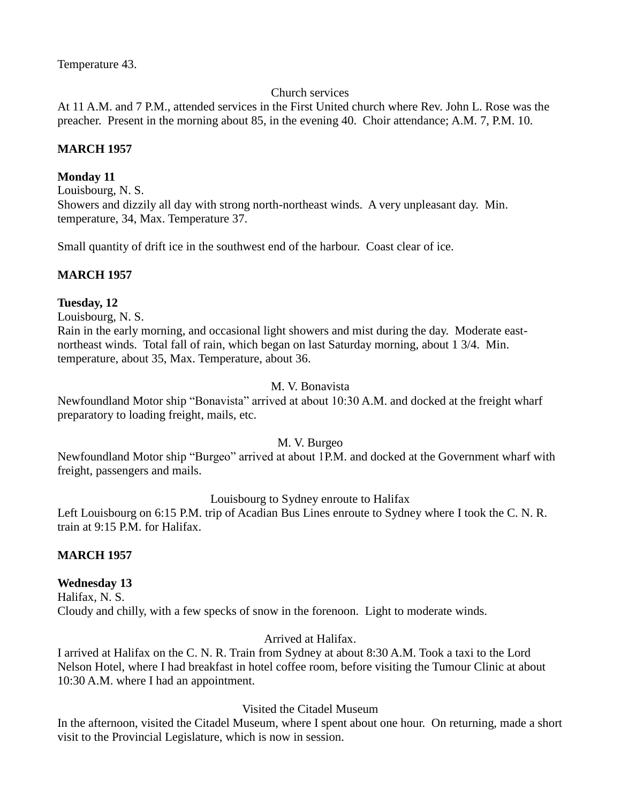Temperature 43.

## Church services

At 11 A.M. and 7 P.M., attended services in the First United church where Rev. John L. Rose was the preacher. Present in the morning about 85, in the evening 40. Choir attendance; A.M. 7, P.M. 10.

# **MARCH 1957**

# **Monday 11**

Louisbourg, N. S. Showers and dizzily all day with strong north-northeast winds. A very unpleasant day. Min. temperature, 34, Max. Temperature 37.

Small quantity of drift ice in the southwest end of the harbour. Coast clear of ice.

# **MARCH 1957**

## **Tuesday, 12**

Louisbourg, N. S.

Rain in the early morning, and occasional light showers and mist during the day. Moderate eastnortheast winds. Total fall of rain, which began on last Saturday morning, about 1 3/4. Min. temperature, about 35, Max. Temperature, about 36.

## M. V. Bonavista

Newfoundland Motor ship "Bonavista" arrived at about 10:30 A.M. and docked at the freight wharf preparatory to loading freight, mails, etc.

## M. V. Burgeo

Newfoundland Motor ship "Burgeo" arrived at about 1P.M. and docked at the Government wharf with freight, passengers and mails.

## Louisbourg to Sydney enroute to Halifax

Left Louisbourg on 6:15 P.M. trip of Acadian Bus Lines enroute to Sydney where I took the C. N. R. train at 9:15 P.M. for Halifax.

## **MARCH 1957**

## **Wednesday 13**

Halifax, N. S. Cloudy and chilly, with a few specks of snow in the forenoon. Light to moderate winds.

# Arrived at Halifax.

I arrived at Halifax on the C. N. R. Train from Sydney at about 8:30 A.M. Took a taxi to the Lord Nelson Hotel, where I had breakfast in hotel coffee room, before visiting the Tumour Clinic at about 10:30 A.M. where I had an appointment.

# Visited the Citadel Museum

In the afternoon, visited the Citadel Museum, where I spent about one hour. On returning, made a short visit to the Provincial Legislature, which is now in session.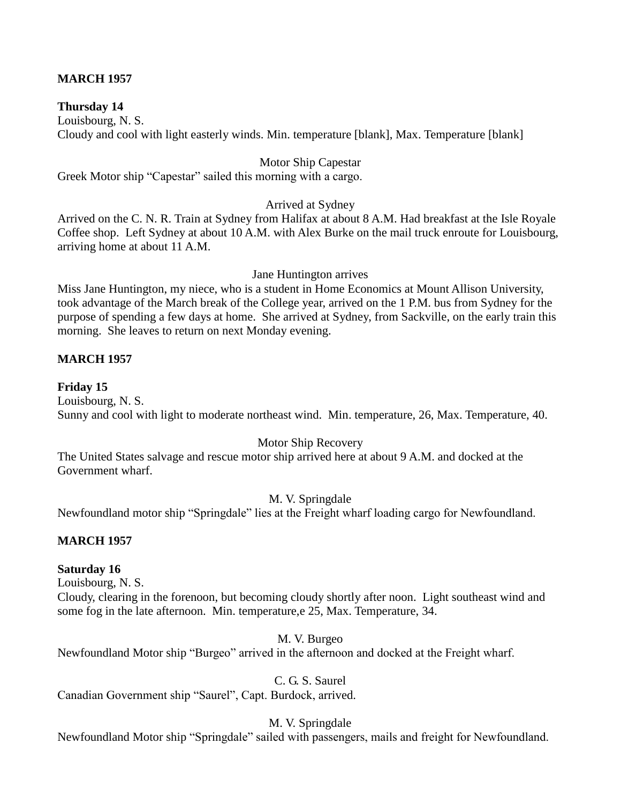## **MARCH 1957**

#### **Thursday 14**

Louisbourg, N. S. Cloudy and cool with light easterly winds. Min. temperature [blank], Max. Temperature [blank]

#### Motor Ship Capestar

Greek Motor ship "Capestar" sailed this morning with a cargo.

#### Arrived at Sydney

Arrived on the C. N. R. Train at Sydney from Halifax at about 8 A.M. Had breakfast at the Isle Royale Coffee shop. Left Sydney at about 10 A.M. with Alex Burke on the mail truck enroute for Louisbourg, arriving home at about 11 A.M.

#### Jane Huntington arrives

Miss Jane Huntington, my niece, who is a student in Home Economics at Mount Allison University, took advantage of the March break of the College year, arrived on the 1 P.M. bus from Sydney for the purpose of spending a few days at home. She arrived at Sydney, from Sackville, on the early train this morning. She leaves to return on next Monday evening.

#### **MARCH 1957**

#### **Friday 15**

Louisbourg, N. S. Sunny and cool with light to moderate northeast wind. Min. temperature, 26, Max. Temperature, 40.

#### Motor Ship Recovery

The United States salvage and rescue motor ship arrived here at about 9 A.M. and docked at the Government wharf.

#### M. V. Springdale

Newfoundland motor ship "Springdale" lies at the Freight wharf loading cargo for Newfoundland.

#### **MARCH 1957**

#### **Saturday 16**

Louisbourg, N. S.

Cloudy, clearing in the forenoon, but becoming cloudy shortly after noon. Light southeast wind and some fog in the late afternoon. Min. temperature, e 25, Max. Temperature, 34.

#### M. V. Burgeo

Newfoundland Motor ship "Burgeo" arrived in the afternoon and docked at the Freight wharf.

C. G. S. Saurel

Canadian Government ship "Saurel", Capt. Burdock, arrived.

#### M. V. Springdale

Newfoundland Motor ship "Springdale" sailed with passengers, mails and freight for Newfoundland.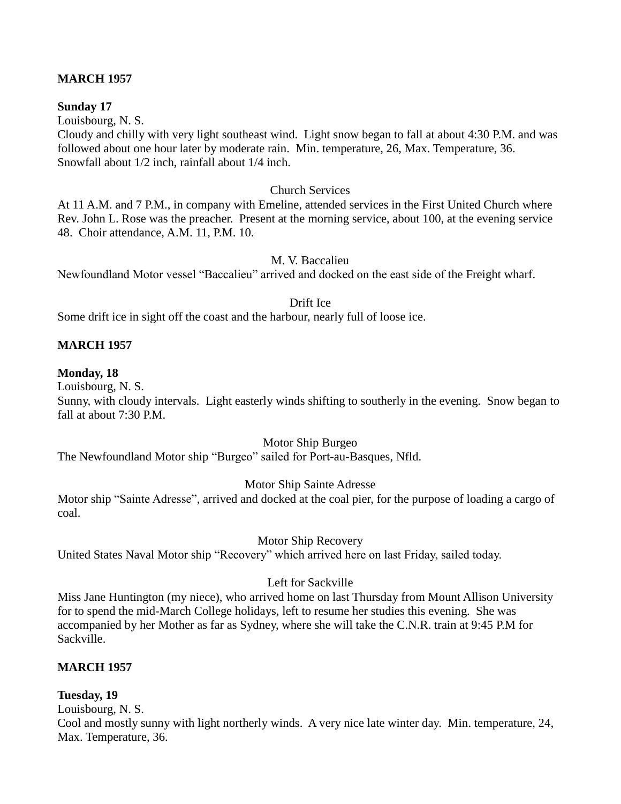## **MARCH 1957**

#### **Sunday 17**

Louisbourg, N. S.

Cloudy and chilly with very light southeast wind. Light snow began to fall at about 4:30 P.M. and was followed about one hour later by moderate rain. Min. temperature, 26, Max. Temperature, 36. Snowfall about 1/2 inch, rainfall about 1/4 inch.

#### Church Services

At 11 A.M. and 7 P.M., in company with Emeline, attended services in the First United Church where Rev. John L. Rose was the preacher. Present at the morning service, about 100, at the evening service 48. Choir attendance, A.M. 11, P.M. 10.

#### M. V. Baccalieu

Newfoundland Motor vessel "Baccalieu" arrived and docked on the east side of the Freight wharf.

#### Drift Ice

Some drift ice in sight off the coast and the harbour, nearly full of loose ice.

#### **MARCH 1957**

#### **Monday, 18**

Louisbourg, N. S.

Sunny, with cloudy intervals. Light easterly winds shifting to southerly in the evening. Snow began to fall at about 7:30 P.M.

Motor Ship Burgeo

The Newfoundland Motor ship "Burgeo" sailed for Port-au-Basques, Nfld.

## Motor Ship Sainte Adresse

Motor ship "Sainte Adresse", arrived and docked at the coal pier, for the purpose of loading a cargo of coal.

Motor Ship Recovery

United States Naval Motor ship "Recovery" which arrived here on last Friday, sailed today.

#### Left for Sackville

Miss Jane Huntington (my niece), who arrived home on last Thursday from Mount Allison University for to spend the mid-March College holidays, left to resume her studies this evening. She was accompanied by her Mother as far as Sydney, where she will take the C.N.R. train at 9:45 P.M for Sackville.

## **MARCH 1957**

#### **Tuesday, 19**

Louisbourg, N. S.

Cool and mostly sunny with light northerly winds. A very nice late winter day. Min. temperature, 24, Max. Temperature, 36.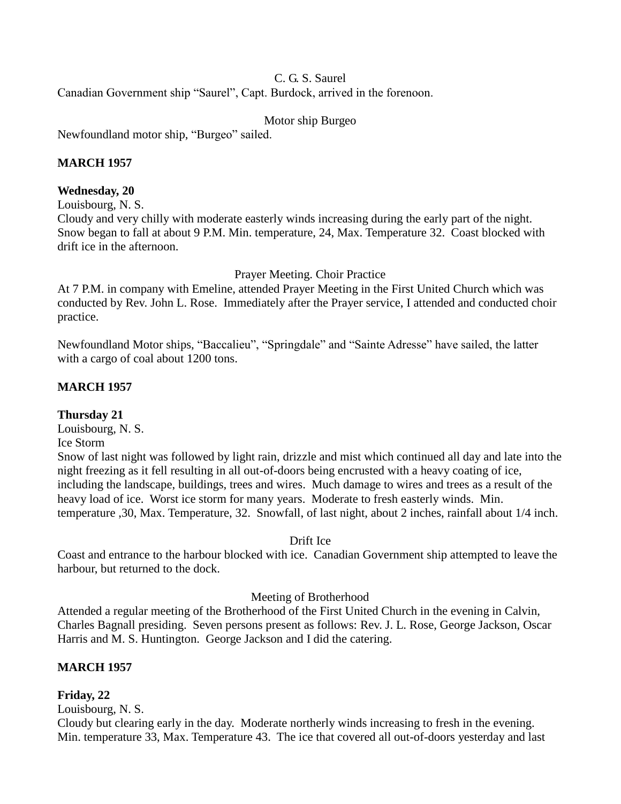## C. G. S. Saurel

Canadian Government ship "Saurel", Capt. Burdock, arrived in the forenoon.

Motor ship Burgeo

Newfoundland motor ship, "Burgeo" sailed.

# **MARCH 1957**

## **Wednesday, 20**

Louisbourg, N. S.

Cloudy and very chilly with moderate easterly winds increasing during the early part of the night. Snow began to fall at about 9 P.M. Min. temperature, 24, Max. Temperature 32. Coast blocked with drift ice in the afternoon.

Prayer Meeting. Choir Practice

At 7 P.M. in company with Emeline, attended Prayer Meeting in the First United Church which was conducted by Rev. John L. Rose. Immediately after the Prayer service, I attended and conducted choir practice.

Newfoundland Motor ships, "Baccalieu", "Springdale" and "Sainte Adresse" have sailed, the latter with a cargo of coal about 1200 tons.

# **MARCH 1957**

## **Thursday 21**

Louisbourg, N. S.

Ice Storm

Snow of last night was followed by light rain, drizzle and mist which continued all day and late into the night freezing as it fell resulting in all out-of-doors being encrusted with a heavy coating of ice, including the landscape, buildings, trees and wires. Much damage to wires and trees as a result of the heavy load of ice. Worst ice storm for many years. Moderate to fresh easterly winds. Min. temperature ,30, Max. Temperature, 32. Snowfall, of last night, about 2 inches, rainfall about 1/4 inch.

## Drift Ice

Coast and entrance to the harbour blocked with ice. Canadian Government ship attempted to leave the harbour, but returned to the dock.

## Meeting of Brotherhood

Attended a regular meeting of the Brotherhood of the First United Church in the evening in Calvin, Charles Bagnall presiding. Seven persons present as follows: Rev. J. L. Rose, George Jackson, Oscar Harris and M. S. Huntington. George Jackson and I did the catering.

# **MARCH 1957**

## **Friday, 22**

Louisbourg, N. S.

Cloudy but clearing early in the day. Moderate northerly winds increasing to fresh in the evening. Min. temperature 33, Max. Temperature 43. The ice that covered all out-of-doors yesterday and last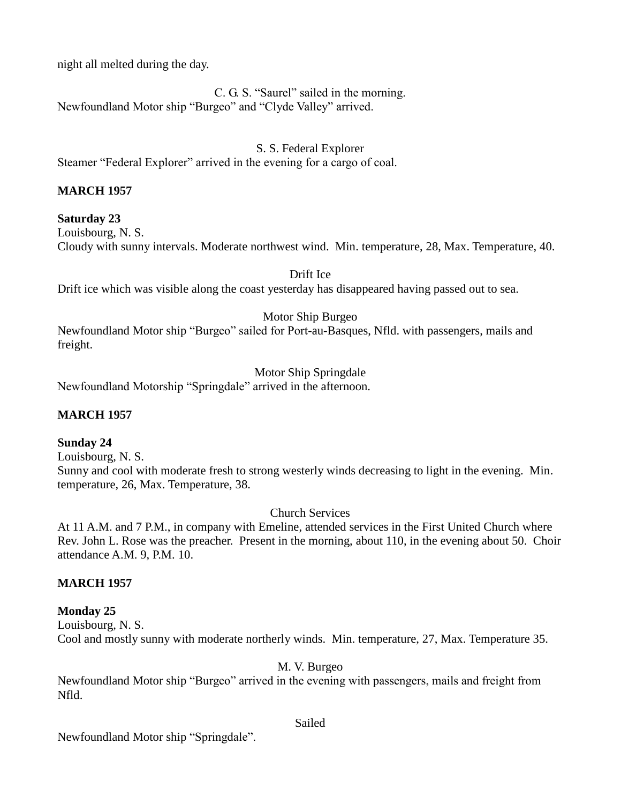night all melted during the day.

C. G. S. "Saurel" sailed in the morning. Newfoundland Motor ship "Burgeo" and "Clyde Valley" arrived.

S. S. Federal Explorer

Steamer "Federal Explorer" arrived in the evening for a cargo of coal.

## **MARCH 1957**

**Saturday 23** Louisbourg, N. S. Cloudy with sunny intervals. Moderate northwest wind. Min. temperature, 28, Max. Temperature, 40.

Drift Ice

Drift ice which was visible along the coast yesterday has disappeared having passed out to sea.

## Motor Ship Burgeo

Newfoundland Motor ship "Burgeo" sailed for Port-au-Basques, Nfld. with passengers, mails and freight.

Motor Ship Springdale

Newfoundland Motorship "Springdale" arrived in the afternoon.

## **MARCH 1957**

#### **Sunday 24**

Louisbourg, N. S.

Sunny and cool with moderate fresh to strong westerly winds decreasing to light in the evening. Min. temperature, 26, Max. Temperature, 38.

Church Services

At 11 A.M. and 7 P.M., in company with Emeline, attended services in the First United Church where Rev. John L. Rose was the preacher. Present in the morning, about 110, in the evening about 50. Choir attendance A.M. 9, P.M. 10.

## **MARCH 1957**

## **Monday 25**

Louisbourg, N. S. Cool and mostly sunny with moderate northerly winds. Min. temperature, 27, Max. Temperature 35.

M. V. Burgeo

Newfoundland Motor ship "Burgeo" arrived in the evening with passengers, mails and freight from Nfld.

Newfoundland Motor ship "Springdale".

#### Sailed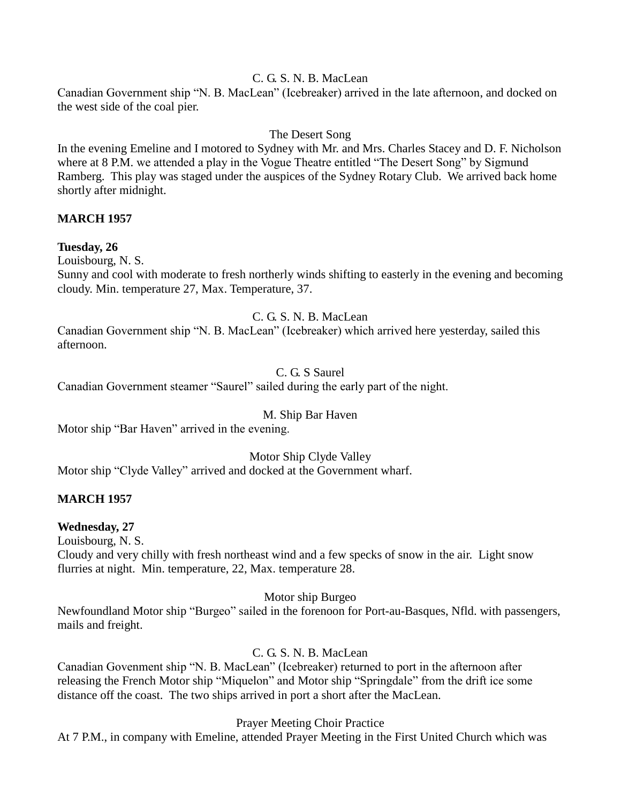## C. G. S. N. B. MacLean

Canadian Government ship "N. B. MacLean" (Icebreaker) arrived in the late afternoon, and docked on the west side of the coal pier.

## The Desert Song

In the evening Emeline and I motored to Sydney with Mr. and Mrs. Charles Stacey and D. F. Nicholson where at 8 P.M. we attended a play in the Vogue Theatre entitled "The Desert Song" by Sigmund Ramberg. This play was staged under the auspices of the Sydney Rotary Club. We arrived back home shortly after midnight.

## **MARCH 1957**

## **Tuesday, 26**

Louisbourg, N. S.

Sunny and cool with moderate to fresh northerly winds shifting to easterly in the evening and becoming cloudy. Min. temperature 27, Max. Temperature, 37.

#### C. G. S. N. B. MacLean

Canadian Government ship "N. B. MacLean" (Icebreaker) which arrived here yesterday, sailed this afternoon.

## C. G. S Saurel

Canadian Government steamer "Saurel" sailed during the early part of the night.

## M. Ship Bar Haven

Motor ship "Bar Haven" arrived in the evening.

Motor Ship Clyde Valley Motor ship "Clyde Valley" arrived and docked at the Government wharf.

## **MARCH 1957**

## **Wednesday, 27**

Louisbourg, N. S.

Cloudy and very chilly with fresh northeast wind and a few specks of snow in the air. Light snow flurries at night. Min. temperature, 22, Max. temperature 28.

#### Motor ship Burgeo

Newfoundland Motor ship "Burgeo" sailed in the forenoon for Port-au-Basques, Nfld. with passengers, mails and freight.

# C. G. S. N. B. MacLean

Canadian Govenment ship "N. B. MacLean" (Icebreaker) returned to port in the afternoon after releasing the French Motor ship "Miquelon" and Motor ship "Springdale" from the drift ice some distance off the coast. The two ships arrived in port a short after the MacLean.

Prayer Meeting Choir Practice

At 7 P.M., in company with Emeline, attended Prayer Meeting in the First United Church which was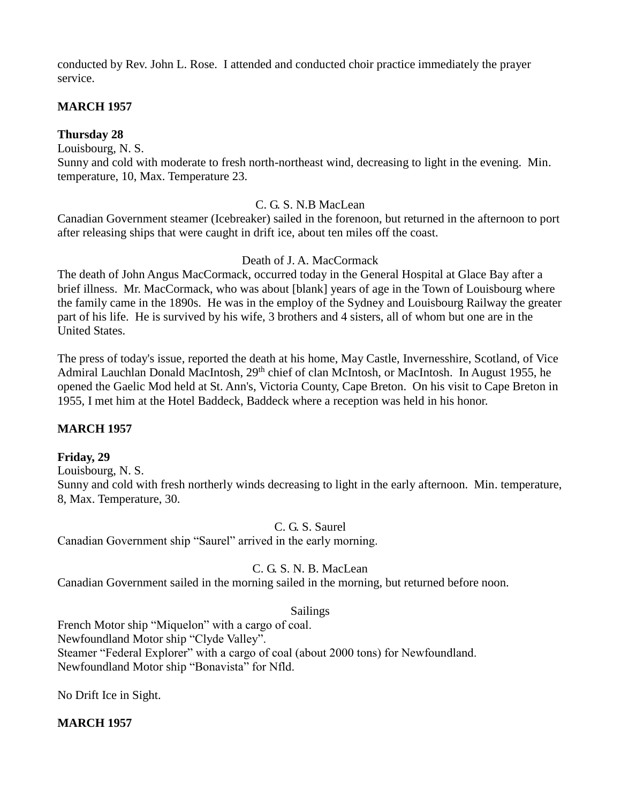conducted by Rev. John L. Rose. I attended and conducted choir practice immediately the prayer service.

# **MARCH 1957**

**Thursday 28**

Louisbourg, N. S.

Sunny and cold with moderate to fresh north-northeast wind, decreasing to light in the evening. Min. temperature, 10, Max. Temperature 23.

## C. G. S. N.B MacLean

Canadian Government steamer (Icebreaker) sailed in the forenoon, but returned in the afternoon to port after releasing ships that were caught in drift ice, about ten miles off the coast.

## Death of J. A. MacCormack

The death of John Angus MacCormack, occurred today in the General Hospital at Glace Bay after a brief illness. Mr. MacCormack, who was about [blank] years of age in the Town of Louisbourg where the family came in the 1890s. He was in the employ of the Sydney and Louisbourg Railway the greater part of his life. He is survived by his wife, 3 brothers and 4 sisters, all of whom but one are in the United States.

The press of today's issue, reported the death at his home, May Castle, Invernesshire, Scotland, of Vice Admiral Lauchlan Donald MacIntosh, 29<sup>th</sup> chief of clan McIntosh, or MacIntosh. In August 1955, he opened the Gaelic Mod held at St. Ann's, Victoria County, Cape Breton. On his visit to Cape Breton in 1955, I met him at the Hotel Baddeck, Baddeck where a reception was held in his honor.

# **MARCH 1957**

## **Friday, 29**

Louisbourg, N. S. Sunny and cold with fresh northerly winds decreasing to light in the early afternoon. Min. temperature, 8, Max. Temperature, 30.

#### C. G. S. Saurel

Canadian Government ship "Saurel" arrived in the early morning.

## C. G. S. N. B. MacLean

Canadian Government sailed in the morning sailed in the morning, but returned before noon.

## Sailings

French Motor ship "Miquelon" with a cargo of coal. Newfoundland Motor ship "Clyde Valley". Steamer "Federal Explorer" with a cargo of coal (about 2000 tons) for Newfoundland. Newfoundland Motor ship "Bonavista" for Nfld.

No Drift Ice in Sight.

## **MARCH 1957**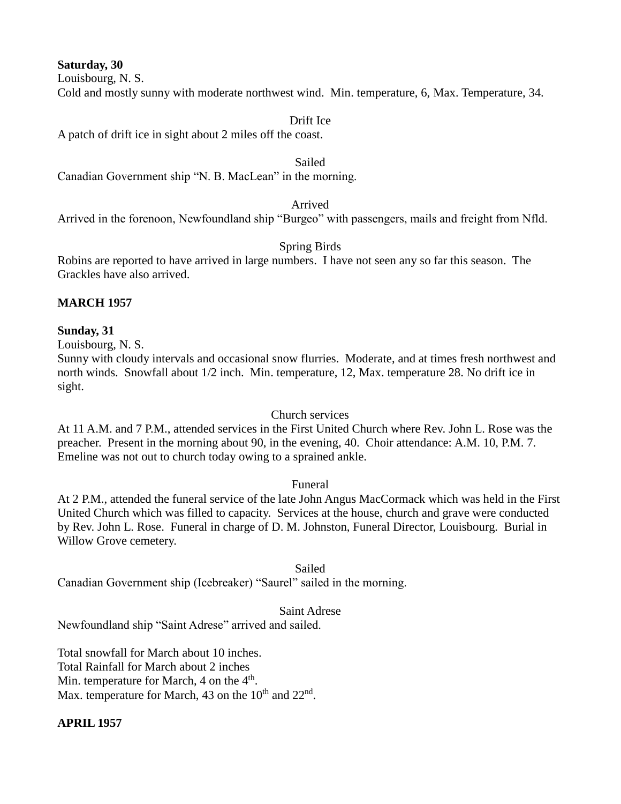**Saturday, 30**

Louisbourg, N. S.

Cold and mostly sunny with moderate northwest wind. Min. temperature, 6, Max. Temperature, 34.

#### Drift Ice

A patch of drift ice in sight about 2 miles off the coast.

#### Sailed

Canadian Government ship "N. B. MacLean" in the morning.

#### Arrived

Arrived in the forenoon, Newfoundland ship "Burgeo" with passengers, mails and freight from Nfld.

## Spring Birds

Robins are reported to have arrived in large numbers. I have not seen any so far this season. The Grackles have also arrived.

## **MARCH 1957**

#### **Sunday, 31**

Louisbourg, N. S.

Sunny with cloudy intervals and occasional snow flurries. Moderate, and at times fresh northwest and north winds. Snowfall about 1/2 inch. Min. temperature, 12, Max. temperature 28. No drift ice in sight.

#### Church services

At 11 A.M. and 7 P.M., attended services in the First United Church where Rev. John L. Rose was the preacher. Present in the morning about 90, in the evening, 40. Choir attendance: A.M. 10, P.M. 7. Emeline was not out to church today owing to a sprained ankle.

## Funeral

At 2 P.M., attended the funeral service of the late John Angus MacCormack which was held in the First United Church which was filled to capacity. Services at the house, church and grave were conducted by Rev. John L. Rose. Funeral in charge of D. M. Johnston, Funeral Director, Louisbourg. Burial in Willow Grove cemetery.

#### Sailed

Canadian Government ship (Icebreaker) "Saurel" sailed in the morning.

#### Saint Adrese

Newfoundland ship "Saint Adrese" arrived and sailed.

Total snowfall for March about 10 inches. Total Rainfall for March about 2 inches Min. temperature for March, 4 on the 4<sup>th</sup>. Max. temperature for March, 43 on the  $10^{th}$  and  $22^{nd}$ .

## **APRIL 1957**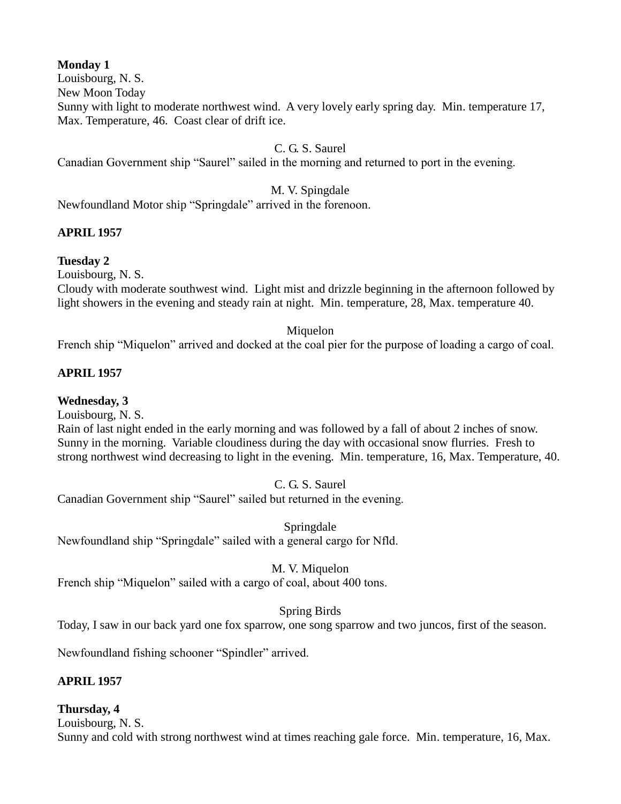# **Monday 1**

Louisbourg, N. S.

New Moon Today

Sunny with light to moderate northwest wind. A very lovely early spring day. Min. temperature 17, Max. Temperature, 46. Coast clear of drift ice.

C. G. S. Saurel

Canadian Government ship "Saurel" sailed in the morning and returned to port in the evening.

M. V. Spingdale

Newfoundland Motor ship "Springdale" arrived in the forenoon.

# **APRIL 1957**

**Tuesday 2**

Louisbourg, N. S.

Cloudy with moderate southwest wind. Light mist and drizzle beginning in the afternoon followed by light showers in the evening and steady rain at night. Min. temperature, 28, Max. temperature 40.

## Miquelon

French ship "Miquelon" arrived and docked at the coal pier for the purpose of loading a cargo of coal.

# **APRIL 1957**

# **Wednesday, 3**

Louisbourg, N. S.

Rain of last night ended in the early morning and was followed by a fall of about 2 inches of snow. Sunny in the morning. Variable cloudiness during the day with occasional snow flurries. Fresh to strong northwest wind decreasing to light in the evening. Min. temperature, 16, Max. Temperature, 40.

C. G. S. Saurel

Canadian Government ship "Saurel" sailed but returned in the evening.

Springdale Newfoundland ship "Springdale" sailed with a general cargo for Nfld.

# M. V. Miquelon

French ship "Miquelon" sailed with a cargo of coal, about 400 tons.

Spring Birds

Today, I saw in our back yard one fox sparrow, one song sparrow and two juncos, first of the season.

Newfoundland fishing schooner "Spindler" arrived.

# **APRIL 1957**

# **Thursday, 4**

Louisbourg, N. S. Sunny and cold with strong northwest wind at times reaching gale force. Min. temperature, 16, Max.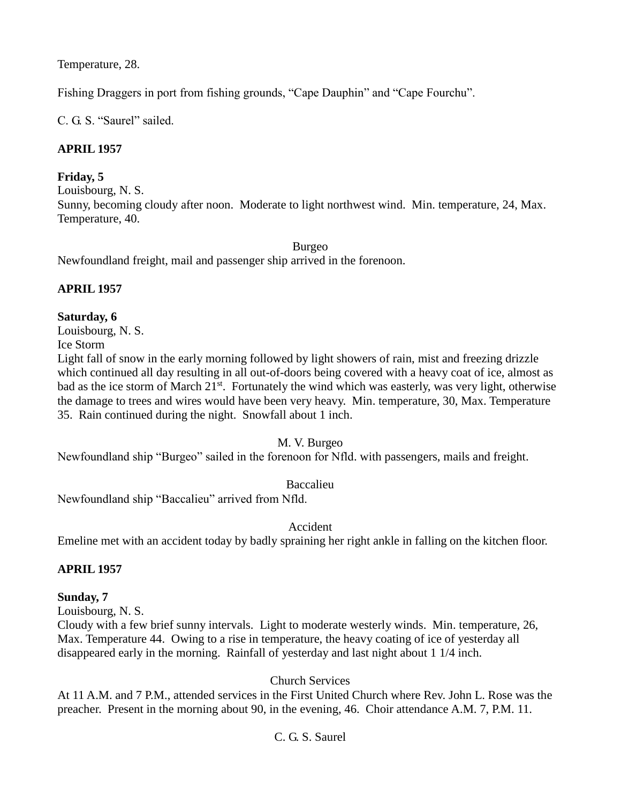Temperature, 28.

Fishing Draggers in port from fishing grounds, "Cape Dauphin" and "Cape Fourchu".

C. G. S. "Saurel" sailed.

# **APRIL 1957**

# **Friday, 5**

Louisbourg, N. S. Sunny, becoming cloudy after noon. Moderate to light northwest wind. Min. temperature, 24, Max. Temperature, 40.

Burgeo

Newfoundland freight, mail and passenger ship arrived in the forenoon.

# **APRIL 1957**

# **Saturday, 6**

Louisbourg, N. S.

Ice Storm

Light fall of snow in the early morning followed by light showers of rain, mist and freezing drizzle which continued all day resulting in all out-of-doors being covered with a heavy coat of ice, almost as bad as the ice storm of March 21<sup>st</sup>. Fortunately the wind which was easterly, was very light, otherwise the damage to trees and wires would have been very heavy. Min. temperature, 30, Max. Temperature 35. Rain continued during the night. Snowfall about 1 inch.

M. V. Burgeo

Newfoundland ship "Burgeo" sailed in the forenoon for Nfld. with passengers, mails and freight.

Baccalieu

Newfoundland ship "Baccalieu" arrived from Nfld.

Accident

Emeline met with an accident today by badly spraining her right ankle in falling on the kitchen floor.

# **APRIL 1957**

# **Sunday, 7**

Louisbourg, N. S.

Cloudy with a few brief sunny intervals. Light to moderate westerly winds. Min. temperature, 26, Max. Temperature 44. Owing to a rise in temperature, the heavy coating of ice of yesterday all disappeared early in the morning. Rainfall of yesterday and last night about 1 1/4 inch.

Church Services

At 11 A.M. and 7 P.M., attended services in the First United Church where Rev. John L. Rose was the preacher. Present in the morning about 90, in the evening, 46. Choir attendance A.M. 7, P.M. 11.

# C. G. S. Saurel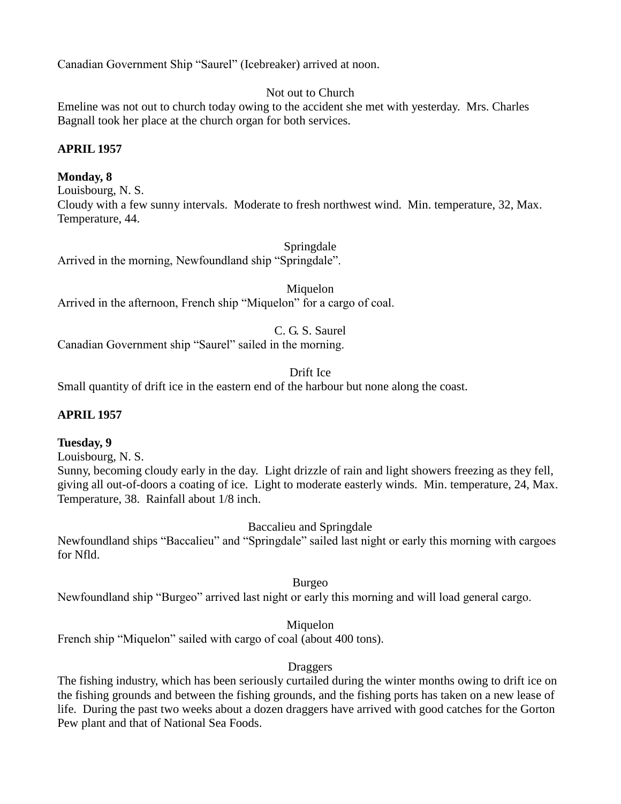Canadian Government Ship "Saurel" (Icebreaker) arrived at noon.

Not out to Church

Emeline was not out to church today owing to the accident she met with yesterday. Mrs. Charles Bagnall took her place at the church organ for both services.

# **APRIL 1957**

# **Monday, 8**

Louisbourg, N. S. Cloudy with a few sunny intervals. Moderate to fresh northwest wind. Min. temperature, 32, Max. Temperature, 44.

Springdale

Arrived in the morning, Newfoundland ship "Springdale".

Miquelon Arrived in the afternoon, French ship "Miquelon" for a cargo of coal.

C. G. S. Saurel

Canadian Government ship "Saurel" sailed in the morning.

Drift Ice

Small quantity of drift ice in the eastern end of the harbour but none along the coast.

## **APRIL 1957**

## **Tuesday, 9**

Louisbourg, N. S.

Sunny, becoming cloudy early in the day. Light drizzle of rain and light showers freezing as they fell, giving all out-of-doors a coating of ice. Light to moderate easterly winds. Min. temperature, 24, Max. Temperature, 38. Rainfall about 1/8 inch.

Baccalieu and Springdale

Newfoundland ships "Baccalieu" and "Springdale" sailed last night or early this morning with cargoes for Nfld.

Burgeo

Newfoundland ship "Burgeo" arrived last night or early this morning and will load general cargo.

Miquelon

French ship "Miquelon" sailed with cargo of coal (about 400 tons).

## Draggers

The fishing industry, which has been seriously curtailed during the winter months owing to drift ice on the fishing grounds and between the fishing grounds, and the fishing ports has taken on a new lease of life. During the past two weeks about a dozen draggers have arrived with good catches for the Gorton Pew plant and that of National Sea Foods.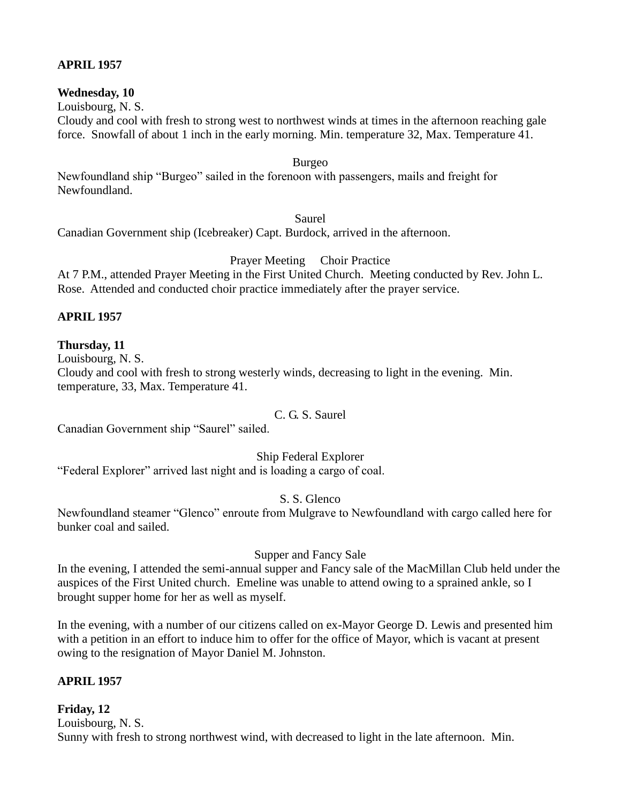## **APRIL 1957**

#### **Wednesday, 10**

Louisbourg, N. S.

Cloudy and cool with fresh to strong west to northwest winds at times in the afternoon reaching gale force. Snowfall of about 1 inch in the early morning. Min. temperature 32, Max. Temperature 41.

Burgeo

Newfoundland ship "Burgeo" sailed in the forenoon with passengers, mails and freight for Newfoundland.

Saurel

Canadian Government ship (Icebreaker) Capt. Burdock, arrived in the afternoon.

Prayer Meeting Choir Practice

At 7 P.M., attended Prayer Meeting in the First United Church. Meeting conducted by Rev. John L. Rose. Attended and conducted choir practice immediately after the prayer service.

## **APRIL 1957**

## **Thursday, 11**

Louisbourg, N. S.

Cloudy and cool with fresh to strong westerly winds, decreasing to light in the evening. Min. temperature, 33, Max. Temperature 41.

#### C. G. S. Saurel

Canadian Government ship "Saurel" sailed.

Ship Federal Explorer

"Federal Explorer" arrived last night and is loading a cargo of coal.

## S. S. Glenco

Newfoundland steamer "Glenco" enroute from Mulgrave to Newfoundland with cargo called here for bunker coal and sailed.

Supper and Fancy Sale

In the evening, I attended the semi-annual supper and Fancy sale of the MacMillan Club held under the auspices of the First United church. Emeline was unable to attend owing to a sprained ankle, so I brought supper home for her as well as myself.

In the evening, with a number of our citizens called on ex-Mayor George D. Lewis and presented him with a petition in an effort to induce him to offer for the office of Mayor, which is vacant at present owing to the resignation of Mayor Daniel M. Johnston.

## **APRIL 1957**

**Friday, 12** Louisbourg, N. S. Sunny with fresh to strong northwest wind, with decreased to light in the late afternoon. Min.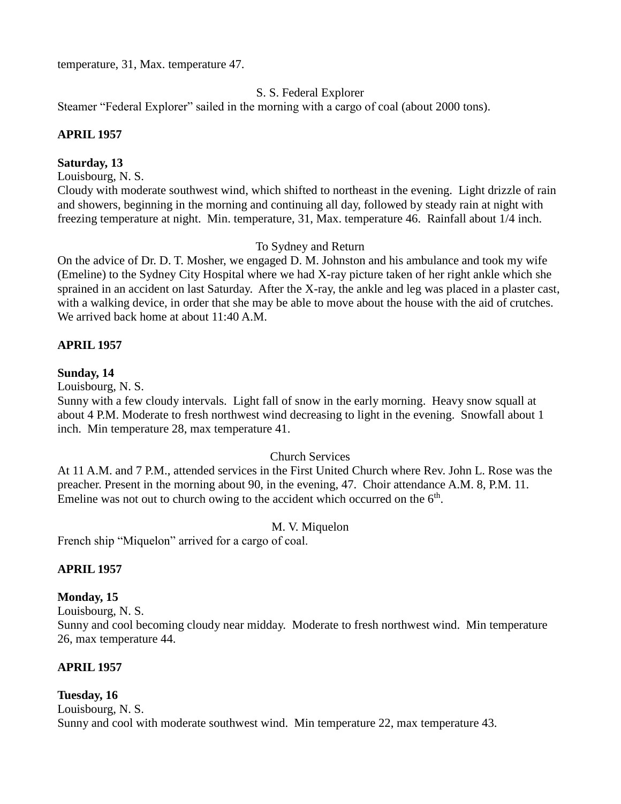temperature, 31, Max. temperature 47.

## S. S. Federal Explorer

Steamer "Federal Explorer" sailed in the morning with a cargo of coal (about 2000 tons).

#### **APRIL 1957**

#### **Saturday, 13**

Louisbourg, N. S.

Cloudy with moderate southwest wind, which shifted to northeast in the evening. Light drizzle of rain and showers, beginning in the morning and continuing all day, followed by steady rain at night with freezing temperature at night. Min. temperature, 31, Max. temperature 46. Rainfall about 1/4 inch.

#### To Sydney and Return

On the advice of Dr. D. T. Mosher, we engaged D. M. Johnston and his ambulance and took my wife (Emeline) to the Sydney City Hospital where we had X-ray picture taken of her right ankle which she sprained in an accident on last Saturday. After the X-ray, the ankle and leg was placed in a plaster cast, with a walking device, in order that she may be able to move about the house with the aid of crutches. We arrived back home at about 11:40 A.M.

#### **APRIL 1957**

#### **Sunday, 14**

Louisbourg, N. S.

Sunny with a few cloudy intervals. Light fall of snow in the early morning. Heavy snow squall at about 4 P.M. Moderate to fresh northwest wind decreasing to light in the evening. Snowfall about 1 inch. Min temperature 28, max temperature 41.

#### Church Services

At 11 A.M. and 7 P.M., attended services in the First United Church where Rev. John L. Rose was the preacher. Present in the morning about 90, in the evening, 47. Choir attendance A.M. 8, P.M. 11. Emeline was not out to church owing to the accident which occurred on the  $6<sup>th</sup>$ .

#### M. V. Miquelon

French ship "Miquelon" arrived for a cargo of coal.

#### **APRIL 1957**

#### **Monday, 15**

Louisbourg, N. S.

Sunny and cool becoming cloudy near midday. Moderate to fresh northwest wind. Min temperature 26, max temperature 44.

#### **APRIL 1957**

#### **Tuesday, 16**

Louisbourg, N. S. Sunny and cool with moderate southwest wind. Min temperature 22, max temperature 43.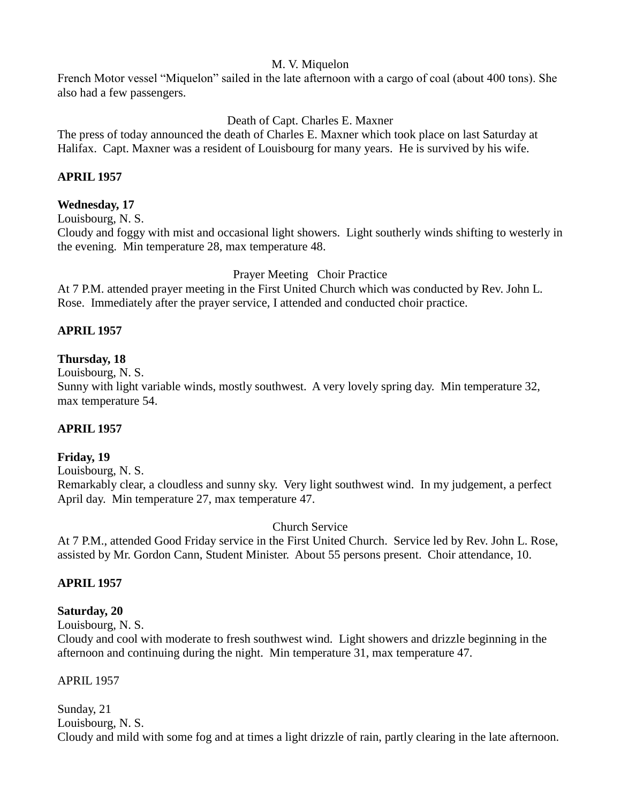## M. V. Miquelon

French Motor vessel "Miquelon" sailed in the late afternoon with a cargo of coal (about 400 tons). She also had a few passengers.

# Death of Capt. Charles E. Maxner

The press of today announced the death of Charles E. Maxner which took place on last Saturday at Halifax. Capt. Maxner was a resident of Louisbourg for many years. He is survived by his wife.

## **APRIL 1957**

## **Wednesday, 17**

Louisbourg, N. S.

Cloudy and foggy with mist and occasional light showers. Light southerly winds shifting to westerly in the evening. Min temperature 28, max temperature 48.

Prayer Meeting Choir Practice

At 7 P.M. attended prayer meeting in the First United Church which was conducted by Rev. John L. Rose. Immediately after the prayer service, I attended and conducted choir practice.

## **APRIL 1957**

## **Thursday, 18**

Louisbourg, N. S.

Sunny with light variable winds, mostly southwest. A very lovely spring day. Min temperature 32, max temperature 54.

## **APRIL 1957**

## **Friday, 19**

Louisbourg, N. S.

Remarkably clear, a cloudless and sunny sky. Very light southwest wind. In my judgement, a perfect April day. Min temperature 27, max temperature 47.

#### Church Service

At 7 P.M., attended Good Friday service in the First United Church. Service led by Rev. John L. Rose, assisted by Mr. Gordon Cann, Student Minister. About 55 persons present. Choir attendance, 10.

#### **APRIL 1957**

## **Saturday, 20**

Louisbourg, N. S.

Cloudy and cool with moderate to fresh southwest wind. Light showers and drizzle beginning in the afternoon and continuing during the night. Min temperature 31, max temperature 47.

#### APRIL 1957

Sunday, 21 Louisbourg, N. S. Cloudy and mild with some fog and at times a light drizzle of rain, partly clearing in the late afternoon.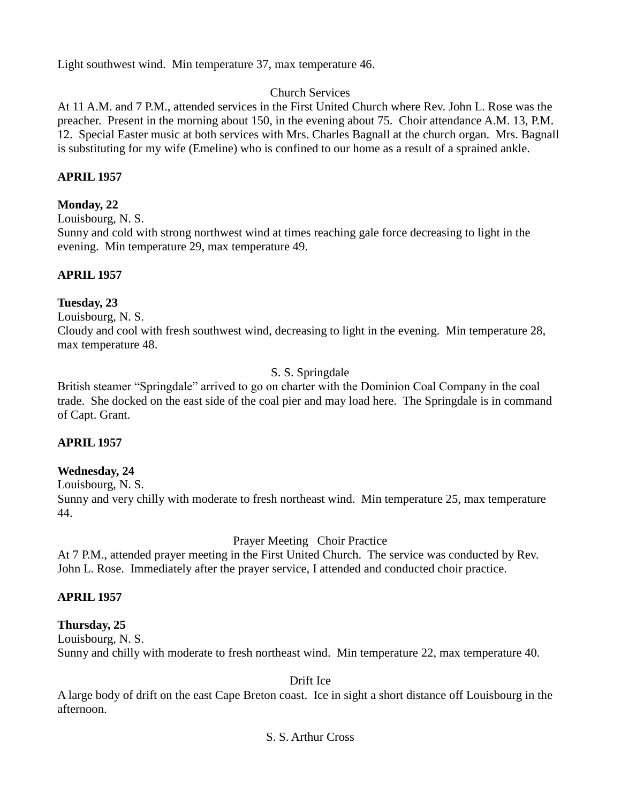Light southwest wind. Min temperature 37, max temperature 46.

# Church Services

At 11 A.M. and 7 P.M., attended services in the First United Church where Rev. John L. Rose was the preacher. Present in the morning about 150, in the evening about 75. Choir attendance A.M. 13, P.M. 12. Special Easter music at both services with Mrs. Charles Bagnall at the church organ. Mrs. Bagnall is substituting for my wife (Emeline) who is confined to our home as a result of a sprained ankle.

# **APRIL 1957**

# **Monday, 22**

Louisbourg, N. S.

Sunny and cold with strong northwest wind at times reaching gale force decreasing to light in the evening. Min temperature 29, max temperature 49.

# **APRIL 1957**

# **Tuesday, 23**

Louisbourg, N. S.

Cloudy and cool with fresh southwest wind, decreasing to light in the evening. Min temperature 28, max temperature 48.

# S. S. Springdale

British steamer "Springdale" arrived to go on charter with the Dominion Coal Company in the coal trade. She docked on the east side of the coal pier and may load here. The Springdale is in command of Capt. Grant.

# **APRIL 1957**

# **Wednesday, 24**

Louisbourg, N. S.

Sunny and very chilly with moderate to fresh northeast wind. Min temperature 25, max temperature 44.

# Prayer Meeting Choir Practice

At 7 P.M., attended prayer meeting in the First United Church. The service was conducted by Rev. John L. Rose. Immediately after the prayer service, I attended and conducted choir practice.

# **APRIL 1957**

# **Thursday, 25**

Louisbourg, N. S.

Sunny and chilly with moderate to fresh northeast wind. Min temperature 22, max temperature 40.

Drift Ice

A large body of drift on the east Cape Breton coast. Ice in sight a short distance off Louisbourg in the afternoon.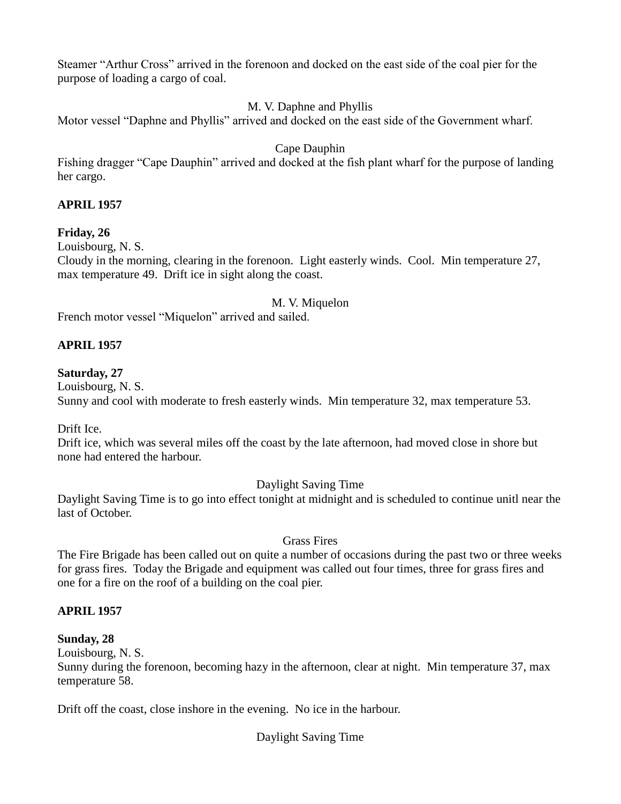Steamer "Arthur Cross" arrived in the forenoon and docked on the east side of the coal pier for the purpose of loading a cargo of coal.

# M. V. Daphne and Phyllis

Motor vessel "Daphne and Phyllis" arrived and docked on the east side of the Government wharf.

# Cape Dauphin

Fishing dragger "Cape Dauphin" arrived and docked at the fish plant wharf for the purpose of landing her cargo.

# **APRIL 1957**

# **Friday, 26**

Louisbourg, N. S.

Cloudy in the morning, clearing in the forenoon. Light easterly winds. Cool. Min temperature 27, max temperature 49. Drift ice in sight along the coast.

# M. V. Miquelon

French motor vessel "Miquelon" arrived and sailed.

# **APRIL 1957**

# **Saturday, 27**

Louisbourg, N. S. Sunny and cool with moderate to fresh easterly winds. Min temperature 32, max temperature 53.

Drift Ice.

Drift ice, which was several miles off the coast by the late afternoon, had moved close in shore but none had entered the harbour.

# Daylight Saving Time

Daylight Saving Time is to go into effect tonight at midnight and is scheduled to continue unitl near the last of October.

# Grass Fires

The Fire Brigade has been called out on quite a number of occasions during the past two or three weeks for grass fires. Today the Brigade and equipment was called out four times, three for grass fires and one for a fire on the roof of a building on the coal pier.

# **APRIL 1957**

# **Sunday, 28**

Louisbourg, N. S.

Sunny during the forenoon, becoming hazy in the afternoon, clear at night. Min temperature 37, max temperature 58.

Drift off the coast, close inshore in the evening. No ice in the harbour.

Daylight Saving Time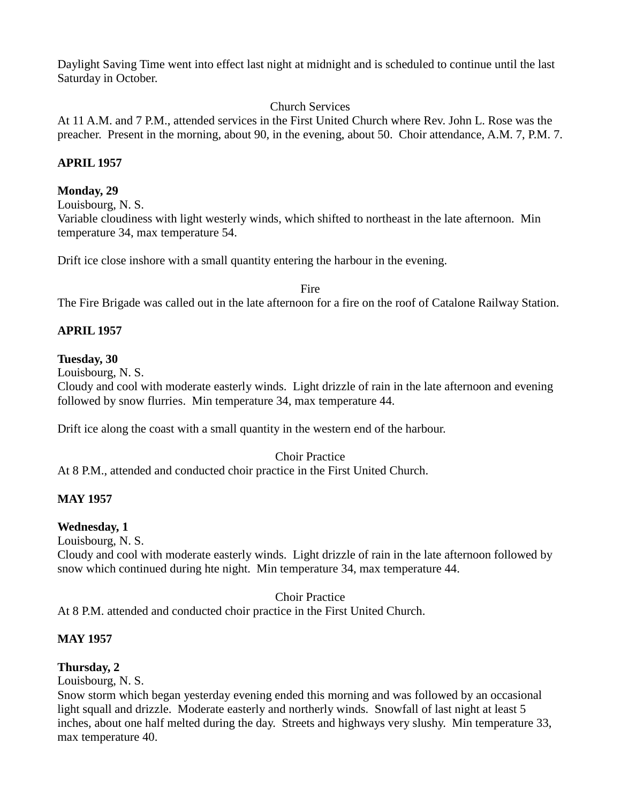Daylight Saving Time went into effect last night at midnight and is scheduled to continue until the last Saturday in October.

# Church Services

At 11 A.M. and 7 P.M., attended services in the First United Church where Rev. John L. Rose was the preacher. Present in the morning, about 90, in the evening, about 50. Choir attendance, A.M. 7, P.M. 7.

# **APRIL 1957**

# **Monday, 29**

Louisbourg, N. S.

Variable cloudiness with light westerly winds, which shifted to northeast in the late afternoon. Min temperature 34, max temperature 54.

Drift ice close inshore with a small quantity entering the harbour in the evening.

Fire The Fire Brigade was called out in the late afternoon for a fire on the roof of Catalone Railway Station.

# **APRIL 1957**

# **Tuesday, 30**

Louisbourg, N. S.

Cloudy and cool with moderate easterly winds. Light drizzle of rain in the late afternoon and evening followed by snow flurries. Min temperature 34, max temperature 44.

Drift ice along the coast with a small quantity in the western end of the harbour.

Choir Practice At 8 P.M., attended and conducted choir practice in the First United Church.

# **MAY 1957**

# **Wednesday, 1**

Louisbourg, N. S.

Cloudy and cool with moderate easterly winds. Light drizzle of rain in the late afternoon followed by snow which continued during hte night. Min temperature 34, max temperature 44.

Choir Practice

At 8 P.M. attended and conducted choir practice in the First United Church.

# **MAY 1957**

# **Thursday, 2**

Louisbourg, N. S.

Snow storm which began yesterday evening ended this morning and was followed by an occasional light squall and drizzle. Moderate easterly and northerly winds. Snowfall of last night at least 5 inches, about one half melted during the day. Streets and highways very slushy. Min temperature 33, max temperature 40.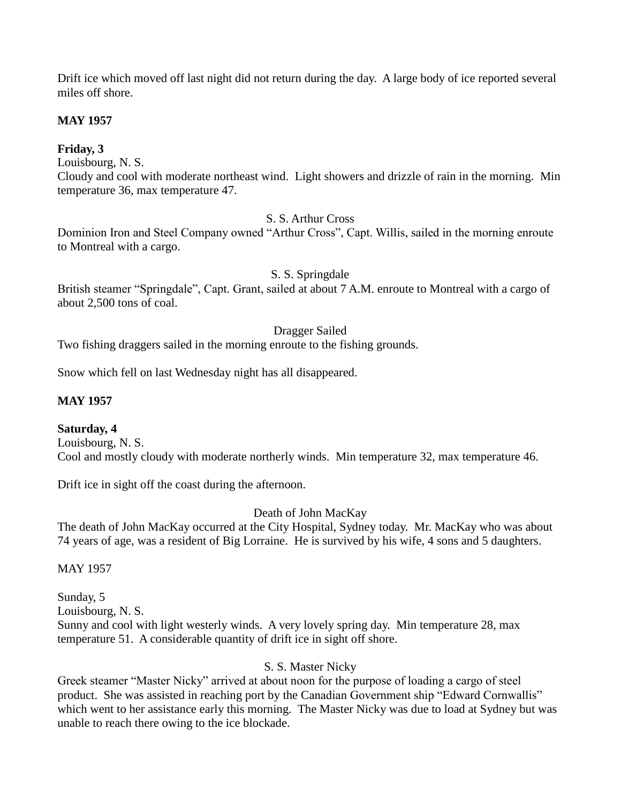Drift ice which moved off last night did not return during the day. A large body of ice reported several miles off shore.

# **MAY 1957**

# **Friday, 3**

Louisbourg, N. S.

Cloudy and cool with moderate northeast wind. Light showers and drizzle of rain in the morning. Min temperature 36, max temperature 47.

# S. S. Arthur Cross

Dominion Iron and Steel Company owned "Arthur Cross", Capt. Willis, sailed in the morning enroute to Montreal with a cargo.

# S. S. Springdale

British steamer "Springdale", Capt. Grant, sailed at about 7 A.M. enroute to Montreal with a cargo of about 2,500 tons of coal.

# Dragger Sailed

Two fishing draggers sailed in the morning enroute to the fishing grounds.

Snow which fell on last Wednesday night has all disappeared.

# **MAY 1957**

# **Saturday, 4**

Louisbourg, N. S. Cool and mostly cloudy with moderate northerly winds. Min temperature 32, max temperature 46.

Drift ice in sight off the coast during the afternoon.

Death of John MacKay

The death of John MacKay occurred at the City Hospital, Sydney today. Mr. MacKay who was about 74 years of age, was a resident of Big Lorraine. He is survived by his wife, 4 sons and 5 daughters.

# MAY 1957

Sunday, 5 Louisbourg, N. S. Sunny and cool with light westerly winds. A very lovely spring day. Min temperature 28, max temperature 51. A considerable quantity of drift ice in sight off shore.

# S. S. Master Nicky

Greek steamer "Master Nicky" arrived at about noon for the purpose of loading a cargo of steel product. She was assisted in reaching port by the Canadian Government ship "Edward Cornwallis" which went to her assistance early this morning. The Master Nicky was due to load at Sydney but was unable to reach there owing to the ice blockade.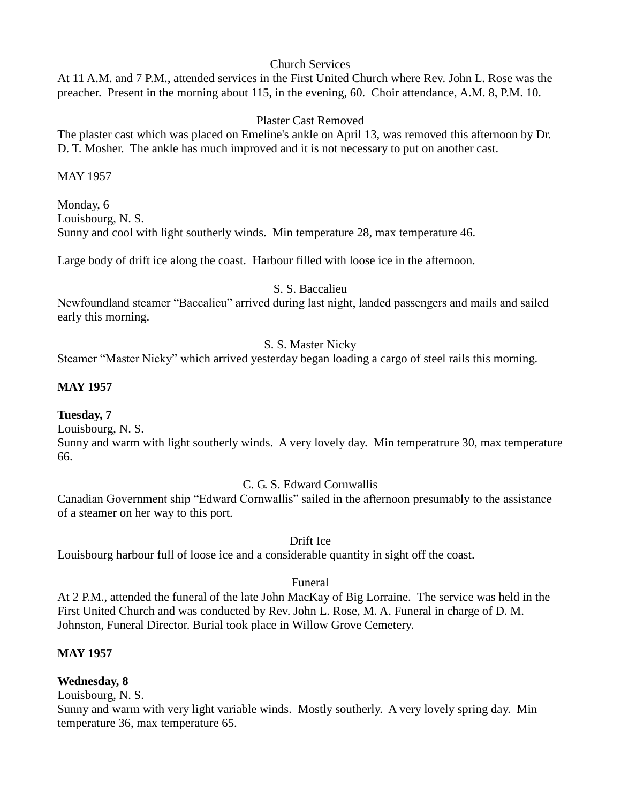### Church Services

At 11 A.M. and 7 P.M., attended services in the First United Church where Rev. John L. Rose was the preacher. Present in the morning about 115, in the evening, 60. Choir attendance, A.M. 8, P.M. 10.

# Plaster Cast Removed

The plaster cast which was placed on Emeline's ankle on April 13, was removed this afternoon by Dr. D. T. Mosher. The ankle has much improved and it is not necessary to put on another cast.

MAY 1957

Monday, 6 Louisbourg, N. S. Sunny and cool with light southerly winds. Min temperature 28, max temperature 46.

Large body of drift ice along the coast. Harbour filled with loose ice in the afternoon.

### S. S. Baccalieu

Newfoundland steamer "Baccalieu" arrived during last night, landed passengers and mails and sailed early this morning.

# S. S. Master Nicky

Steamer "Master Nicky" which arrived yesterday began loading a cargo of steel rails this morning.

# **MAY 1957**

### **Tuesday, 7**

Louisbourg, N. S.

Sunny and warm with light southerly winds. A very lovely day. Min temperatrure 30, max temperature 66.

# C. G. S. Edward Cornwallis

Canadian Government ship "Edward Cornwallis" sailed in the afternoon presumably to the assistance of a steamer on her way to this port.

### Drift Ice

Louisbourg harbour full of loose ice and a considerable quantity in sight off the coast.

### Funeral

At 2 P.M., attended the funeral of the late John MacKay of Big Lorraine. The service was held in the First United Church and was conducted by Rev. John L. Rose, M. A. Funeral in charge of D. M. Johnston, Funeral Director. Burial took place in Willow Grove Cemetery.

# **MAY 1957**

# **Wednesday, 8**

Louisbourg, N. S.

Sunny and warm with very light variable winds. Mostly southerly. A very lovely spring day. Min temperature 36, max temperature 65.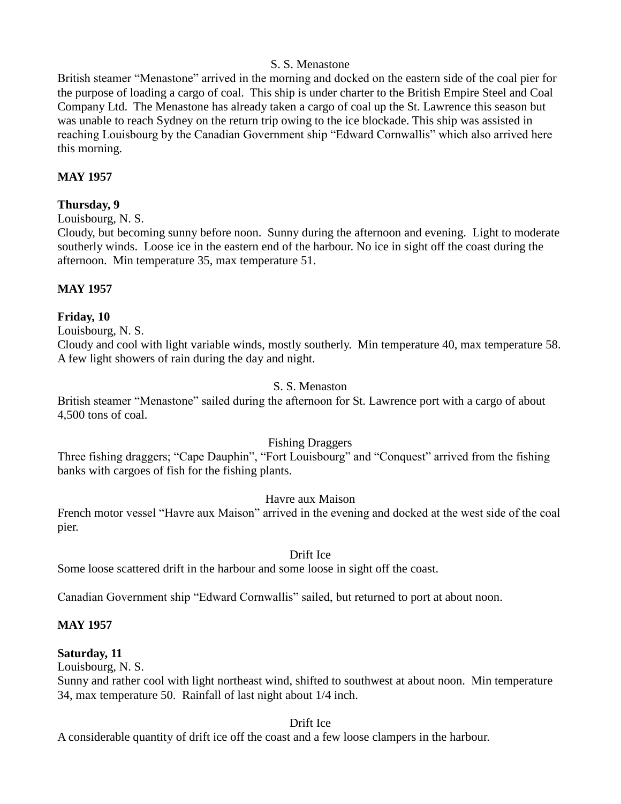### S. S. Menastone

British steamer "Menastone" arrived in the morning and docked on the eastern side of the coal pier for the purpose of loading a cargo of coal. This ship is under charter to the British Empire Steel and Coal Company Ltd. The Menastone has already taken a cargo of coal up the St. Lawrence this season but was unable to reach Sydney on the return trip owing to the ice blockade. This ship was assisted in reaching Louisbourg by the Canadian Government ship "Edward Cornwallis" which also arrived here this morning.

# **MAY 1957**

### **Thursday, 9**

Louisbourg, N. S.

Cloudy, but becoming sunny before noon. Sunny during the afternoon and evening. Light to moderate southerly winds. Loose ice in the eastern end of the harbour. No ice in sight off the coast during the afternoon. Min temperature 35, max temperature 51.

### **MAY 1957**

### **Friday, 10**

Louisbourg, N. S.

Cloudy and cool with light variable winds, mostly southerly. Min temperature 40, max temperature 58. A few light showers of rain during the day and night.

### S. S. Menaston

British steamer "Menastone" sailed during the afternoon for St. Lawrence port with a cargo of about 4,500 tons of coal.

# Fishing Draggers

Three fishing draggers; "Cape Dauphin", "Fort Louisbourg" and "Conquest" arrived from the fishing banks with cargoes of fish for the fishing plants.

### Havre aux Maison

French motor vessel "Havre aux Maison" arrived in the evening and docked at the west side of the coal pier.

### Drift Ice

Some loose scattered drift in the harbour and some loose in sight off the coast.

Canadian Government ship "Edward Cornwallis" sailed, but returned to port at about noon.

# **MAY 1957**

# **Saturday, 11**

Louisbourg, N. S.

Sunny and rather cool with light northeast wind, shifted to southwest at about noon. Min temperature 34, max temperature 50. Rainfall of last night about 1/4 inch.

### Drift Ice

A considerable quantity of drift ice off the coast and a few loose clampers in the harbour.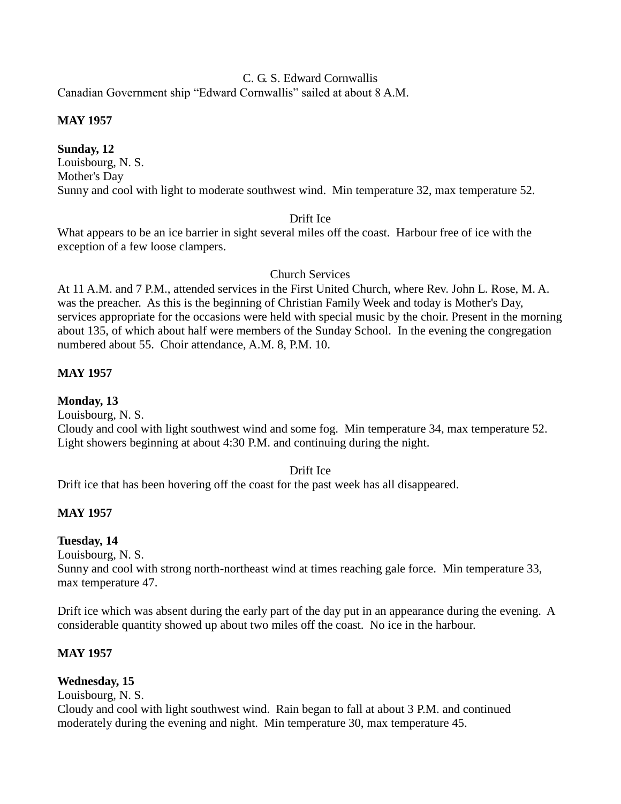# C. G. S. Edward Cornwallis

Canadian Government ship "Edward Cornwallis" sailed at about 8 A.M.

# **MAY 1957**

**Sunday, 12** Louisbourg, N. S. Mother's Day Sunny and cool with light to moderate southwest wind. Min temperature 32, max temperature 52.

# Drift Ice

What appears to be an ice barrier in sight several miles off the coast. Harbour free of ice with the exception of a few loose clampers.

# Church Services

At 11 A.M. and 7 P.M., attended services in the First United Church, where Rev. John L. Rose, M. A. was the preacher. As this is the beginning of Christian Family Week and today is Mother's Day, services appropriate for the occasions were held with special music by the choir. Present in the morning about 135, of which about half were members of the Sunday School. In the evening the congregation numbered about 55. Choir attendance, A.M. 8, P.M. 10.

# **MAY 1957**

# **Monday, 13**

Louisbourg, N. S.

Cloudy and cool with light southwest wind and some fog. Min temperature 34, max temperature 52. Light showers beginning at about 4:30 P.M. and continuing during the night.

### Drift Ice

Drift ice that has been hovering off the coast for the past week has all disappeared.

# **MAY 1957**

# **Tuesday, 14**

Louisbourg, N. S.

Sunny and cool with strong north-northeast wind at times reaching gale force. Min temperature 33, max temperature 47.

Drift ice which was absent during the early part of the day put in an appearance during the evening. A considerable quantity showed up about two miles off the coast. No ice in the harbour.

# **MAY 1957**

# **Wednesday, 15**

Louisbourg, N. S.

Cloudy and cool with light southwest wind. Rain began to fall at about 3 P.M. and continued moderately during the evening and night. Min temperature 30, max temperature 45.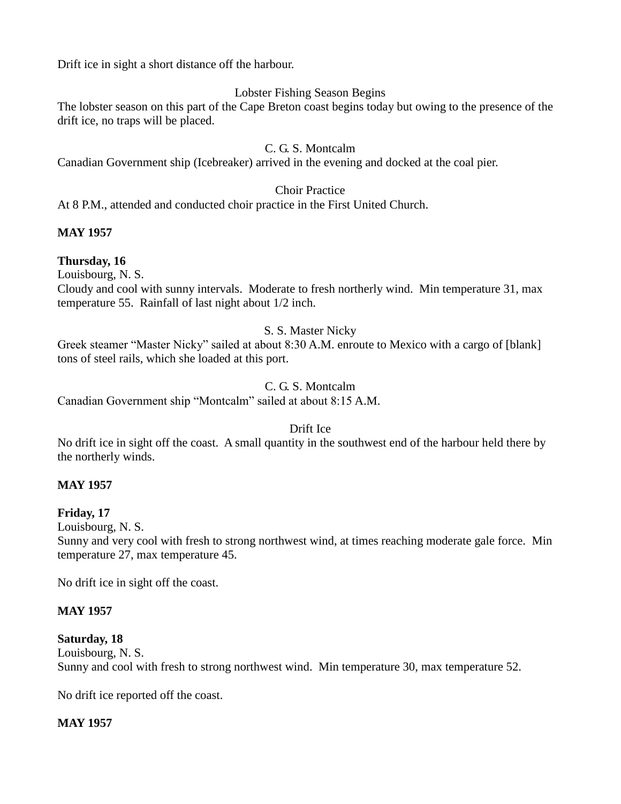Drift ice in sight a short distance off the harbour.

# Lobster Fishing Season Begins

The lobster season on this part of the Cape Breton coast begins today but owing to the presence of the drift ice, no traps will be placed.

### C. G. S. Montcalm

Canadian Government ship (Icebreaker) arrived in the evening and docked at the coal pier.

### Choir Practice

At 8 P.M., attended and conducted choir practice in the First United Church.

# **MAY 1957**

# **Thursday, 16**

Louisbourg, N. S.

Cloudy and cool with sunny intervals. Moderate to fresh northerly wind. Min temperature 31, max temperature 55. Rainfall of last night about 1/2 inch.

# S. S. Master Nicky

Greek steamer "Master Nicky" sailed at about 8:30 A.M. enroute to Mexico with a cargo of [blank] tons of steel rails, which she loaded at this port.

# C. G. S. Montcalm

Canadian Government ship "Montcalm" sailed at about 8:15 A.M.

# Drift Ice

No drift ice in sight off the coast. A small quantity in the southwest end of the harbour held there by the northerly winds.

# **MAY 1957**

# **Friday, 17**

Louisbourg, N. S.

Sunny and very cool with fresh to strong northwest wind, at times reaching moderate gale force. Min temperature 27, max temperature 45.

No drift ice in sight off the coast.

# **MAY 1957**

# **Saturday, 18**

Louisbourg, N. S. Sunny and cool with fresh to strong northwest wind. Min temperature 30, max temperature 52.

No drift ice reported off the coast.

# **MAY 1957**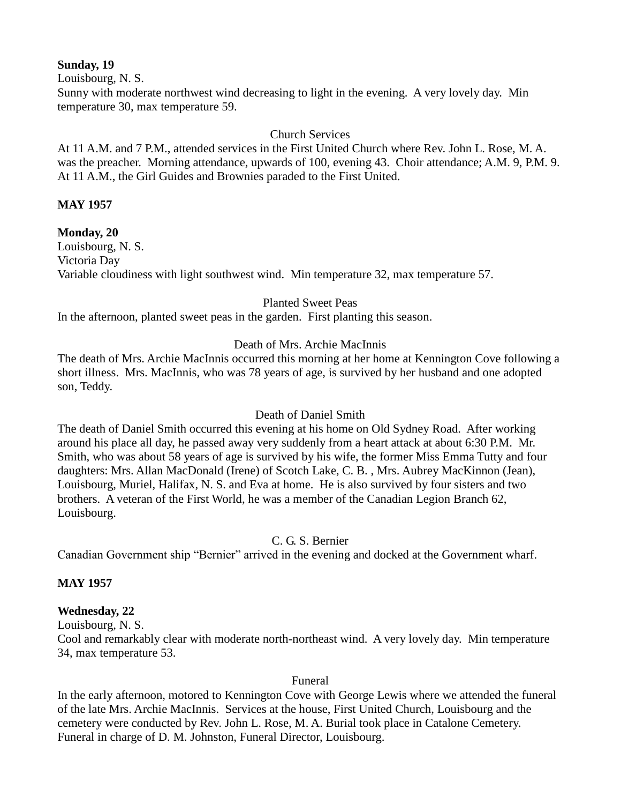### **Sunday, 19**

Louisbourg, N. S.

Sunny with moderate northwest wind decreasing to light in the evening. A very lovely day. Min temperature 30, max temperature 59.

### Church Services

At 11 A.M. and 7 P.M., attended services in the First United Church where Rev. John L. Rose, M. A. was the preacher. Morning attendance, upwards of 100, evening 43. Choir attendance; A.M. 9, P.M. 9. At 11 A.M., the Girl Guides and Brownies paraded to the First United.

# **MAY 1957**

**Monday, 20** Louisbourg, N. S. Victoria Day Variable cloudiness with light southwest wind. Min temperature 32, max temperature 57.

### Planted Sweet Peas

In the afternoon, planted sweet peas in the garden. First planting this season.

# Death of Mrs. Archie MacInnis

The death of Mrs. Archie MacInnis occurred this morning at her home at Kennington Cove following a short illness. Mrs. MacInnis, who was 78 years of age, is survived by her husband and one adopted son, Teddy.

# Death of Daniel Smith

The death of Daniel Smith occurred this evening at his home on Old Sydney Road. After working around his place all day, he passed away very suddenly from a heart attack at about 6:30 P.M. Mr. Smith, who was about 58 years of age is survived by his wife, the former Miss Emma Tutty and four daughters: Mrs. Allan MacDonald (Irene) of Scotch Lake, C. B. , Mrs. Aubrey MacKinnon (Jean), Louisbourg, Muriel, Halifax, N. S. and Eva at home. He is also survived by four sisters and two brothers. A veteran of the First World, he was a member of the Canadian Legion Branch 62, Louisbourg.

C. G. S. Bernier

Canadian Government ship "Bernier" arrived in the evening and docked at the Government wharf.

# **MAY 1957**

# **Wednesday, 22**

Louisbourg, N. S. Cool and remarkably clear with moderate north-northeast wind. A very lovely day. Min temperature 34, max temperature 53.

Funeral

In the early afternoon, motored to Kennington Cove with George Lewis where we attended the funeral of the late Mrs. Archie MacInnis. Services at the house, First United Church, Louisbourg and the cemetery were conducted by Rev. John L. Rose, M. A. Burial took place in Catalone Cemetery. Funeral in charge of D. M. Johnston, Funeral Director, Louisbourg.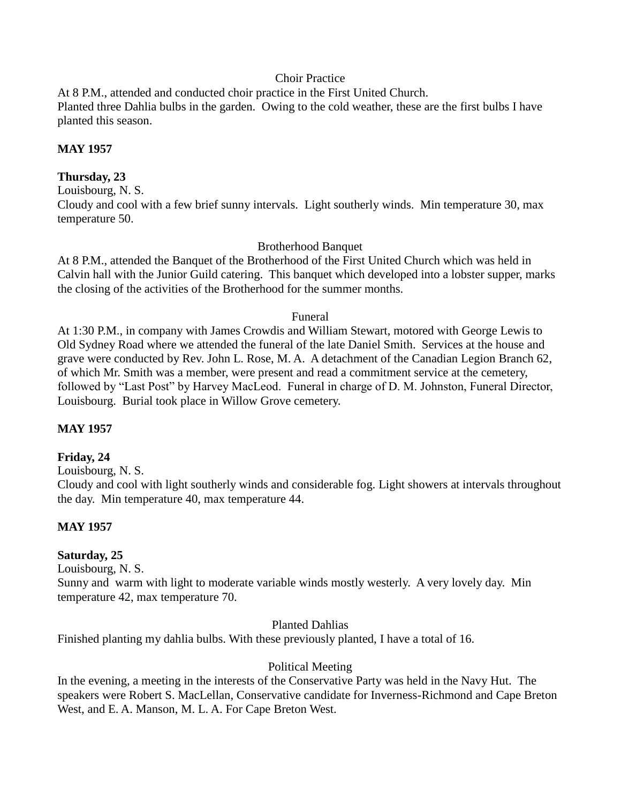### Choir Practice

At 8 P.M., attended and conducted choir practice in the First United Church. Planted three Dahlia bulbs in the garden. Owing to the cold weather, these are the first bulbs I have planted this season.

### **MAY 1957**

### **Thursday, 23**

Louisbourg, N. S.

Cloudy and cool with a few brief sunny intervals. Light southerly winds. Min temperature 30, max temperature 50.

### Brotherhood Banquet

At 8 P.M., attended the Banquet of the Brotherhood of the First United Church which was held in Calvin hall with the Junior Guild catering. This banquet which developed into a lobster supper, marks the closing of the activities of the Brotherhood for the summer months.

### Funeral

At 1:30 P.M., in company with James Crowdis and William Stewart, motored with George Lewis to Old Sydney Road where we attended the funeral of the late Daniel Smith. Services at the house and grave were conducted by Rev. John L. Rose, M. A. A detachment of the Canadian Legion Branch 62, of which Mr. Smith was a member, were present and read a commitment service at the cemetery, followed by "Last Post" by Harvey MacLeod. Funeral in charge of D. M. Johnston, Funeral Director, Louisbourg. Burial took place in Willow Grove cemetery.

# **MAY 1957**

### **Friday, 24**

Louisbourg, N. S.

Cloudy and cool with light southerly winds and considerable fog. Light showers at intervals throughout the day. Min temperature 40, max temperature 44.

# **MAY 1957**

### **Saturday, 25**

Louisbourg, N. S.

Sunny and warm with light to moderate variable winds mostly westerly. A very lovely day. Min temperature 42, max temperature 70.

### Planted Dahlias

Finished planting my dahlia bulbs. With these previously planted, I have a total of 16.

### Political Meeting

In the evening, a meeting in the interests of the Conservative Party was held in the Navy Hut. The speakers were Robert S. MacLellan, Conservative candidate for Inverness-Richmond and Cape Breton West, and E. A. Manson, M. L. A. For Cape Breton West.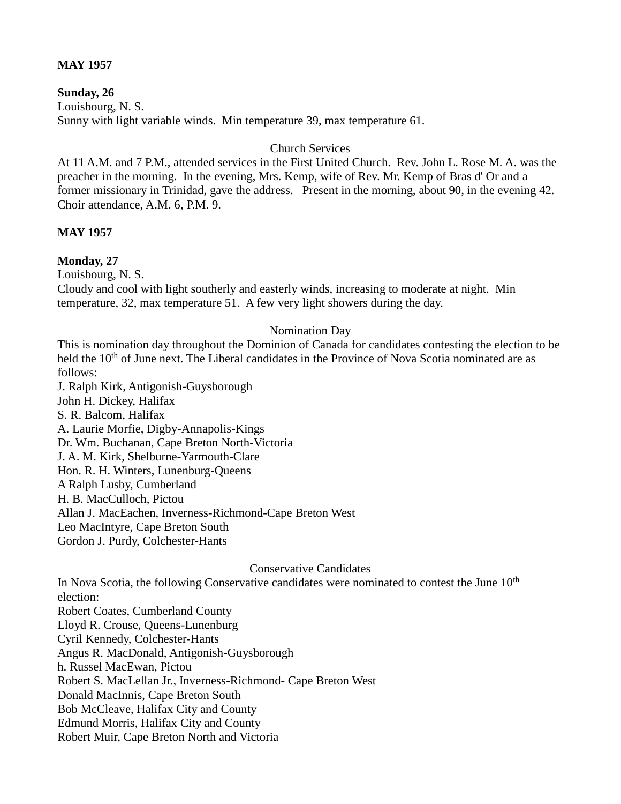### **MAY 1957**

### **Sunday, 26**

Louisbourg, N. S. Sunny with light variable winds. Min temperature 39, max temperature 61.

### Church Services

At 11 A.M. and 7 P.M., attended services in the First United Church. Rev. John L. Rose M. A. was the preacher in the morning. In the evening, Mrs. Kemp, wife of Rev. Mr. Kemp of Bras d' Or and a former missionary in Trinidad, gave the address. Present in the morning, about 90, in the evening 42. Choir attendance, A.M. 6, P.M. 9.

### **MAY 1957**

# **Monday, 27**

Louisbourg, N. S.

Cloudy and cool with light southerly and easterly winds, increasing to moderate at night. Min temperature, 32, max temperature 51. A few very light showers during the day.

### Nomination Day

This is nomination day throughout the Dominion of Canada for candidates contesting the election to be held the 10<sup>th</sup> of June next. The Liberal candidates in the Province of Nova Scotia nominated are as follows:

J. Ralph Kirk, Antigonish-Guysborough John H. Dickey, Halifax S. R. Balcom, Halifax A. Laurie Morfie, Digby-Annapolis-Kings Dr. Wm. Buchanan, Cape Breton North-Victoria J. A. M. Kirk, Shelburne-Yarmouth-Clare Hon. R. H. Winters, Lunenburg-Queens A Ralph Lusby, Cumberland H. B. MacCulloch, Pictou Allan J. MacEachen, Inverness-Richmond-Cape Breton West Leo MacIntyre, Cape Breton South Gordon J. Purdy, Colchester-Hants

### Conservative Candidates

In Nova Scotia, the following Conservative candidates were nominated to contest the June  $10<sup>th</sup>$ election: Robert Coates, Cumberland County Lloyd R. Crouse, Queens-Lunenburg Cyril Kennedy, Colchester-Hants Angus R. MacDonald, Antigonish-Guysborough h. Russel MacEwan, Pictou Robert S. MacLellan Jr., Inverness-Richmond- Cape Breton West Donald MacInnis, Cape Breton South Bob McCleave, Halifax City and County Edmund Morris, Halifax City and County Robert Muir, Cape Breton North and Victoria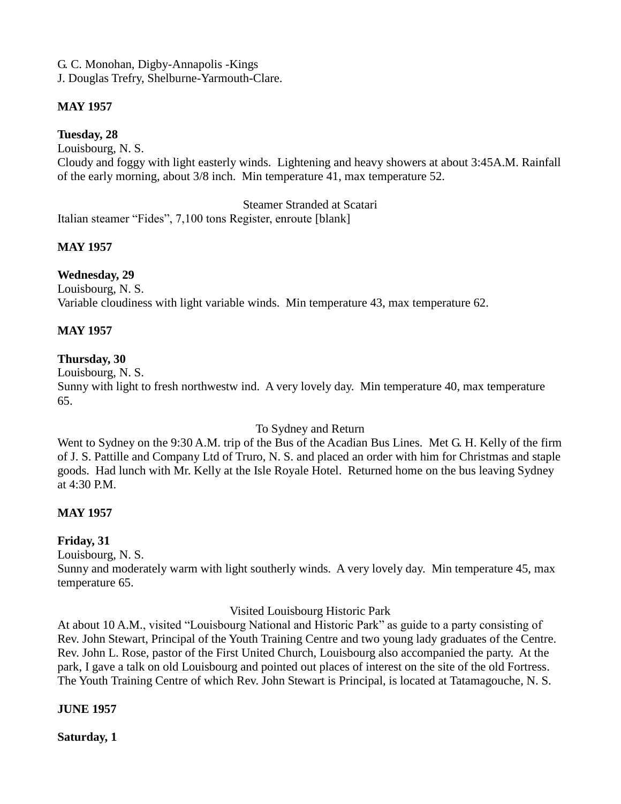G. C. Monohan, Digby-Annapolis -Kings J. Douglas Trefry, Shelburne-Yarmouth-Clare.

# **MAY 1957**

**Tuesday, 28**

Louisbourg, N. S.

Cloudy and foggy with light easterly winds. Lightening and heavy showers at about 3:45A.M. Rainfall of the early morning, about 3/8 inch. Min temperature 41, max temperature 52.

Steamer Stranded at Scatari

Italian steamer "Fides", 7,100 tons Register, enroute [blank]

# **MAY 1957**

# **Wednesday, 29**

Louisbourg, N. S. Variable cloudiness with light variable winds. Min temperature 43, max temperature 62.

# **MAY 1957**

# **Thursday, 30**

Louisbourg, N. S.

Sunny with light to fresh northwestw ind. A very lovely day. Min temperature 40, max temperature 65.

# To Sydney and Return

Went to Sydney on the 9:30 A.M. trip of the Bus of the Acadian Bus Lines. Met G. H. Kelly of the firm of J. S. Pattille and Company Ltd of Truro, N. S. and placed an order with him for Christmas and staple goods. Had lunch with Mr. Kelly at the Isle Royale Hotel. Returned home on the bus leaving Sydney at 4:30 P.M.

# **MAY 1957**

# **Friday, 31**

Louisbourg, N. S.

Sunny and moderately warm with light southerly winds. A very lovely day. Min temperature 45, max temperature 65.

Visited Louisbourg Historic Park

At about 10 A.M., visited "Louisbourg National and Historic Park" as guide to a party consisting of Rev. John Stewart, Principal of the Youth Training Centre and two young lady graduates of the Centre. Rev. John L. Rose, pastor of the First United Church, Louisbourg also accompanied the party. At the park, I gave a talk on old Louisbourg and pointed out places of interest on the site of the old Fortress. The Youth Training Centre of which Rev. John Stewart is Principal, is located at Tatamagouche, N. S.

# **JUNE 1957**

**Saturday, 1**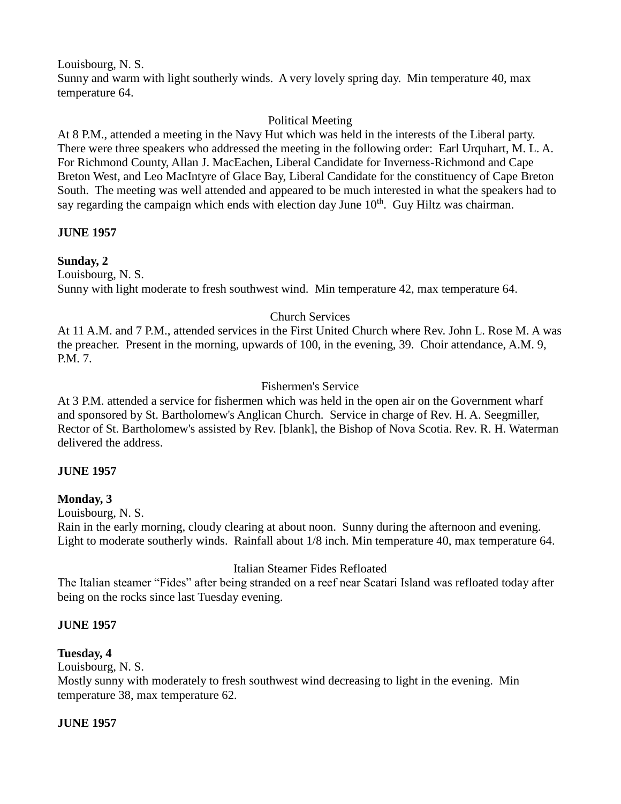Louisbourg, N. S.

Sunny and warm with light southerly winds. A very lovely spring day. Min temperature 40, max temperature 64.

# Political Meeting

At 8 P.M., attended a meeting in the Navy Hut which was held in the interests of the Liberal party. There were three speakers who addressed the meeting in the following order: Earl Urquhart, M. L. A. For Richmond County, Allan J. MacEachen, Liberal Candidate for Inverness-Richmond and Cape Breton West, and Leo MacIntyre of Glace Bay, Liberal Candidate for the constituency of Cape Breton South. The meeting was well attended and appeared to be much interested in what the speakers had to say regarding the campaign which ends with election day June  $10<sup>th</sup>$ . Guy Hiltz was chairman.

# **JUNE 1957**

# **Sunday, 2**

Louisbourg, N. S. Sunny with light moderate to fresh southwest wind. Min temperature 42, max temperature 64.

# Church Services

At 11 A.M. and 7 P.M., attended services in the First United Church where Rev. John L. Rose M. A was the preacher. Present in the morning, upwards of 100, in the evening, 39. Choir attendance, A.M. 9, P.M. 7.

# Fishermen's Service

At 3 P.M. attended a service for fishermen which was held in the open air on the Government wharf and sponsored by St. Bartholomew's Anglican Church. Service in charge of Rev. H. A. Seegmiller, Rector of St. Bartholomew's assisted by Rev. [blank], the Bishop of Nova Scotia. Rev. R. H. Waterman delivered the address.

# **JUNE 1957**

# **Monday, 3**

Louisbourg, N. S.

Rain in the early morning, cloudy clearing at about noon. Sunny during the afternoon and evening. Light to moderate southerly winds. Rainfall about 1/8 inch. Min temperature 40, max temperature 64.

# Italian Steamer Fides Refloated

The Italian steamer "Fides" after being stranded on a reef near Scatari Island was refloated today after being on the rocks since last Tuesday evening.

# **JUNE 1957**

# **Tuesday, 4**

Louisbourg, N. S.

Mostly sunny with moderately to fresh southwest wind decreasing to light in the evening. Min temperature 38, max temperature 62.

# **JUNE 1957**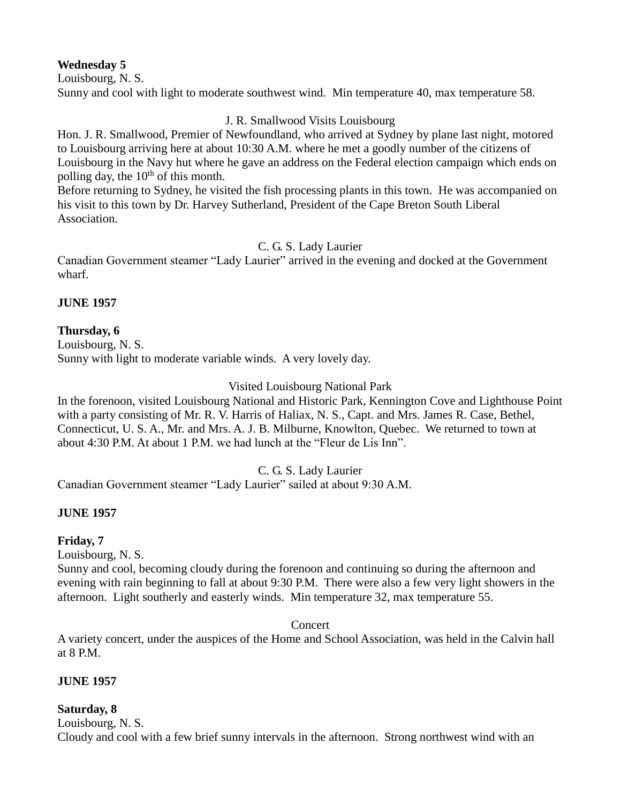# **Wednesday 5**

Louisbourg, N. S. Sunny and cool with light to moderate southwest wind. Min temperature 40, max temperature 58.

# J. R. Smallwood Visits Louisbourg

Hon. J. R. Smallwood, Premier of Newfoundland, who arrived at Sydney by plane last night, motored to Louisbourg arriving here at about 10:30 A.M. where he met a goodly number of the citizens of Louisbourg in the Navy hut where he gave an address on the Federal election campaign which ends on polling day, the  $10<sup>th</sup>$  of this month.

Before returning to Sydney, he visited the fish processing plants in this town. He was accompanied on his visit to this town by Dr. Harvey Sutherland, President of the Cape Breton South Liberal Association.

C. G. S. Lady Laurier

Canadian Government steamer "Lady Laurier" arrived in the evening and docked at the Government wharf.

# **JUNE 1957**

# **Thursday, 6**

Louisbourg, N. S. Sunny with light to moderate variable winds. A very lovely day.

# Visited Louisbourg National Park

In the forenoon, visited Louisbourg National and Historic Park, Kennington Cove and Lighthouse Point with a party consisting of Mr. R. V. Harris of Haliax, N. S., Capt. and Mrs. James R. Case, Bethel, Connecticut, U. S. A., Mr. and Mrs. A. J. B. Milburne, Knowlton, Quebec. We returned to town at about 4:30 P.M. At about 1 P.M. we had lunch at the "Fleur de Lis Inn".

C. G. S. Lady Laurier

Canadian Government steamer "Lady Laurier" sailed at about 9:30 A.M.

# **JUNE 1957**

# **Friday, 7**

Louisbourg, N. S.

Sunny and cool, becoming cloudy during the forenoon and continuing so during the afternoon and evening with rain beginning to fall at about 9:30 P.M. There were also a few very light showers in the afternoon. Light southerly and easterly winds. Min temperature 32, max temperature 55.

Concert

A variety concert, under the auspices of the Home and School Association, was held in the Calvin hall at 8 P.M.

# **JUNE 1957**

# **Saturday, 8**

Louisbourg, N. S. Cloudy and cool with a few brief sunny intervals in the afternoon. Strong northwest wind with an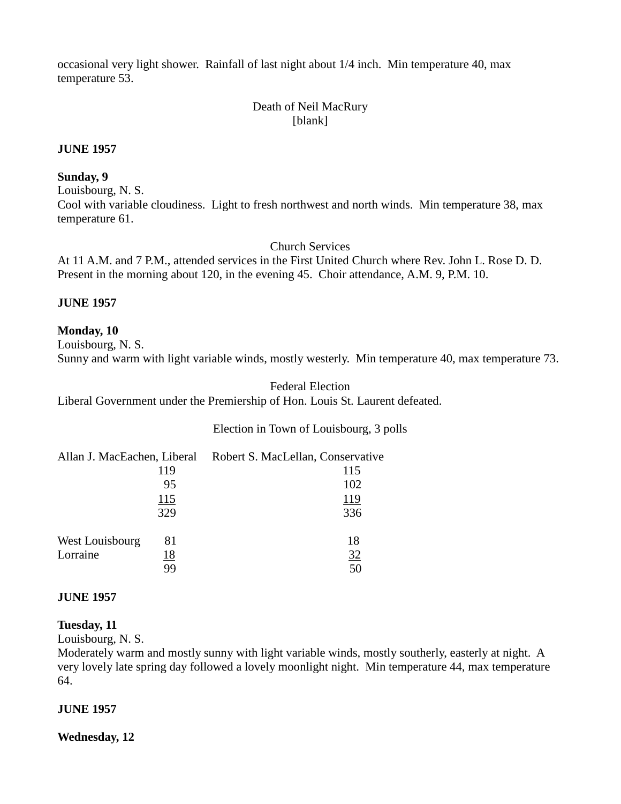occasional very light shower. Rainfall of last night about 1/4 inch. Min temperature 40, max temperature 53.

# Death of Neil MacRury [blank]

#### **JUNE 1957**

#### **Sunday, 9**

Louisbourg, N. S.

Cool with variable cloudiness. Light to fresh northwest and north winds. Min temperature 38, max temperature 61.

Church Services

At 11 A.M. and 7 P.M., attended services in the First United Church where Rev. John L. Rose D. D. Present in the morning about 120, in the evening 45. Choir attendance, A.M. 9, P.M. 10.

#### **JUNE 1957**

### **Monday, 10**

Louisbourg, N. S. Sunny and warm with light variable winds, mostly westerly. Min temperature 40, max temperature 73.

#### Federal Election

Liberal Government under the Premiership of Hon. Louis St. Laurent defeated.

### Election in Town of Louisbourg, 3 polls

|                 |            | Allan J. MacEachen, Liberal Robert S. MacLellan, Conservative |
|-----------------|------------|---------------------------------------------------------------|
|                 | 119        | 115                                                           |
|                 | 95         | 102                                                           |
|                 | 115        | 119                                                           |
|                 | 329        | 336                                                           |
| West Louisbourg | 81         | 18                                                            |
| Lorraine        | <u> 18</u> | 32                                                            |
|                 | 99         | 50                                                            |

#### **JUNE 1957**

### **Tuesday, 11**

Louisbourg, N. S.

Moderately warm and mostly sunny with light variable winds, mostly southerly, easterly at night. A very lovely late spring day followed a lovely moonlight night. Min temperature 44, max temperature 64.

### **JUNE 1957**

**Wednesday, 12**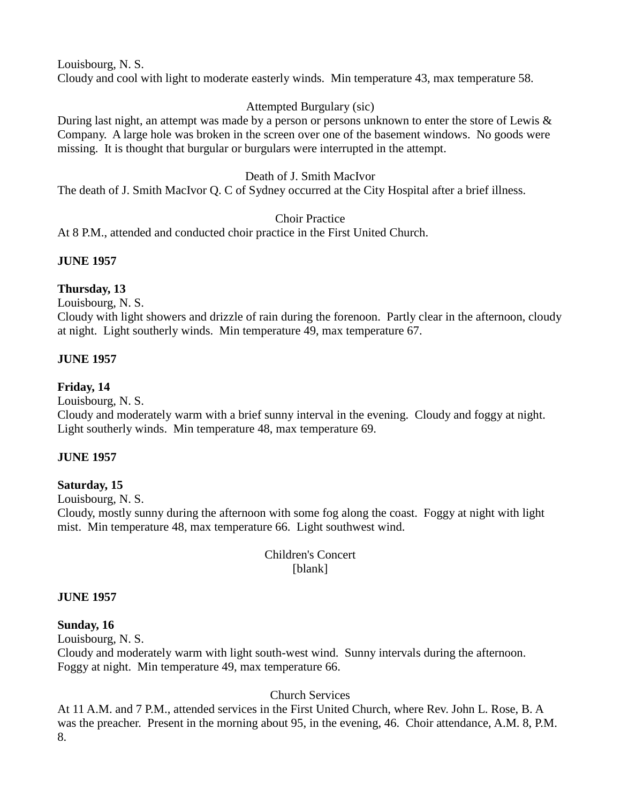Louisbourg, N. S.

Cloudy and cool with light to moderate easterly winds. Min temperature 43, max temperature 58.

# Attempted Burgulary (sic)

During last night, an attempt was made by a person or persons unknown to enter the store of Lewis & Company. A large hole was broken in the screen over one of the basement windows. No goods were missing. It is thought that burgular or burgulars were interrupted in the attempt.

# Death of J. Smith MacIvor

The death of J. Smith MacIvor Q. C of Sydney occurred at the City Hospital after a brief illness.

# Choir Practice

At 8 P.M., attended and conducted choir practice in the First United Church.

# **JUNE 1957**

# **Thursday, 13**

Louisbourg, N. S.

Cloudy with light showers and drizzle of rain during the forenoon. Partly clear in the afternoon, cloudy at night. Light southerly winds. Min temperature 49, max temperature 67.

# **JUNE 1957**

### **Friday, 14**

Louisbourg, N. S.

Cloudy and moderately warm with a brief sunny interval in the evening. Cloudy and foggy at night. Light southerly winds. Min temperature 48, max temperature 69.

# **JUNE 1957**

# **Saturday, 15**

Louisbourg, N. S.

Cloudy, mostly sunny during the afternoon with some fog along the coast. Foggy at night with light mist. Min temperature 48, max temperature 66. Light southwest wind.

> Children's Concert [blank]

### **JUNE 1957**

### **Sunday, 16**

Louisbourg, N. S.

Cloudy and moderately warm with light south-west wind. Sunny intervals during the afternoon. Foggy at night. Min temperature 49, max temperature 66.

# Church Services

At 11 A.M. and 7 P.M., attended services in the First United Church, where Rev. John L. Rose, B. A was the preacher. Present in the morning about 95, in the evening, 46. Choir attendance, A.M. 8, P.M. 8.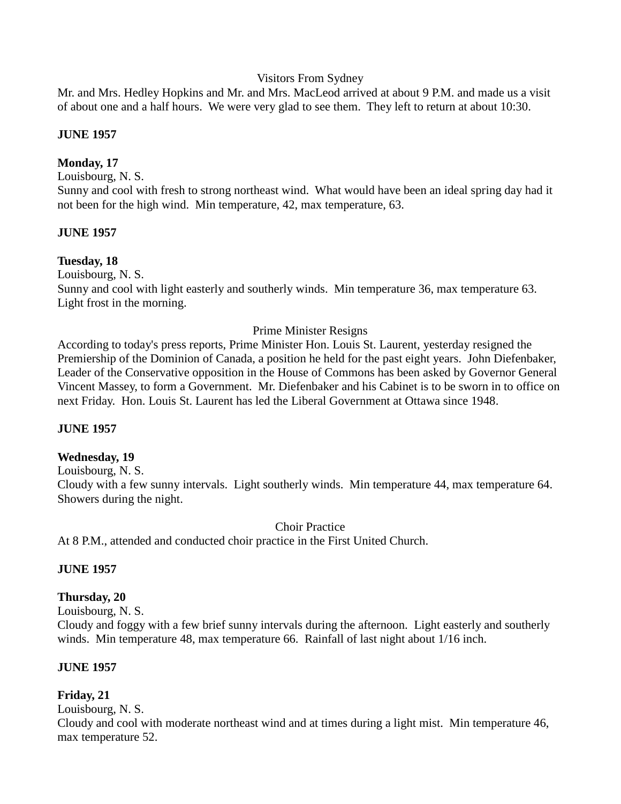### Visitors From Sydney

Mr. and Mrs. Hedley Hopkins and Mr. and Mrs. MacLeod arrived at about 9 P.M. and made us a visit of about one and a half hours. We were very glad to see them. They left to return at about 10:30.

### **JUNE 1957**

### **Monday, 17**

Louisbourg, N. S.

Sunny and cool with fresh to strong northeast wind. What would have been an ideal spring day had it not been for the high wind. Min temperature, 42, max temperature, 63.

### **JUNE 1957**

### **Tuesday, 18**

Louisbourg, N. S.

Sunny and cool with light easterly and southerly winds. Min temperature 36, max temperature 63. Light frost in the morning.

#### Prime Minister Resigns

According to today's press reports, Prime Minister Hon. Louis St. Laurent, yesterday resigned the Premiership of the Dominion of Canada, a position he held for the past eight years. John Diefenbaker, Leader of the Conservative opposition in the House of Commons has been asked by Governor General Vincent Massey, to form a Government. Mr. Diefenbaker and his Cabinet is to be sworn in to office on next Friday. Hon. Louis St. Laurent has led the Liberal Government at Ottawa since 1948.

### **JUNE 1957**

#### **Wednesday, 19**

Louisbourg, N. S. Cloudy with a few sunny intervals. Light southerly winds. Min temperature 44, max temperature 64. Showers during the night.

Choir Practice At 8 P.M., attended and conducted choir practice in the First United Church.

### **JUNE 1957**

### **Thursday, 20**

Louisbourg, N. S.

Cloudy and foggy with a few brief sunny intervals during the afternoon. Light easterly and southerly winds. Min temperature 48, max temperature 66. Rainfall of last night about 1/16 inch.

#### **JUNE 1957**

### **Friday, 21**

Louisbourg, N. S.

Cloudy and cool with moderate northeast wind and at times during a light mist. Min temperature 46, max temperature 52.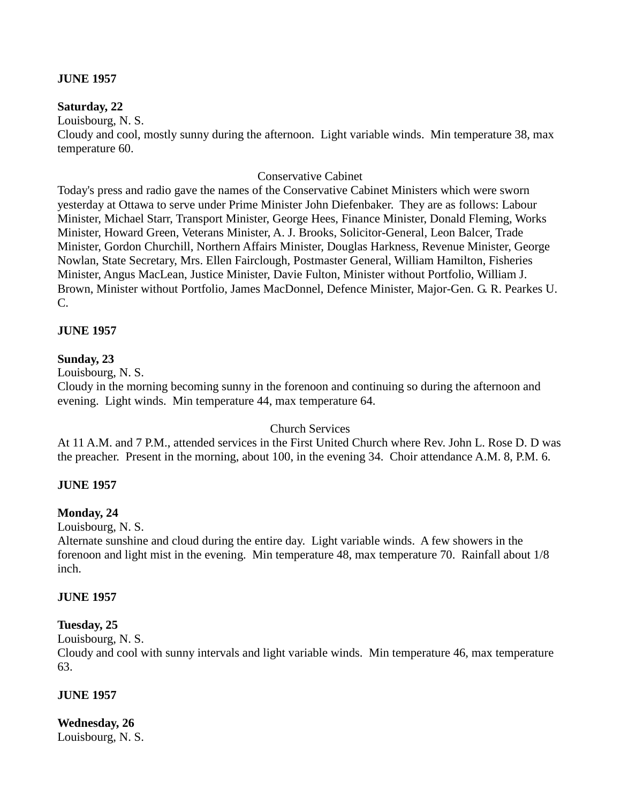### **JUNE 1957**

### **Saturday, 22**

Louisbourg, N. S.

Cloudy and cool, mostly sunny during the afternoon. Light variable winds. Min temperature 38, max temperature 60.

### Conservative Cabinet

Today's press and radio gave the names of the Conservative Cabinet Ministers which were sworn yesterday at Ottawa to serve under Prime Minister John Diefenbaker. They are as follows: Labour Minister, Michael Starr, Transport Minister, George Hees, Finance Minister, Donald Fleming, Works Minister, Howard Green, Veterans Minister, A. J. Brooks, Solicitor-General, Leon Balcer, Trade Minister, Gordon Churchill, Northern Affairs Minister, Douglas Harkness, Revenue Minister, George Nowlan, State Secretary, Mrs. Ellen Fairclough, Postmaster General, William Hamilton, Fisheries Minister, Angus MacLean, Justice Minister, Davie Fulton, Minister without Portfolio, William J. Brown, Minister without Portfolio, James MacDonnel, Defence Minister, Major-Gen. G. R. Pearkes U. C.

### **JUNE 1957**

### **Sunday, 23**

Louisbourg, N. S.

Cloudy in the morning becoming sunny in the forenoon and continuing so during the afternoon and evening. Light winds. Min temperature 44, max temperature 64.

### Church Services

At 11 A.M. and 7 P.M., attended services in the First United Church where Rev. John L. Rose D. D was the preacher. Present in the morning, about 100, in the evening 34. Choir attendance A.M. 8, P.M. 6.

### **JUNE 1957**

# **Monday, 24**

Louisbourg, N. S.

Alternate sunshine and cloud during the entire day. Light variable winds. A few showers in the forenoon and light mist in the evening. Min temperature 48, max temperature 70. Rainfall about 1/8 inch.

### **JUNE 1957**

# **Tuesday, 25**

Louisbourg, N. S.

Cloudy and cool with sunny intervals and light variable winds. Min temperature 46, max temperature 63.

### **JUNE 1957**

**Wednesday, 26** Louisbourg, N. S.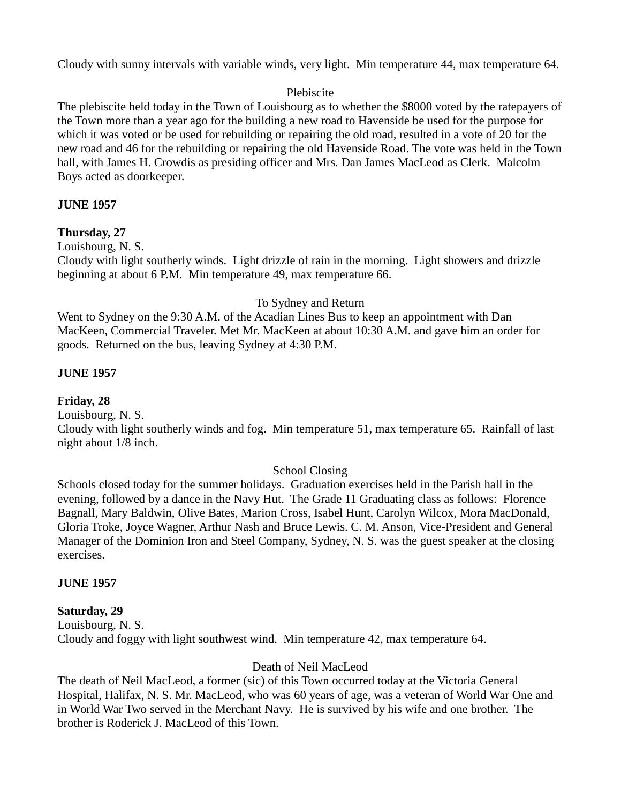Cloudy with sunny intervals with variable winds, very light. Min temperature 44, max temperature 64.

### Plebiscite

The plebiscite held today in the Town of Louisbourg as to whether the \$8000 voted by the ratepayers of the Town more than a year ago for the building a new road to Havenside be used for the purpose for which it was voted or be used for rebuilding or repairing the old road, resulted in a vote of 20 for the new road and 46 for the rebuilding or repairing the old Havenside Road. The vote was held in the Town hall, with James H. Crowdis as presiding officer and Mrs. Dan James MacLeod as Clerk. Malcolm Boys acted as doorkeeper.

# **JUNE 1957**

# **Thursday, 27**

Louisbourg, N. S.

Cloudy with light southerly winds. Light drizzle of rain in the morning. Light showers and drizzle beginning at about 6 P.M. Min temperature 49, max temperature 66.

### To Sydney and Return

Went to Sydney on the 9:30 A.M. of the Acadian Lines Bus to keep an appointment with Dan MacKeen, Commercial Traveler. Met Mr. MacKeen at about 10:30 A.M. and gave him an order for goods. Returned on the bus, leaving Sydney at 4:30 P.M.

# **JUNE 1957**

# **Friday, 28**

Louisbourg, N. S.

Cloudy with light southerly winds and fog. Min temperature 51, max temperature 65. Rainfall of last night about 1/8 inch.

# School Closing

Schools closed today for the summer holidays. Graduation exercises held in the Parish hall in the evening, followed by a dance in the Navy Hut. The Grade 11 Graduating class as follows: Florence Bagnall, Mary Baldwin, Olive Bates, Marion Cross, Isabel Hunt, Carolyn Wilcox, Mora MacDonald, Gloria Troke, Joyce Wagner, Arthur Nash and Bruce Lewis. C. M. Anson, Vice-President and General Manager of the Dominion Iron and Steel Company, Sydney, N. S. was the guest speaker at the closing exercises.

### **JUNE 1957**

# **Saturday, 29**

Louisbourg, N. S. Cloudy and foggy with light southwest wind. Min temperature 42, max temperature 64.

# Death of Neil MacLeod

The death of Neil MacLeod, a former (sic) of this Town occurred today at the Victoria General Hospital, Halifax, N. S. Mr. MacLeod, who was 60 years of age, was a veteran of World War One and in World War Two served in the Merchant Navy. He is survived by his wife and one brother. The brother is Roderick J. MacLeod of this Town.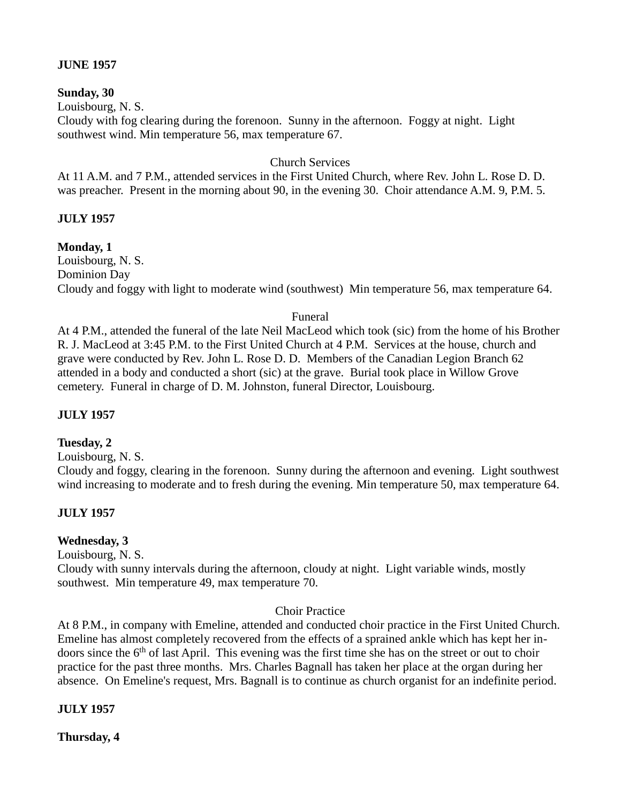### **JUNE 1957**

### **Sunday, 30**

Louisbourg, N. S.

Cloudy with fog clearing during the forenoon. Sunny in the afternoon. Foggy at night. Light southwest wind. Min temperature 56, max temperature 67.

### Church Services

At 11 A.M. and 7 P.M., attended services in the First United Church, where Rev. John L. Rose D. D. was preacher. Present in the morning about 90, in the evening 30. Choir attendance A.M. 9, P.M. 5.

# **JULY 1957**

# **Monday, 1**

Louisbourg, N. S. Dominion Day Cloudy and foggy with light to moderate wind (southwest) Min temperature 56, max temperature 64.

# Funeral

At 4 P.M., attended the funeral of the late Neil MacLeod which took (sic) from the home of his Brother R. J. MacLeod at 3:45 P.M. to the First United Church at 4 P.M. Services at the house, church and grave were conducted by Rev. John L. Rose D. D. Members of the Canadian Legion Branch 62 attended in a body and conducted a short (sic) at the grave. Burial took place in Willow Grove cemetery. Funeral in charge of D. M. Johnston, funeral Director, Louisbourg.

# **JULY 1957**

# **Tuesday, 2**

Louisbourg, N. S.

Cloudy and foggy, clearing in the forenoon. Sunny during the afternoon and evening. Light southwest wind increasing to moderate and to fresh during the evening. Min temperature 50, max temperature 64.

# **JULY 1957**

# **Wednesday, 3**

Louisbourg, N. S.

Cloudy with sunny intervals during the afternoon, cloudy at night. Light variable winds, mostly southwest. Min temperature 49, max temperature 70.

### Choir Practice

At 8 P.M., in company with Emeline, attended and conducted choir practice in the First United Church. Emeline has almost completely recovered from the effects of a sprained ankle which has kept her indoors since the  $6<sup>th</sup>$  of last April. This evening was the first time she has on the street or out to choir practice for the past three months. Mrs. Charles Bagnall has taken her place at the organ during her absence. On Emeline's request, Mrs. Bagnall is to continue as church organist for an indefinite period.

# **JULY 1957**

**Thursday, 4**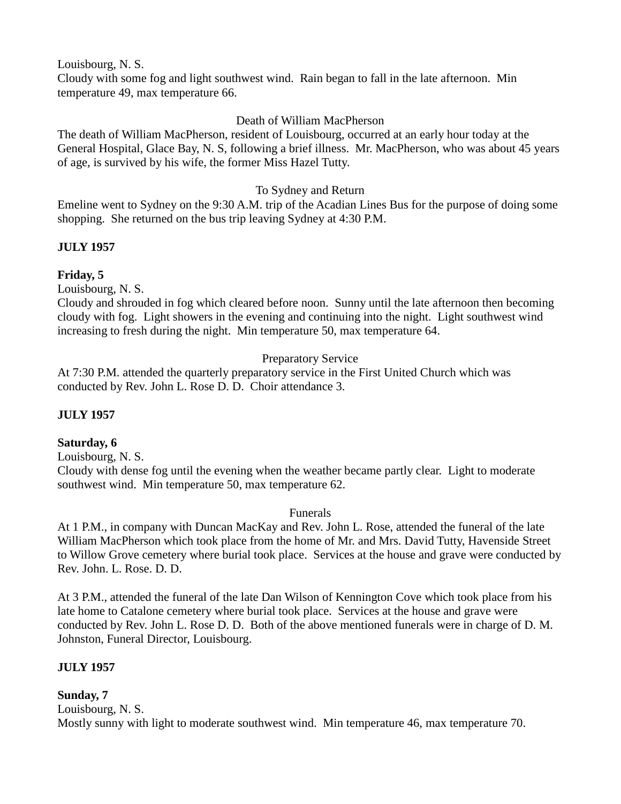Louisbourg, N. S.

Cloudy with some fog and light southwest wind. Rain began to fall in the late afternoon. Min temperature 49, max temperature 66.

# Death of William MacPherson

The death of William MacPherson, resident of Louisbourg, occurred at an early hour today at the General Hospital, Glace Bay, N. S, following a brief illness. Mr. MacPherson, who was about 45 years of age, is survived by his wife, the former Miss Hazel Tutty.

# To Sydney and Return

Emeline went to Sydney on the 9:30 A.M. trip of the Acadian Lines Bus for the purpose of doing some shopping. She returned on the bus trip leaving Sydney at 4:30 P.M.

# **JULY 1957**

### **Friday, 5**

Louisbourg, N. S.

Cloudy and shrouded in fog which cleared before noon. Sunny until the late afternoon then becoming cloudy with fog. Light showers in the evening and continuing into the night. Light southwest wind increasing to fresh during the night. Min temperature 50, max temperature 64.

# Preparatory Service

At 7:30 P.M. attended the quarterly preparatory service in the First United Church which was conducted by Rev. John L. Rose D. D. Choir attendance 3.

# **JULY 1957**

# **Saturday, 6**

Louisbourg, N. S.

Cloudy with dense fog until the evening when the weather became partly clear. Light to moderate southwest wind. Min temperature 50, max temperature 62.

### Funerals

At 1 P.M., in company with Duncan MacKay and Rev. John L. Rose, attended the funeral of the late William MacPherson which took place from the home of Mr. and Mrs. David Tutty, Havenside Street to Willow Grove cemetery where burial took place. Services at the house and grave were conducted by Rev. John. L. Rose. D. D.

At 3 P.M., attended the funeral of the late Dan Wilson of Kennington Cove which took place from his late home to Catalone cemetery where burial took place. Services at the house and grave were conducted by Rev. John L. Rose D. D. Both of the above mentioned funerals were in charge of D. M. Johnston, Funeral Director, Louisbourg.

# **JULY 1957**

# **Sunday, 7**

Louisbourg, N. S. Mostly sunny with light to moderate southwest wind. Min temperature 46, max temperature 70.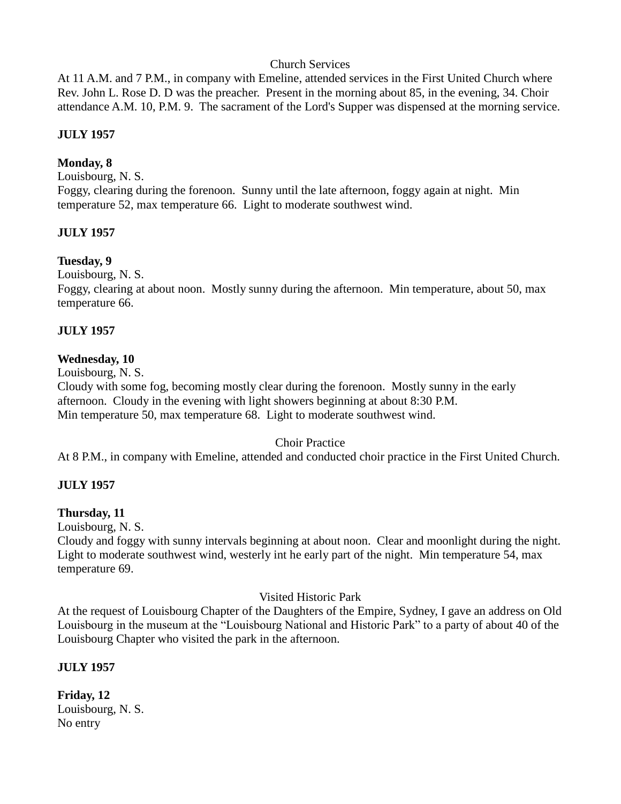### Church Services

At 11 A.M. and 7 P.M., in company with Emeline, attended services in the First United Church where Rev. John L. Rose D. D was the preacher. Present in the morning about 85, in the evening, 34. Choir attendance A.M. 10, P.M. 9. The sacrament of the Lord's Supper was dispensed at the morning service.

### **JULY 1957**

### **Monday, 8**

Louisbourg, N. S. Foggy, clearing during the forenoon. Sunny until the late afternoon, foggy again at night. Min temperature 52, max temperature 66. Light to moderate southwest wind.

### **JULY 1957**

### **Tuesday, 9**

Louisbourg, N. S.

Foggy, clearing at about noon. Mostly sunny during the afternoon. Min temperature, about 50, max temperature 66.

### **JULY 1957**

#### **Wednesday, 10**

Louisbourg, N. S.

Cloudy with some fog, becoming mostly clear during the forenoon. Mostly sunny in the early afternoon. Cloudy in the evening with light showers beginning at about 8:30 P.M. Min temperature 50, max temperature 68. Light to moderate southwest wind.

### Choir Practice

At 8 P.M., in company with Emeline, attended and conducted choir practice in the First United Church.

### **JULY 1957**

### **Thursday, 11**

Louisbourg, N. S.

Cloudy and foggy with sunny intervals beginning at about noon. Clear and moonlight during the night. Light to moderate southwest wind, westerly int he early part of the night. Min temperature 54, max temperature 69.

### Visited Historic Park

At the request of Louisbourg Chapter of the Daughters of the Empire, Sydney, I gave an address on Old Louisbourg in the museum at the "Louisbourg National and Historic Park" to a party of about 40 of the Louisbourg Chapter who visited the park in the afternoon.

### **JULY 1957**

**Friday, 12** Louisbourg, N. S. No entry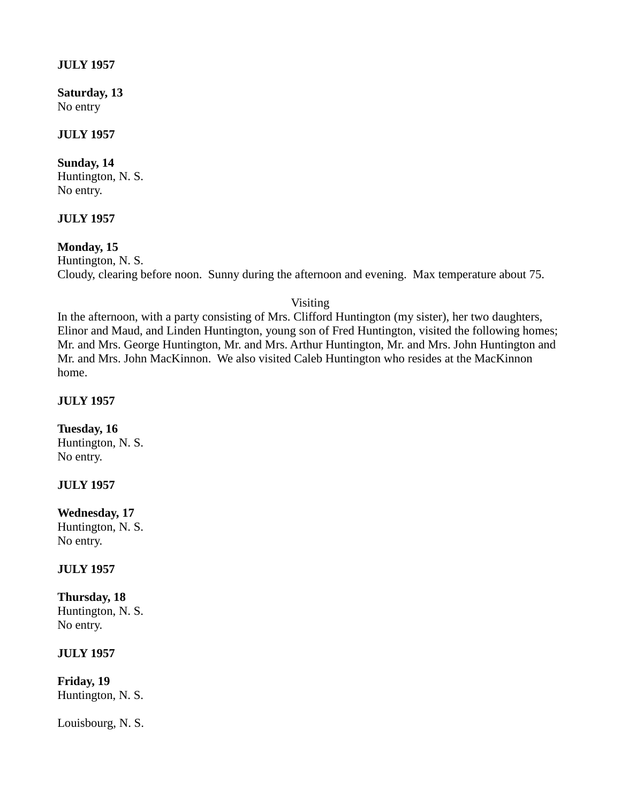### **JULY 1957**

**Saturday, 13** No entry

### **JULY 1957**

# **Sunday, 14**

Huntington, N. S. No entry.

### **JULY 1957**

### **Monday, 15**

Huntington, N. S. Cloudy, clearing before noon. Sunny during the afternoon and evening. Max temperature about 75.

Visiting

In the afternoon, with a party consisting of Mrs. Clifford Huntington (my sister), her two daughters, Elinor and Maud, and Linden Huntington, young son of Fred Huntington, visited the following homes; Mr. and Mrs. George Huntington, Mr. and Mrs. Arthur Huntington, Mr. and Mrs. John Huntington and Mr. and Mrs. John MacKinnon. We also visited Caleb Huntington who resides at the MacKinnon home.

#### **JULY 1957**

#### **Tuesday, 16**

Huntington, N. S. No entry.

### **JULY 1957**

#### **Wednesday, 17**

Huntington, N. S. No entry.

# **JULY 1957**

**Thursday, 18** Huntington, N. S. No entry.

### **JULY 1957**

**Friday, 19** Huntington, N. S.

Louisbourg, N. S.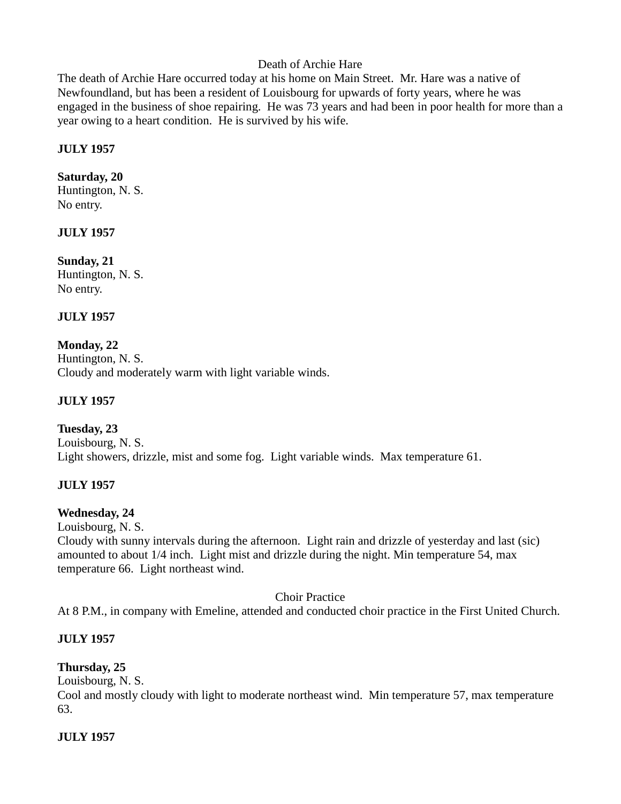# Death of Archie Hare

The death of Archie Hare occurred today at his home on Main Street. Mr. Hare was a native of Newfoundland, but has been a resident of Louisbourg for upwards of forty years, where he was engaged in the business of shoe repairing. He was 73 years and had been in poor health for more than a year owing to a heart condition. He is survived by his wife.

# **JULY 1957**

# **Saturday, 20**

Huntington, N. S. No entry.

# **JULY 1957**

**Sunday, 21** Huntington, N. S. No entry.

# **JULY 1957**

# **Monday, 22**

Huntington, N. S. Cloudy and moderately warm with light variable winds.

# **JULY 1957**

**Tuesday, 23** Louisbourg, N. S. Light showers, drizzle, mist and some fog. Light variable winds. Max temperature 61.

# **JULY 1957**

# **Wednesday, 24**

Louisbourg, N. S.

Cloudy with sunny intervals during the afternoon. Light rain and drizzle of yesterday and last (sic) amounted to about 1/4 inch. Light mist and drizzle during the night. Min temperature 54, max temperature 66. Light northeast wind.

Choir Practice

At 8 P.M., in company with Emeline, attended and conducted choir practice in the First United Church.

# **JULY 1957**

# **Thursday, 25**

Louisbourg, N. S.

Cool and mostly cloudy with light to moderate northeast wind. Min temperature 57, max temperature 63.

# **JULY 1957**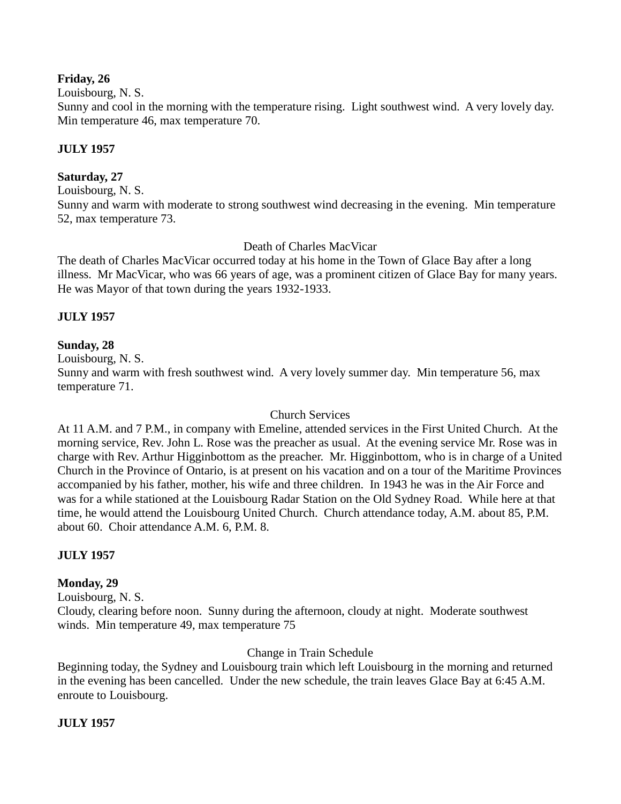### **Friday, 26**

Louisbourg, N. S.

Sunny and cool in the morning with the temperature rising. Light southwest wind. A very lovely day. Min temperature 46, max temperature 70.

# **JULY 1957**

### **Saturday, 27**

Louisbourg, N. S.

Sunny and warm with moderate to strong southwest wind decreasing in the evening. Min temperature 52, max temperature 73.

Death of Charles MacVicar

The death of Charles MacVicar occurred today at his home in the Town of Glace Bay after a long illness. Mr MacVicar, who was 66 years of age, was a prominent citizen of Glace Bay for many years. He was Mayor of that town during the years 1932-1933.

### **JULY 1957**

### **Sunday, 28**

Louisbourg, N. S.

Sunny and warm with fresh southwest wind. A very lovely summer day. Min temperature 56, max temperature 71.

### Church Services

At 11 A.M. and 7 P.M., in company with Emeline, attended services in the First United Church. At the morning service, Rev. John L. Rose was the preacher as usual. At the evening service Mr. Rose was in charge with Rev. Arthur Higginbottom as the preacher. Mr. Higginbottom, who is in charge of a United Church in the Province of Ontario, is at present on his vacation and on a tour of the Maritime Provinces accompanied by his father, mother, his wife and three children. In 1943 he was in the Air Force and was for a while stationed at the Louisbourg Radar Station on the Old Sydney Road. While here at that time, he would attend the Louisbourg United Church. Church attendance today, A.M. about 85, P.M. about 60. Choir attendance A.M. 6, P.M. 8.

# **JULY 1957**

### **Monday, 29**

Louisbourg, N. S. Cloudy, clearing before noon. Sunny during the afternoon, cloudy at night. Moderate southwest winds. Min temperature 49, max temperature 75

# Change in Train Schedule

Beginning today, the Sydney and Louisbourg train which left Louisbourg in the morning and returned in the evening has been cancelled. Under the new schedule, the train leaves Glace Bay at 6:45 A.M. enroute to Louisbourg.

### **JULY 1957**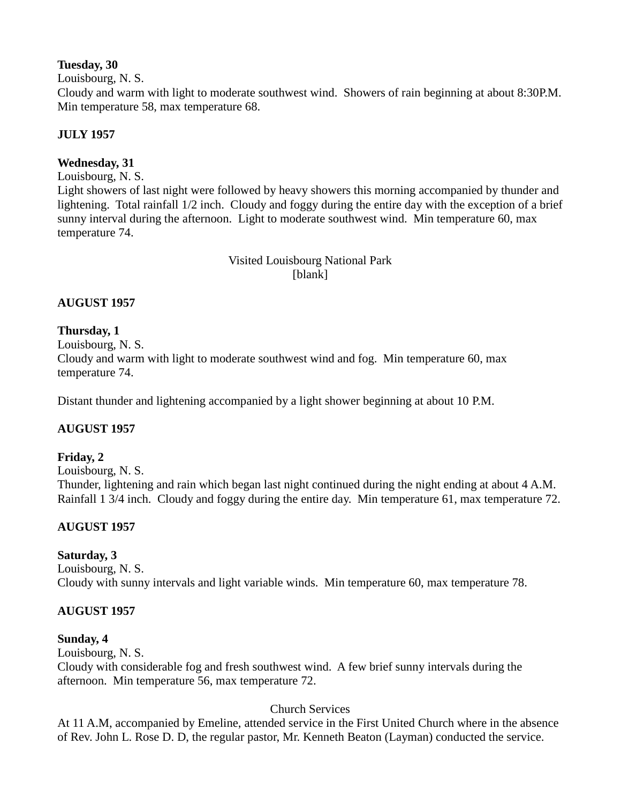### **Tuesday, 30**

Louisbourg, N. S.

Cloudy and warm with light to moderate southwest wind. Showers of rain beginning at about 8:30P.M. Min temperature 58, max temperature 68.

# **JULY 1957**

# **Wednesday, 31**

Louisbourg, N. S.

Light showers of last night were followed by heavy showers this morning accompanied by thunder and lightening. Total rainfall 1/2 inch. Cloudy and foggy during the entire day with the exception of a brief sunny interval during the afternoon. Light to moderate southwest wind. Min temperature 60, max temperature 74.

> Visited Louisbourg National Park [blank]

# **AUGUST 1957**

# **Thursday, 1**

Louisbourg, N. S.

Cloudy and warm with light to moderate southwest wind and fog. Min temperature 60, max temperature 74.

Distant thunder and lightening accompanied by a light shower beginning at about 10 P.M.

# **AUGUST 1957**

# **Friday, 2**

Louisbourg, N. S. Thunder, lightening and rain which began last night continued during the night ending at about 4 A.M. Rainfall 1 3/4 inch. Cloudy and foggy during the entire day. Min temperature 61, max temperature 72.

# **AUGUST 1957**

# **Saturday, 3**

Louisbourg, N. S. Cloudy with sunny intervals and light variable winds. Min temperature 60, max temperature 78.

# **AUGUST 1957**

# **Sunday, 4**

Louisbourg, N. S. Cloudy with considerable fog and fresh southwest wind. A few brief sunny intervals during the afternoon. Min temperature 56, max temperature 72.

# Church Services

At 11 A.M, accompanied by Emeline, attended service in the First United Church where in the absence of Rev. John L. Rose D. D, the regular pastor, Mr. Kenneth Beaton (Layman) conducted the service.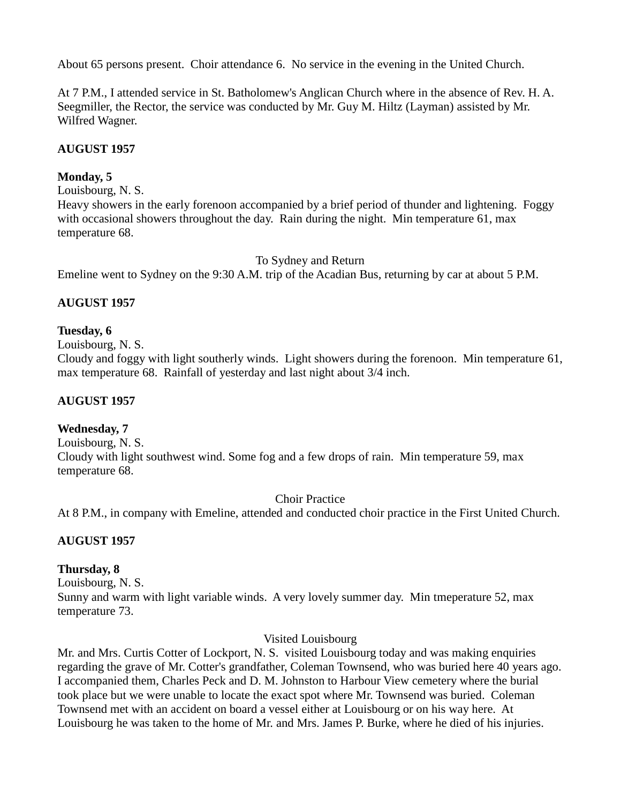About 65 persons present. Choir attendance 6. No service in the evening in the United Church.

At 7 P.M., I attended service in St. Batholomew's Anglican Church where in the absence of Rev. H. A. Seegmiller, the Rector, the service was conducted by Mr. Guy M. Hiltz (Layman) assisted by Mr. Wilfred Wagner.

# **AUGUST 1957**

# **Monday, 5**

Louisbourg, N. S.

Heavy showers in the early forenoon accompanied by a brief period of thunder and lightening. Foggy with occasional showers throughout the day. Rain during the night. Min temperature 61, max temperature 68.

### To Sydney and Return

Emeline went to Sydney on the 9:30 A.M. trip of the Acadian Bus, returning by car at about 5 P.M.

# **AUGUST 1957**

### **Tuesday, 6**

Louisbourg, N. S.

Cloudy and foggy with light southerly winds. Light showers during the forenoon. Min temperature 61, max temperature 68. Rainfall of yesterday and last night about 3/4 inch.

### **AUGUST 1957**

# **Wednesday, 7**

Louisbourg, N. S. Cloudy with light southwest wind. Some fog and a few drops of rain. Min temperature 59, max temperature 68.

### Choir Practice

At 8 P.M., in company with Emeline, attended and conducted choir practice in the First United Church.

# **AUGUST 1957**

# **Thursday, 8**

Louisbourg, N. S. Sunny and warm with light variable winds. A very lovely summer day. Min tmeperature 52, max temperature 73.

### Visited Louisbourg

Mr. and Mrs. Curtis Cotter of Lockport, N. S. visited Louisbourg today and was making enquiries regarding the grave of Mr. Cotter's grandfather, Coleman Townsend, who was buried here 40 years ago. I accompanied them, Charles Peck and D. M. Johnston to Harbour View cemetery where the burial took place but we were unable to locate the exact spot where Mr. Townsend was buried. Coleman Townsend met with an accident on board a vessel either at Louisbourg or on his way here. At Louisbourg he was taken to the home of Mr. and Mrs. James P. Burke, where he died of his injuries.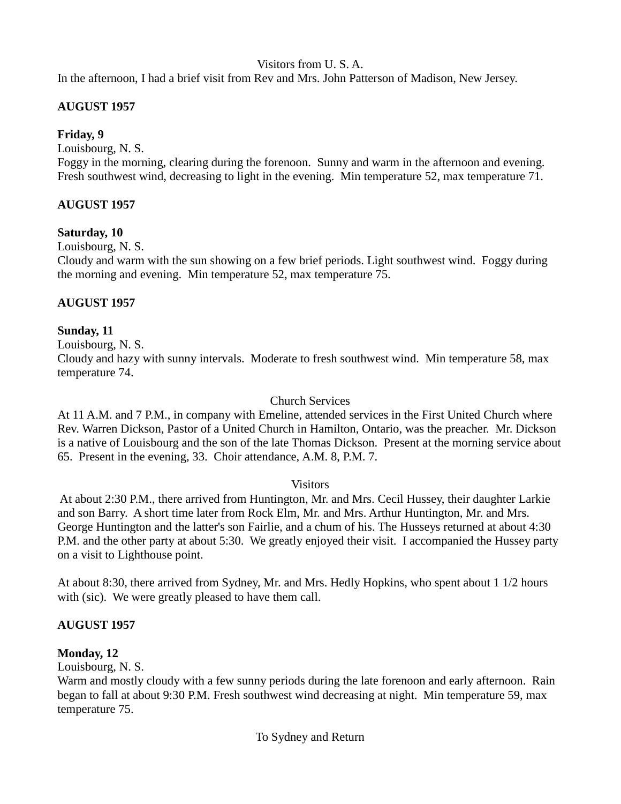Visitors from U. S. A.

In the afternoon, I had a brief visit from Rev and Mrs. John Patterson of Madison, New Jersey.

# **AUGUST 1957**

# **Friday, 9**

Louisbourg, N. S.

Foggy in the morning, clearing during the forenoon. Sunny and warm in the afternoon and evening. Fresh southwest wind, decreasing to light in the evening. Min temperature 52, max temperature 71.

# **AUGUST 1957**

# **Saturday, 10**

Louisbourg, N. S.

Cloudy and warm with the sun showing on a few brief periods. Light southwest wind. Foggy during the morning and evening. Min temperature 52, max temperature 75.

# **AUGUST 1957**

# **Sunday, 11**

Louisbourg, N. S.

Cloudy and hazy with sunny intervals. Moderate to fresh southwest wind. Min temperature 58, max temperature 74.

### Church Services

At 11 A.M. and 7 P.M., in company with Emeline, attended services in the First United Church where Rev. Warren Dickson, Pastor of a United Church in Hamilton, Ontario, was the preacher. Mr. Dickson is a native of Louisbourg and the son of the late Thomas Dickson. Present at the morning service about 65. Present in the evening, 33. Choir attendance, A.M. 8, P.M. 7.

### **Visitors**

At about 2:30 P.M., there arrived from Huntington, Mr. and Mrs. Cecil Hussey, their daughter Larkie and son Barry. A short time later from Rock Elm, Mr. and Mrs. Arthur Huntington, Mr. and Mrs. George Huntington and the latter's son Fairlie, and a chum of his. The Husseys returned at about 4:30 P.M. and the other party at about 5:30. We greatly enjoyed their visit. I accompanied the Hussey party on a visit to Lighthouse point.

At about 8:30, there arrived from Sydney, Mr. and Mrs. Hedly Hopkins, who spent about 1 1/2 hours with (sic). We were greatly pleased to have them call.

# **AUGUST 1957**

# **Monday, 12**

Louisbourg, N. S.

Warm and mostly cloudy with a few sunny periods during the late forenoon and early afternoon. Rain began to fall at about 9:30 P.M. Fresh southwest wind decreasing at night. Min temperature 59, max temperature 75.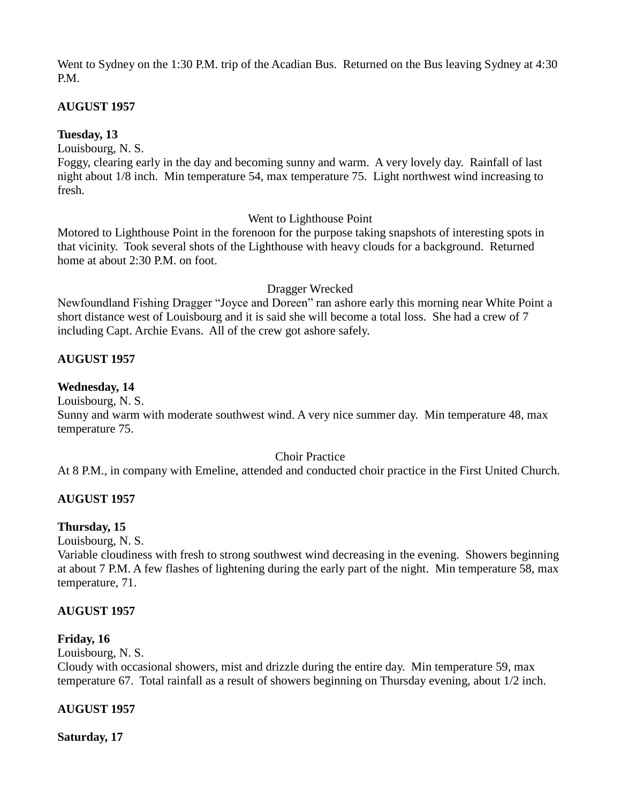Went to Sydney on the 1:30 P.M. trip of the Acadian Bus. Returned on the Bus leaving Sydney at 4:30 P.M.

# **AUGUST 1957**

# **Tuesday, 13**

Louisbourg, N. S.

Foggy, clearing early in the day and becoming sunny and warm. A very lovely day. Rainfall of last night about 1/8 inch. Min temperature 54, max temperature 75. Light northwest wind increasing to fresh.

# Went to Lighthouse Point

Motored to Lighthouse Point in the forenoon for the purpose taking snapshots of interesting spots in that vicinity. Took several shots of the Lighthouse with heavy clouds for a background. Returned home at about 2:30 P.M. on foot.

### Dragger Wrecked

Newfoundland Fishing Dragger "Joyce and Doreen" ran ashore early this morning near White Point a short distance west of Louisbourg and it is said she will become a total loss. She had a crew of 7 including Capt. Archie Evans. All of the crew got ashore safely.

# **AUGUST 1957**

# **Wednesday, 14**

Louisbourg, N. S.

Sunny and warm with moderate southwest wind. A very nice summer day. Min temperature 48, max temperature 75.

### Choir Practice

At 8 P.M., in company with Emeline, attended and conducted choir practice in the First United Church.

# **AUGUST 1957**

# **Thursday, 15**

Louisbourg, N. S.

Variable cloudiness with fresh to strong southwest wind decreasing in the evening. Showers beginning at about 7 P.M. A few flashes of lightening during the early part of the night. Min temperature 58, max temperature, 71.

# **AUGUST 1957**

# **Friday, 16**

Louisbourg, N. S.

Cloudy with occasional showers, mist and drizzle during the entire day. Min temperature 59, max temperature 67. Total rainfall as a result of showers beginning on Thursday evening, about 1/2 inch.

# **AUGUST 1957**

**Saturday, 17**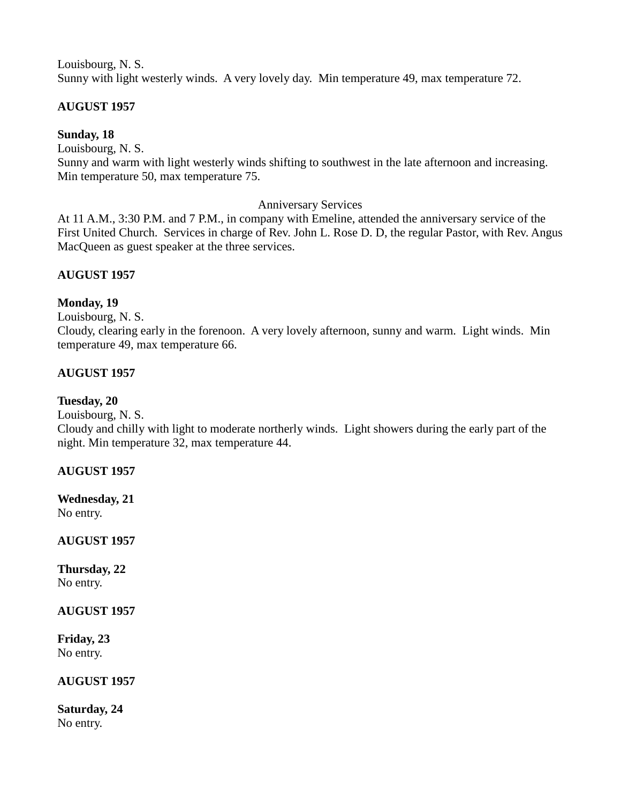Louisbourg, N. S. Sunny with light westerly winds. A very lovely day. Min temperature 49, max temperature 72.

# **AUGUST 1957**

**Sunday, 18**

Louisbourg, N. S.

Sunny and warm with light westerly winds shifting to southwest in the late afternoon and increasing. Min temperature 50, max temperature 75.

# Anniversary Services

At 11 A.M., 3:30 P.M. and 7 P.M., in company with Emeline, attended the anniversary service of the First United Church. Services in charge of Rev. John L. Rose D. D, the regular Pastor, with Rev. Angus MacQueen as guest speaker at the three services.

# **AUGUST 1957**

# **Monday, 19**

Louisbourg, N. S.

Cloudy, clearing early in the forenoon. A very lovely afternoon, sunny and warm. Light winds. Min temperature 49, max temperature 66.

# **AUGUST 1957**

# **Tuesday, 20**

Louisbourg, N. S.

Cloudy and chilly with light to moderate northerly winds. Light showers during the early part of the night. Min temperature 32, max temperature 44.

# **AUGUST 1957**

**Wednesday, 21** No entry.

**AUGUST 1957**

**Thursday, 22** No entry.

**AUGUST 1957**

**Friday, 23** No entry.

# **AUGUST 1957**

**Saturday, 24** No entry.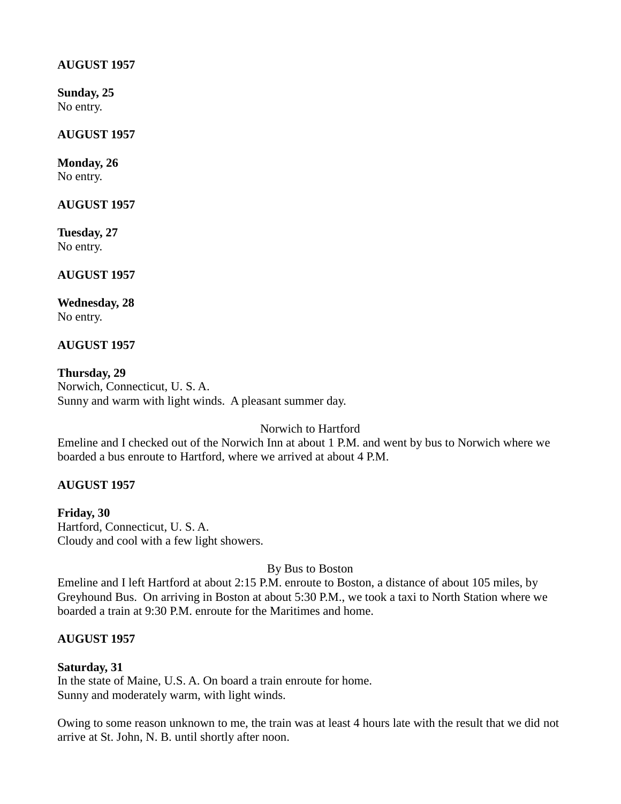### **AUGUST 1957**

**Sunday, 25** No entry.

### **AUGUST 1957**

**Monday, 26** No entry.

**AUGUST 1957**

**Tuesday, 27** No entry.

**AUGUST 1957**

**Wednesday, 28** No entry.

**AUGUST 1957**

**Thursday, 29** Norwich, Connecticut, U. S. A. Sunny and warm with light winds. A pleasant summer day.

Norwich to Hartford

Emeline and I checked out of the Norwich Inn at about 1 P.M. and went by bus to Norwich where we boarded a bus enroute to Hartford, where we arrived at about 4 P.M.

# **AUGUST 1957**

**Friday, 30** Hartford, Connecticut, U. S. A. Cloudy and cool with a few light showers.

By Bus to Boston

Emeline and I left Hartford at about 2:15 P.M. enroute to Boston, a distance of about 105 miles, by Greyhound Bus. On arriving in Boston at about 5:30 P.M., we took a taxi to North Station where we boarded a train at 9:30 P.M. enroute for the Maritimes and home.

# **AUGUST 1957**

# **Saturday, 31**

In the state of Maine, U.S. A. On board a train enroute for home. Sunny and moderately warm, with light winds.

Owing to some reason unknown to me, the train was at least 4 hours late with the result that we did not arrive at St. John, N. B. until shortly after noon.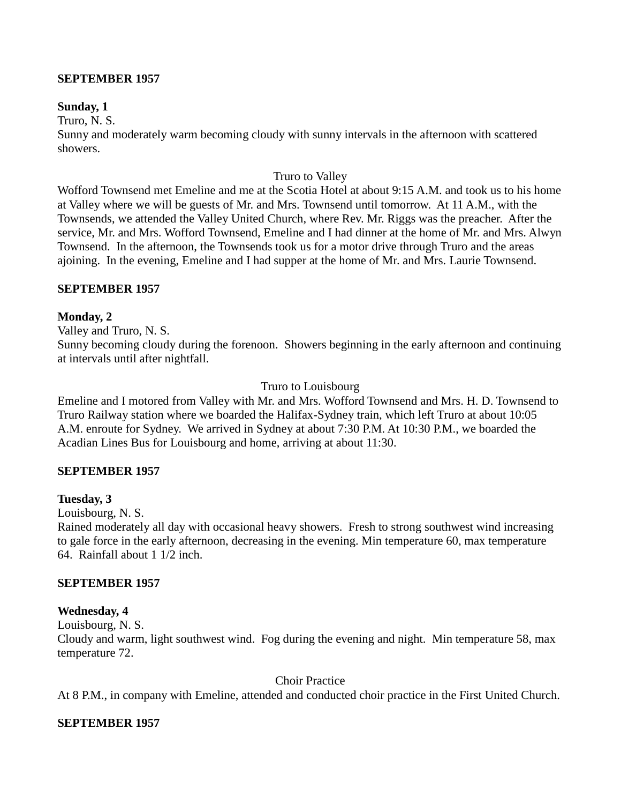### **SEPTEMBER 1957**

### **Sunday, 1**

Truro, N. S.

Sunny and moderately warm becoming cloudy with sunny intervals in the afternoon with scattered showers.

### Truro to Valley

Wofford Townsend met Emeline and me at the Scotia Hotel at about 9:15 A.M. and took us to his home at Valley where we will be guests of Mr. and Mrs. Townsend until tomorrow. At 11 A.M., with the Townsends, we attended the Valley United Church, where Rev. Mr. Riggs was the preacher. After the service, Mr. and Mrs. Wofford Townsend, Emeline and I had dinner at the home of Mr. and Mrs. Alwyn Townsend. In the afternoon, the Townsends took us for a motor drive through Truro and the areas ajoining. In the evening, Emeline and I had supper at the home of Mr. and Mrs. Laurie Townsend.

### **SEPTEMBER 1957**

### **Monday, 2**

Valley and Truro, N. S. Sunny becoming cloudy during the forenoon. Showers beginning in the early afternoon and continuing at intervals until after nightfall.

### Truro to Louisbourg

Emeline and I motored from Valley with Mr. and Mrs. Wofford Townsend and Mrs. H. D. Townsend to Truro Railway station where we boarded the Halifax-Sydney train, which left Truro at about 10:05 A.M. enroute for Sydney. We arrived in Sydney at about 7:30 P.M. At 10:30 P.M., we boarded the Acadian Lines Bus for Louisbourg and home, arriving at about 11:30.

### **SEPTEMBER 1957**

### **Tuesday, 3**

Louisbourg, N. S.

Rained moderately all day with occasional heavy showers. Fresh to strong southwest wind increasing to gale force in the early afternoon, decreasing in the evening. Min temperature 60, max temperature 64. Rainfall about 1 1/2 inch.

### **SEPTEMBER 1957**

### **Wednesday, 4**

Louisbourg, N. S.

Cloudy and warm, light southwest wind. Fog during the evening and night. Min temperature 58, max temperature 72.

### Choir Practice

At 8 P.M., in company with Emeline, attended and conducted choir practice in the First United Church.

### **SEPTEMBER 1957**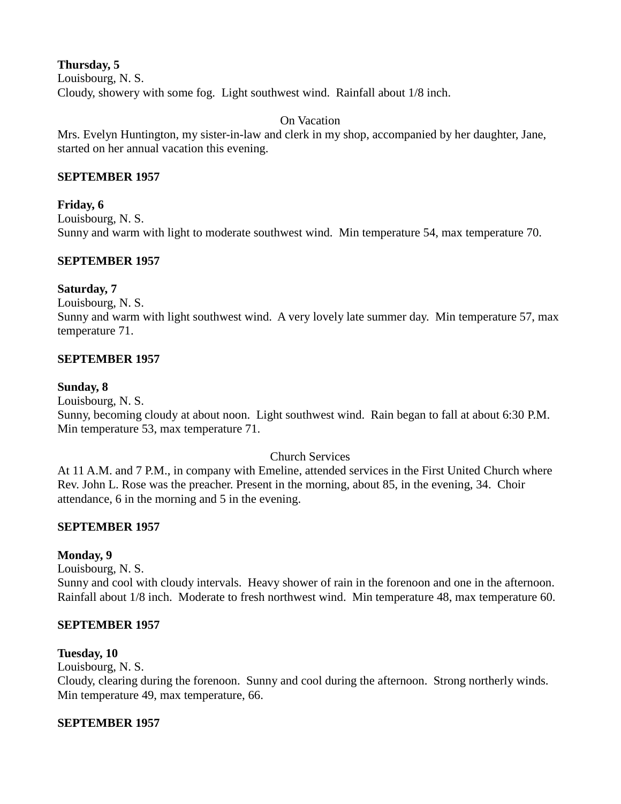# **Thursday, 5**

Louisbourg, N. S. Cloudy, showery with some fog. Light southwest wind. Rainfall about 1/8 inch.

### On Vacation

Mrs. Evelyn Huntington, my sister-in-law and clerk in my shop, accompanied by her daughter, Jane, started on her annual vacation this evening.

### **SEPTEMBER 1957**

# **Friday, 6**

Louisbourg, N. S.

Sunny and warm with light to moderate southwest wind. Min temperature 54, max temperature 70.

# **SEPTEMBER 1957**

### **Saturday, 7**

Louisbourg, N. S.

Sunny and warm with light southwest wind. A very lovely late summer day. Min temperature 57, max temperature 71.

### **SEPTEMBER 1957**

### **Sunday, 8**

Louisbourg, N. S.

Sunny, becoming cloudy at about noon. Light southwest wind. Rain began to fall at about 6:30 P.M. Min temperature 53, max temperature 71.

### Church Services

At 11 A.M. and 7 P.M., in company with Emeline, attended services in the First United Church where Rev. John L. Rose was the preacher. Present in the morning, about 85, in the evening, 34. Choir attendance, 6 in the morning and 5 in the evening.

# **SEPTEMBER 1957**

# **Monday, 9**

Louisbourg, N. S.

Sunny and cool with cloudy intervals. Heavy shower of rain in the forenoon and one in the afternoon. Rainfall about 1/8 inch. Moderate to fresh northwest wind. Min temperature 48, max temperature 60.

### **SEPTEMBER 1957**

### **Tuesday, 10**

Louisbourg, N. S.

Cloudy, clearing during the forenoon. Sunny and cool during the afternoon. Strong northerly winds. Min temperature 49, max temperature, 66.

# **SEPTEMBER 1957**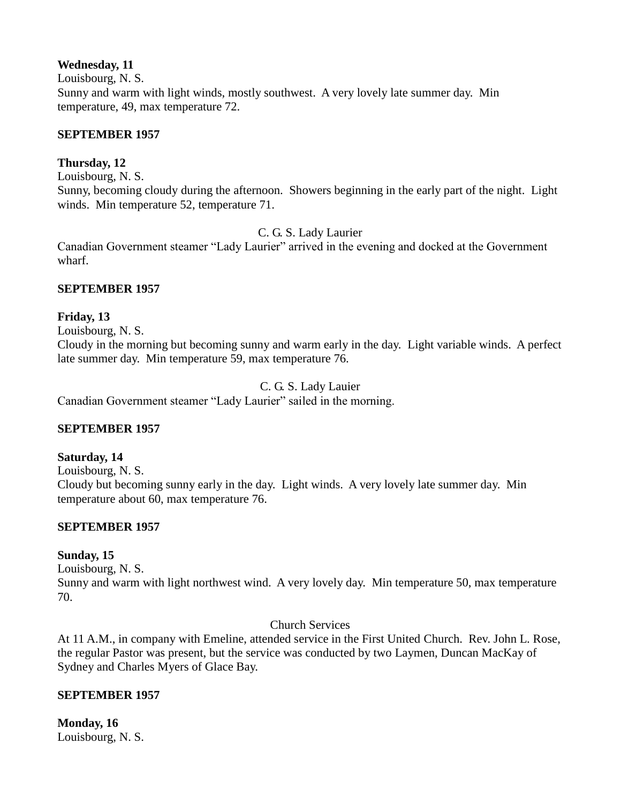# **Wednesday, 11**

Louisbourg, N. S.

Sunny and warm with light winds, mostly southwest. A very lovely late summer day. Min temperature, 49, max temperature 72.

# **SEPTEMBER 1957**

# **Thursday, 12**

Louisbourg, N. S.

Sunny, becoming cloudy during the afternoon. Showers beginning in the early part of the night. Light winds. Min temperature 52, temperature 71.

C. G. S. Lady Laurier

Canadian Government steamer "Lady Laurier" arrived in the evening and docked at the Government wharf.

# **SEPTEMBER 1957**

# **Friday, 13**

Louisbourg, N. S.

Cloudy in the morning but becoming sunny and warm early in the day. Light variable winds. A perfect late summer day. Min temperature 59, max temperature 76.

# C. G. S. Lady Lauier

Canadian Government steamer "Lady Laurier" sailed in the morning.

# **SEPTEMBER 1957**

# **Saturday, 14**

Louisbourg, N. S. Cloudy but becoming sunny early in the day. Light winds. A very lovely late summer day. Min temperature about 60, max temperature 76.

# **SEPTEMBER 1957**

# **Sunday, 15**

Louisbourg, N. S.

Sunny and warm with light northwest wind. A very lovely day. Min temperature 50, max temperature 70.

# Church Services

At 11 A.M., in company with Emeline, attended service in the First United Church. Rev. John L. Rose, the regular Pastor was present, but the service was conducted by two Laymen, Duncan MacKay of Sydney and Charles Myers of Glace Bay.

# **SEPTEMBER 1957**

**Monday, 16** Louisbourg, N. S.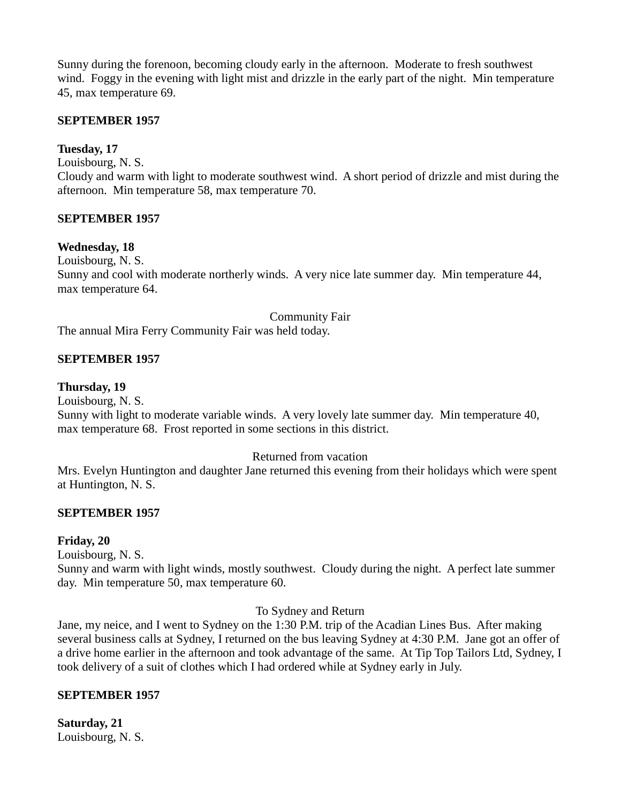Sunny during the forenoon, becoming cloudy early in the afternoon. Moderate to fresh southwest wind. Foggy in the evening with light mist and drizzle in the early part of the night. Min temperature 45, max temperature 69.

### **SEPTEMBER 1957**

### **Tuesday, 17**

Louisbourg, N. S.

Cloudy and warm with light to moderate southwest wind. A short period of drizzle and mist during the afternoon. Min temperature 58, max temperature 70.

### **SEPTEMBER 1957**

#### **Wednesday, 18**

Louisbourg, N. S.

Sunny and cool with moderate northerly winds. A very nice late summer day. Min temperature 44, max temperature 64.

#### Community Fair

The annual Mira Ferry Community Fair was held today.

### **SEPTEMBER 1957**

#### **Thursday, 19**

Louisbourg, N. S.

Sunny with light to moderate variable winds. A very lovely late summer day. Min temperature 40, max temperature 68. Frost reported in some sections in this district.

#### Returned from vacation

Mrs. Evelyn Huntington and daughter Jane returned this evening from their holidays which were spent at Huntington, N. S.

#### **SEPTEMBER 1957**

#### **Friday, 20**

Louisbourg, N. S.

Sunny and warm with light winds, mostly southwest. Cloudy during the night. A perfect late summer day. Min temperature 50, max temperature 60.

#### To Sydney and Return

Jane, my neice, and I went to Sydney on the 1:30 P.M. trip of the Acadian Lines Bus. After making several business calls at Sydney, I returned on the bus leaving Sydney at 4:30 P.M. Jane got an offer of a drive home earlier in the afternoon and took advantage of the same. At Tip Top Tailors Ltd, Sydney, I took delivery of a suit of clothes which I had ordered while at Sydney early in July.

#### **SEPTEMBER 1957**

**Saturday, 21** Louisbourg, N. S.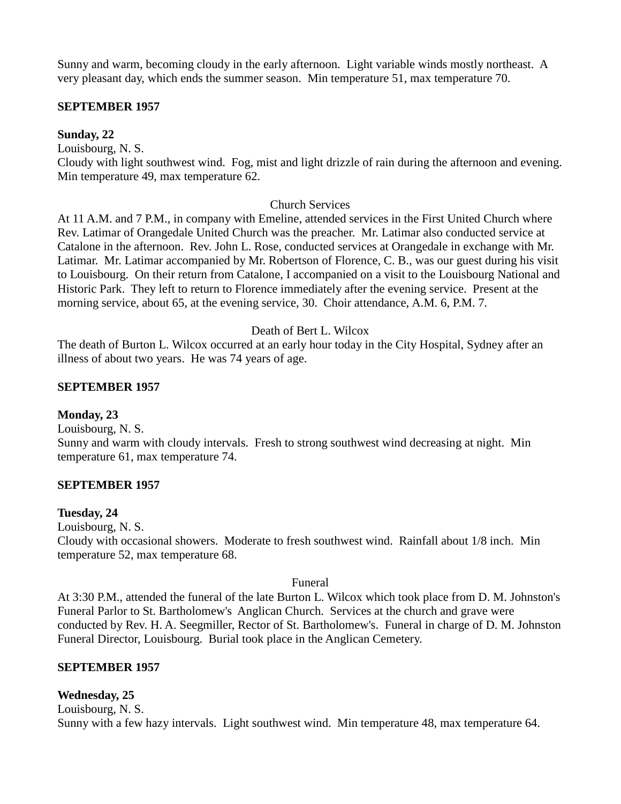Sunny and warm, becoming cloudy in the early afternoon. Light variable winds mostly northeast. A very pleasant day, which ends the summer season. Min temperature 51, max temperature 70.

### **SEPTEMBER 1957**

**Sunday, 22**

Louisbourg, N. S.

Cloudy with light southwest wind. Fog, mist and light drizzle of rain during the afternoon and evening. Min temperature 49, max temperature 62.

### Church Services

At 11 A.M. and 7 P.M., in company with Emeline, attended services in the First United Church where Rev. Latimar of Orangedale United Church was the preacher. Mr. Latimar also conducted service at Catalone in the afternoon. Rev. John L. Rose, conducted services at Orangedale in exchange with Mr. Latimar. Mr. Latimar accompanied by Mr. Robertson of Florence, C. B., was our guest during his visit to Louisbourg. On their return from Catalone, I accompanied on a visit to the Louisbourg National and Historic Park. They left to return to Florence immediately after the evening service. Present at the morning service, about 65, at the evening service, 30. Choir attendance, A.M. 6, P.M. 7.

### Death of Bert L. Wilcox

The death of Burton L. Wilcox occurred at an early hour today in the City Hospital, Sydney after an illness of about two years. He was 74 years of age.

### **SEPTEMBER 1957**

### **Monday, 23**

Louisbourg, N. S.

Sunny and warm with cloudy intervals. Fresh to strong southwest wind decreasing at night. Min temperature 61, max temperature 74.

### **SEPTEMBER 1957**

### **Tuesday, 24**

Louisbourg, N. S.

Cloudy with occasional showers. Moderate to fresh southwest wind. Rainfall about 1/8 inch. Min temperature 52, max temperature 68.

### Funeral

At 3:30 P.M., attended the funeral of the late Burton L. Wilcox which took place from D. M. Johnston's Funeral Parlor to St. Bartholomew's Anglican Church. Services at the church and grave were conducted by Rev. H. A. Seegmiller, Rector of St. Bartholomew's. Funeral in charge of D. M. Johnston Funeral Director, Louisbourg. Burial took place in the Anglican Cemetery.

# **SEPTEMBER 1957**

# **Wednesday, 25**

Louisbourg, N. S. Sunny with a few hazy intervals. Light southwest wind. Min temperature 48, max temperature 64.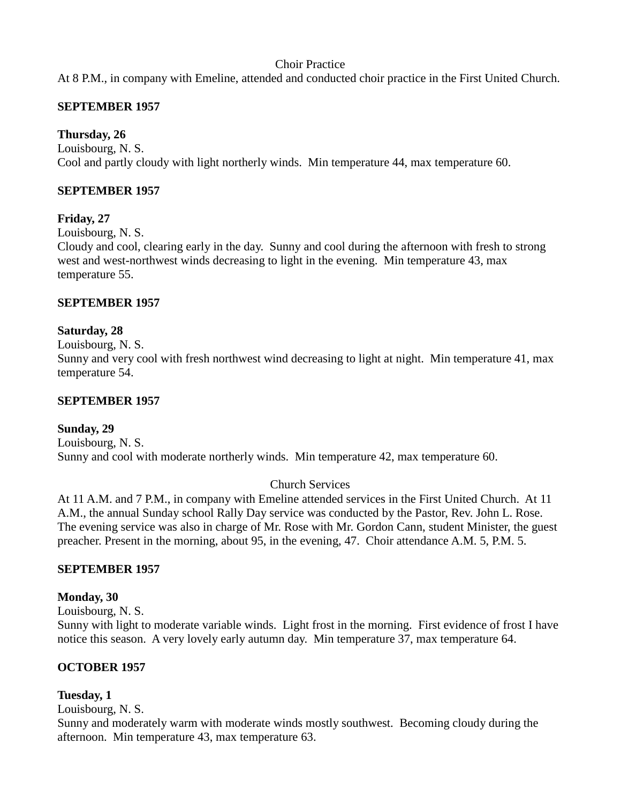# Choir Practice

At 8 P.M., in company with Emeline, attended and conducted choir practice in the First United Church.

# **SEPTEMBER 1957**

# **Thursday, 26**

Louisbourg, N. S. Cool and partly cloudy with light northerly winds. Min temperature 44, max temperature 60.

#### **SEPTEMBER 1957**

# **Friday, 27**

Louisbourg, N. S.

Cloudy and cool, clearing early in the day. Sunny and cool during the afternoon with fresh to strong west and west-northwest winds decreasing to light in the evening. Min temperature 43, max temperature 55.

#### **SEPTEMBER 1957**

#### **Saturday, 28**

Louisbourg, N. S.

Sunny and very cool with fresh northwest wind decreasing to light at night. Min temperature 41, max temperature 54.

#### **SEPTEMBER 1957**

# **Sunday, 29**

Louisbourg, N. S. Sunny and cool with moderate northerly winds. Min temperature 42, max temperature 60.

# Church Services

At 11 A.M. and 7 P.M., in company with Emeline attended services in the First United Church. At 11 A.M., the annual Sunday school Rally Day service was conducted by the Pastor, Rev. John L. Rose. The evening service was also in charge of Mr. Rose with Mr. Gordon Cann, student Minister, the guest preacher. Present in the morning, about 95, in the evening, 47. Choir attendance A.M. 5, P.M. 5.

# **SEPTEMBER 1957**

#### **Monday, 30**

Louisbourg, N. S.

Sunny with light to moderate variable winds. Light frost in the morning. First evidence of frost I have notice this season. A very lovely early autumn day. Min temperature 37, max temperature 64.

# **OCTOBER 1957**

#### **Tuesday, 1**

Louisbourg, N. S.

Sunny and moderately warm with moderate winds mostly southwest. Becoming cloudy during the afternoon. Min temperature 43, max temperature 63.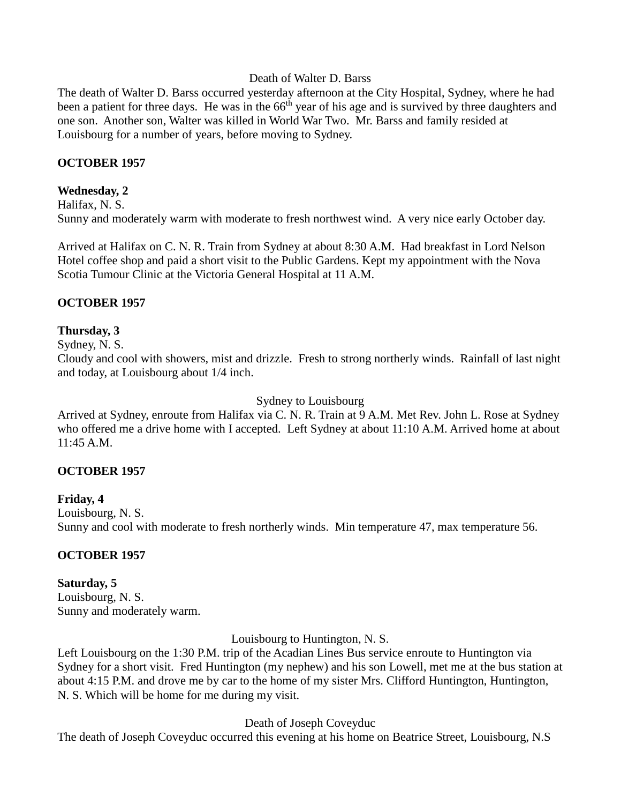#### Death of Walter D. Barss

The death of Walter D. Barss occurred yesterday afternoon at the City Hospital, Sydney, where he had been a patient for three days. He was in the 66<sup>th</sup> year of his age and is survived by three daughters and one son. Another son, Walter was killed in World War Two. Mr. Barss and family resided at Louisbourg for a number of years, before moving to Sydney.

#### **OCTOBER 1957**

#### **Wednesday, 2**

Halifax, N. S. Sunny and moderately warm with moderate to fresh northwest wind. A very nice early October day.

Arrived at Halifax on C. N. R. Train from Sydney at about 8:30 A.M. Had breakfast in Lord Nelson Hotel coffee shop and paid a short visit to the Public Gardens. Kept my appointment with the Nova Scotia Tumour Clinic at the Victoria General Hospital at 11 A.M.

#### **OCTOBER 1957**

#### **Thursday, 3**

Sydney, N. S.

Cloudy and cool with showers, mist and drizzle. Fresh to strong northerly winds. Rainfall of last night and today, at Louisbourg about 1/4 inch.

Sydney to Louisbourg

Arrived at Sydney, enroute from Halifax via C. N. R. Train at 9 A.M. Met Rev. John L. Rose at Sydney who offered me a drive home with I accepted. Left Sydney at about 11:10 A.M. Arrived home at about 11:45 A.M.

#### **OCTOBER 1957**

# **Friday, 4**

Louisbourg, N. S. Sunny and cool with moderate to fresh northerly winds. Min temperature 47, max temperature 56.

# **OCTOBER 1957**

# **Saturday, 5**

Louisbourg, N. S. Sunny and moderately warm.

Louisbourg to Huntington, N. S.

Left Louisbourg on the 1:30 P.M. trip of the Acadian Lines Bus service enroute to Huntington via Sydney for a short visit. Fred Huntington (my nephew) and his son Lowell, met me at the bus station at about 4:15 P.M. and drove me by car to the home of my sister Mrs. Clifford Huntington, Huntington, N. S. Which will be home for me during my visit.

Death of Joseph Coveyduc

The death of Joseph Coveyduc occurred this evening at his home on Beatrice Street, Louisbourg, N.S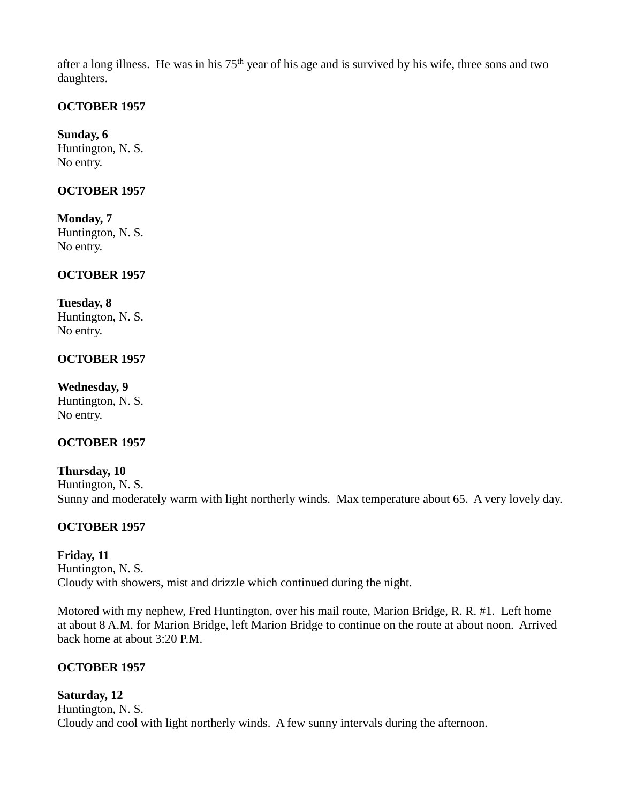after a long illness. He was in his  $75<sup>th</sup>$  year of his age and is survived by his wife, three sons and two daughters.

# **OCTOBER 1957**

**Sunday, 6** Huntington, N. S. No entry.

#### **OCTOBER 1957**

**Monday, 7** Huntington, N. S. No entry.

#### **OCTOBER 1957**

#### **Tuesday, 8**

Huntington, N. S. No entry.

#### **OCTOBER 1957**

**Wednesday, 9** Huntington, N. S. No entry.

# **OCTOBER 1957**

**Thursday, 10** Huntington, N. S. Sunny and moderately warm with light northerly winds. Max temperature about 65. A very lovely day.

# **OCTOBER 1957**

# **Friday, 11** Huntington, N. S. Cloudy with showers, mist and drizzle which continued during the night.

Motored with my nephew, Fred Huntington, over his mail route, Marion Bridge, R. R. #1. Left home at about 8 A.M. for Marion Bridge, left Marion Bridge to continue on the route at about noon. Arrived back home at about 3:20 P.M.

# **OCTOBER 1957**

# **Saturday, 12**

Huntington, N. S. Cloudy and cool with light northerly winds. A few sunny intervals during the afternoon.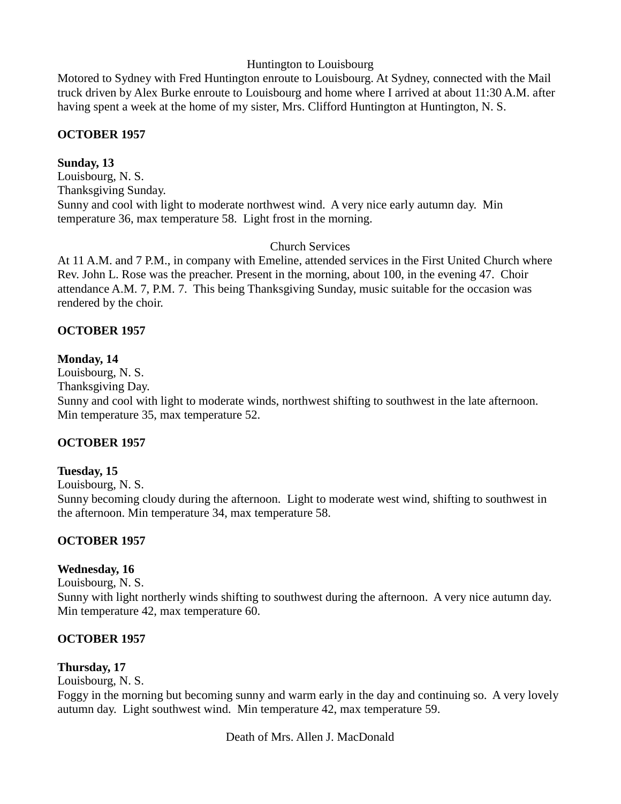# Huntington to Louisbourg

Motored to Sydney with Fred Huntington enroute to Louisbourg. At Sydney, connected with the Mail truck driven by Alex Burke enroute to Louisbourg and home where I arrived at about 11:30 A.M. after having spent a week at the home of my sister, Mrs. Clifford Huntington at Huntington, N. S.

# **OCTOBER 1957**

#### **Sunday, 13**

Louisbourg, N. S. Thanksgiving Sunday. Sunny and cool with light to moderate northwest wind. A very nice early autumn day. Min temperature 36, max temperature 58. Light frost in the morning.

# Church Services

At 11 A.M. and 7 P.M., in company with Emeline, attended services in the First United Church where Rev. John L. Rose was the preacher. Present in the morning, about 100, in the evening 47. Choir attendance A.M. 7, P.M. 7. This being Thanksgiving Sunday, music suitable for the occasion was rendered by the choir.

#### **OCTOBER 1957**

#### **Monday, 14**

Louisbourg, N. S.

Thanksgiving Day.

Sunny and cool with light to moderate winds, northwest shifting to southwest in the late afternoon. Min temperature 35, max temperature 52.

# **OCTOBER 1957**

#### **Tuesday, 15**

Louisbourg, N. S.

Sunny becoming cloudy during the afternoon. Light to moderate west wind, shifting to southwest in the afternoon. Min temperature 34, max temperature 58.

# **OCTOBER 1957**

# **Wednesday, 16**

Louisbourg, N. S.

Sunny with light northerly winds shifting to southwest during the afternoon. A very nice autumn day. Min temperature 42, max temperature 60.

# **OCTOBER 1957**

# **Thursday, 17**

Louisbourg, N. S.

Foggy in the morning but becoming sunny and warm early in the day and continuing so. A very lovely autumn day. Light southwest wind. Min temperature 42, max temperature 59.

Death of Mrs. Allen J. MacDonald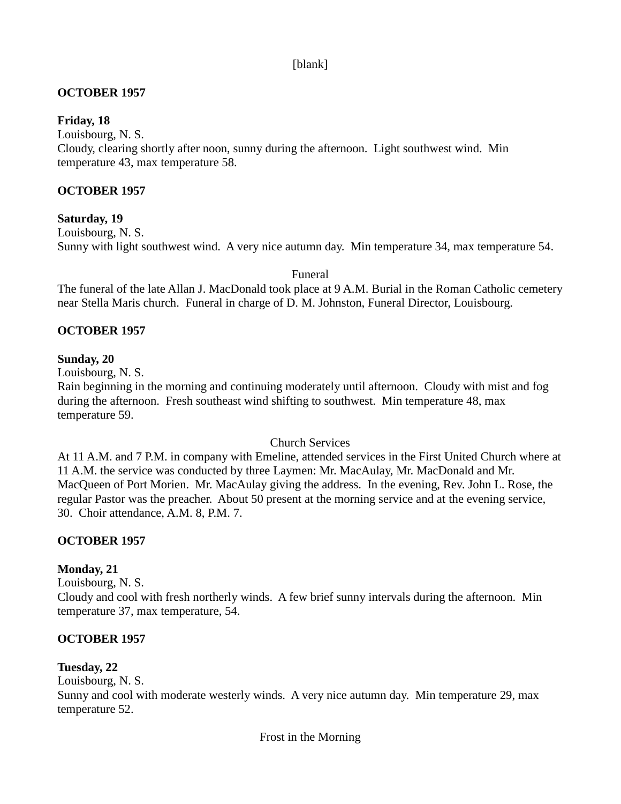# [blank]

# **OCTOBER 1957**

#### **Friday, 18**

Louisbourg, N. S.

Cloudy, clearing shortly after noon, sunny during the afternoon. Light southwest wind. Min temperature 43, max temperature 58.

#### **OCTOBER 1957**

#### **Saturday, 19**

Louisbourg, N. S. Sunny with light southwest wind. A very nice autumn day. Min temperature 34, max temperature 54.

Funeral

The funeral of the late Allan J. MacDonald took place at 9 A.M. Burial in the Roman Catholic cemetery near Stella Maris church. Funeral in charge of D. M. Johnston, Funeral Director, Louisbourg.

#### **OCTOBER 1957**

#### **Sunday, 20**

Louisbourg, N. S.

Rain beginning in the morning and continuing moderately until afternoon. Cloudy with mist and fog during the afternoon. Fresh southeast wind shifting to southwest. Min temperature 48, max temperature 59.

#### Church Services

At 11 A.M. and 7 P.M. in company with Emeline, attended services in the First United Church where at 11 A.M. the service was conducted by three Laymen: Mr. MacAulay, Mr. MacDonald and Mr. MacQueen of Port Morien. Mr. MacAulay giving the address. In the evening, Rev. John L. Rose, the regular Pastor was the preacher. About 50 present at the morning service and at the evening service, 30. Choir attendance, A.M. 8, P.M. 7.

# **OCTOBER 1957**

# **Monday, 21**

Louisbourg, N. S.

Cloudy and cool with fresh northerly winds. A few brief sunny intervals during the afternoon. Min temperature 37, max temperature, 54.

#### **OCTOBER 1957**

# **Tuesday, 22**

Louisbourg, N. S.

Sunny and cool with moderate westerly winds. A very nice autumn day. Min temperature 29, max temperature 52.

Frost in the Morning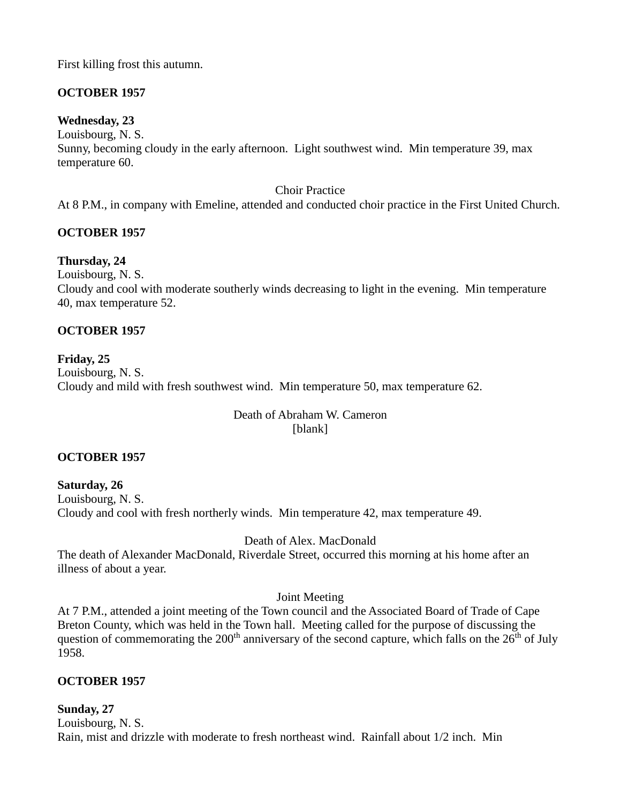First killing frost this autumn.

# **OCTOBER 1957**

#### **Wednesday, 23**

Louisbourg, N. S.

Sunny, becoming cloudy in the early afternoon. Light southwest wind. Min temperature 39, max temperature 60.

#### Choir Practice

At 8 P.M., in company with Emeline, attended and conducted choir practice in the First United Church.

# **OCTOBER 1957**

# **Thursday, 24**

Louisbourg, N. S.

Cloudy and cool with moderate southerly winds decreasing to light in the evening. Min temperature 40, max temperature 52.

# **OCTOBER 1957**

# **Friday, 25**

Louisbourg, N. S. Cloudy and mild with fresh southwest wind. Min temperature 50, max temperature 62.

#### Death of Abraham W. Cameron [blank]

# **OCTOBER 1957**

**Saturday, 26** Louisbourg, N. S. Cloudy and cool with fresh northerly winds. Min temperature 42, max temperature 49.

Death of Alex. MacDonald

The death of Alexander MacDonald, Riverdale Street, occurred this morning at his home after an illness of about a year.

# Joint Meeting

At 7 P.M., attended a joint meeting of the Town council and the Associated Board of Trade of Cape Breton County, which was held in the Town hall. Meeting called for the purpose of discussing the question of commemorating the 200<sup>th</sup> anniversary of the second capture, which falls on the  $26<sup>th</sup>$  of July 1958.

# **OCTOBER 1957**

#### **Sunday, 27** Louisbourg, N. S. Rain, mist and drizzle with moderate to fresh northeast wind. Rainfall about 1/2 inch. Min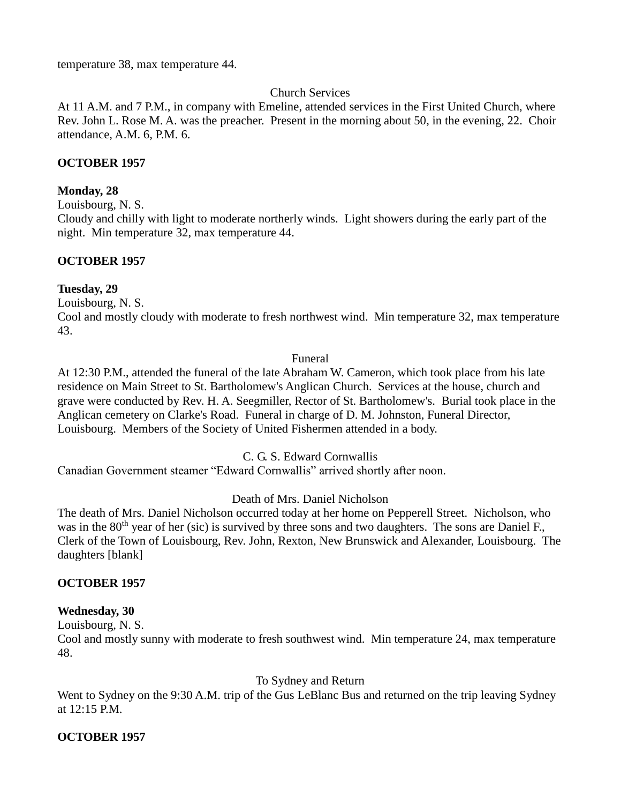temperature 38, max temperature 44.

#### Church Services

At 11 A.M. and 7 P.M., in company with Emeline, attended services in the First United Church, where Rev. John L. Rose M. A. was the preacher. Present in the morning about 50, in the evening, 22. Choir attendance, A.M. 6, P.M. 6.

#### **OCTOBER 1957**

#### **Monday, 28**

Louisbourg, N. S.

Cloudy and chilly with light to moderate northerly winds. Light showers during the early part of the night. Min temperature 32, max temperature 44.

#### **OCTOBER 1957**

#### **Tuesday, 29**

Louisbourg, N. S.

Cool and mostly cloudy with moderate to fresh northwest wind. Min temperature 32, max temperature 43.

#### Funeral

At 12:30 P.M., attended the funeral of the late Abraham W. Cameron, which took place from his late residence on Main Street to St. Bartholomew's Anglican Church. Services at the house, church and grave were conducted by Rev. H. A. Seegmiller, Rector of St. Bartholomew's. Burial took place in the Anglican cemetery on Clarke's Road. Funeral in charge of D. M. Johnston, Funeral Director, Louisbourg. Members of the Society of United Fishermen attended in a body.

C. G. S. Edward Cornwallis

Canadian Government steamer "Edward Cornwallis" arrived shortly after noon.

#### Death of Mrs. Daniel Nicholson

The death of Mrs. Daniel Nicholson occurred today at her home on Pepperell Street. Nicholson, who was in the 80<sup>th</sup> year of her (sic) is survived by three sons and two daughters. The sons are Daniel F., Clerk of the Town of Louisbourg, Rev. John, Rexton, New Brunswick and Alexander, Louisbourg. The daughters [blank]

#### **OCTOBER 1957**

#### **Wednesday, 30**

Louisbourg, N. S.

Cool and mostly sunny with moderate to fresh southwest wind. Min temperature 24, max temperature 48.

#### To Sydney and Return

Went to Sydney on the 9:30 A.M. trip of the Gus LeBlanc Bus and returned on the trip leaving Sydney at 12:15 P.M.

# **OCTOBER 1957**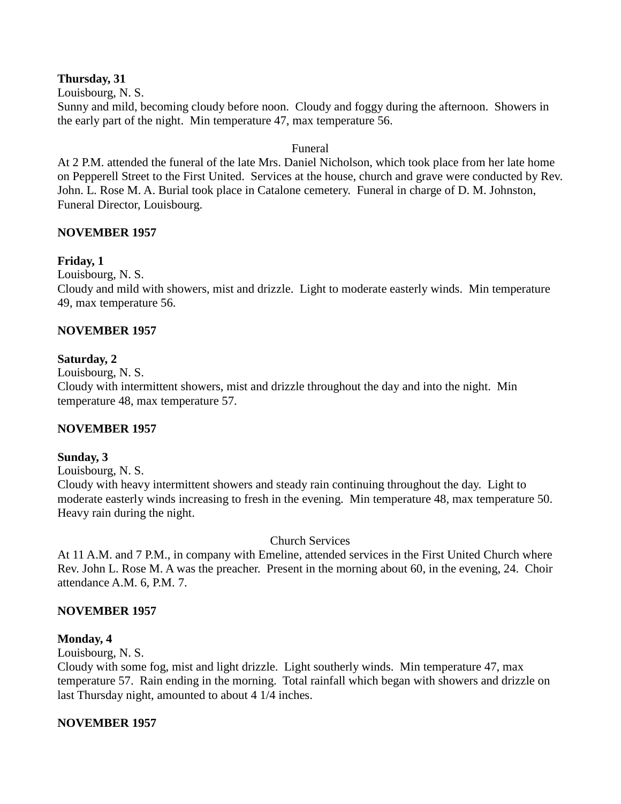#### **Thursday, 31**

Louisbourg, N. S.

Sunny and mild, becoming cloudy before noon. Cloudy and foggy during the afternoon. Showers in the early part of the night. Min temperature 47, max temperature 56.

#### Funeral

At 2 P.M. attended the funeral of the late Mrs. Daniel Nicholson, which took place from her late home on Pepperell Street to the First United. Services at the house, church and grave were conducted by Rev. John. L. Rose M. A. Burial took place in Catalone cemetery. Funeral in charge of D. M. Johnston, Funeral Director, Louisbourg.

#### **NOVEMBER 1957**

#### **Friday, 1**

Louisbourg, N. S.

Cloudy and mild with showers, mist and drizzle. Light to moderate easterly winds. Min temperature 49, max temperature 56.

# **NOVEMBER 1957**

#### **Saturday, 2**

Louisbourg, N. S.

Cloudy with intermittent showers, mist and drizzle throughout the day and into the night. Min temperature 48, max temperature 57.

# **NOVEMBER 1957**

#### **Sunday, 3**

Louisbourg, N. S.

Cloudy with heavy intermittent showers and steady rain continuing throughout the day. Light to moderate easterly winds increasing to fresh in the evening. Min temperature 48, max temperature 50. Heavy rain during the night.

#### Church Services

At 11 A.M. and 7 P.M., in company with Emeline, attended services in the First United Church where Rev. John L. Rose M. A was the preacher. Present in the morning about 60, in the evening, 24. Choir attendance A.M. 6, P.M. 7.

# **NOVEMBER 1957**

#### **Monday, 4**

Louisbourg, N. S.

Cloudy with some fog, mist and light drizzle. Light southerly winds. Min temperature 47, max temperature 57. Rain ending in the morning. Total rainfall which began with showers and drizzle on last Thursday night, amounted to about 4 1/4 inches.

# **NOVEMBER 1957**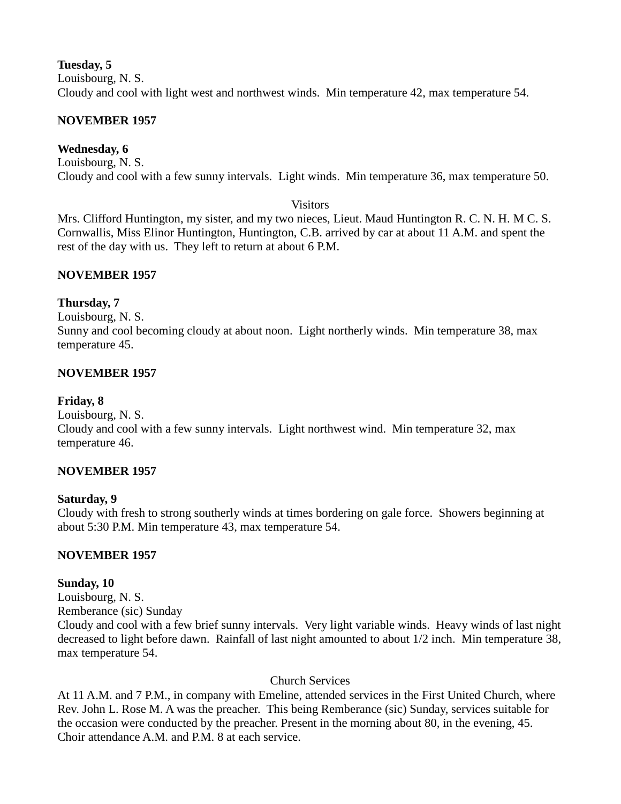# **Tuesday, 5**

Louisbourg, N. S.

Cloudy and cool with light west and northwest winds. Min temperature 42, max temperature 54.

# **NOVEMBER 1957**

# **Wednesday, 6**

Louisbourg, N. S. Cloudy and cool with a few sunny intervals. Light winds. Min temperature 36, max temperature 50.

#### **Visitors**

Mrs. Clifford Huntington, my sister, and my two nieces, Lieut. Maud Huntington R. C. N. H. M C. S. Cornwallis, Miss Elinor Huntington, Huntington, C.B. arrived by car at about 11 A.M. and spent the rest of the day with us. They left to return at about 6 P.M.

# **NOVEMBER 1957**

# **Thursday, 7**

Louisbourg, N. S. Sunny and cool becoming cloudy at about noon. Light northerly winds. Min temperature 38, max temperature 45.

# **NOVEMBER 1957**

# **Friday, 8**

Louisbourg, N. S.

Cloudy and cool with a few sunny intervals. Light northwest wind. Min temperature 32, max temperature 46.

# **NOVEMBER 1957**

# **Saturday, 9**

Cloudy with fresh to strong southerly winds at times bordering on gale force. Showers beginning at about 5:30 P.M. Min temperature 43, max temperature 54.

# **NOVEMBER 1957**

# **Sunday, 10**

Louisbourg, N. S. Remberance (sic) Sunday Cloudy and cool with a few brief sunny intervals. Very light variable winds. Heavy winds of last night decreased to light before dawn. Rainfall of last night amounted to about 1/2 inch. Min temperature 38, max temperature 54.

# Church Services

At 11 A.M. and 7 P.M., in company with Emeline, attended services in the First United Church, where Rev. John L. Rose M. A was the preacher. This being Remberance (sic) Sunday, services suitable for the occasion were conducted by the preacher. Present in the morning about 80, in the evening, 45. Choir attendance A.M. and P.M. 8 at each service.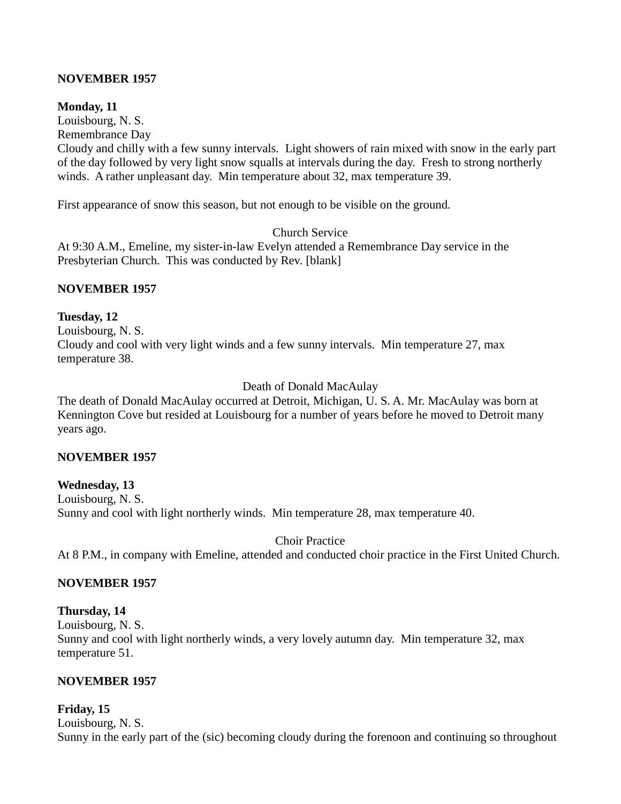# **NOVEMBER 1957**

# **Monday, 11**

Louisbourg, N. S.

Remembrance Day

Cloudy and chilly with a few sunny intervals. Light showers of rain mixed with snow in the early part of the day followed by very light snow squalls at intervals during the day. Fresh to strong northerly winds. A rather unpleasant day. Min temperature about 32, max temperature 39.

First appearance of snow this season, but not enough to be visible on the ground.

#### Church Service

At 9:30 A.M., Emeline, my sister-in-law Evelyn attended a Remembrance Day service in the Presbyterian Church. This was conducted by Rev. [blank]

# **NOVEMBER 1957**

# **Tuesday, 12**

Louisbourg, N. S. Cloudy and cool with very light winds and a few sunny intervals. Min temperature 27, max temperature 38.

# Death of Donald MacAulay

The death of Donald MacAulay occurred at Detroit, Michigan, U. S. A. Mr. MacAulay was born at Kennington Cove but resided at Louisbourg for a number of years before he moved to Detroit many years ago.

# **NOVEMBER 1957**

**Wednesday, 13** Louisbourg, N. S. Sunny and cool with light northerly winds. Min temperature 28, max temperature 40.

Choir Practice At 8 P.M., in company with Emeline, attended and conducted choir practice in the First United Church.

# **NOVEMBER 1957**

# **Thursday, 14**

Louisbourg, N. S. Sunny and cool with light northerly winds, a very lovely autumn day. Min temperature 32, max temperature 51.

# **NOVEMBER 1957**

# **Friday, 15**

Louisbourg, N. S. Sunny in the early part of the (sic) becoming cloudy during the forenoon and continuing so throughout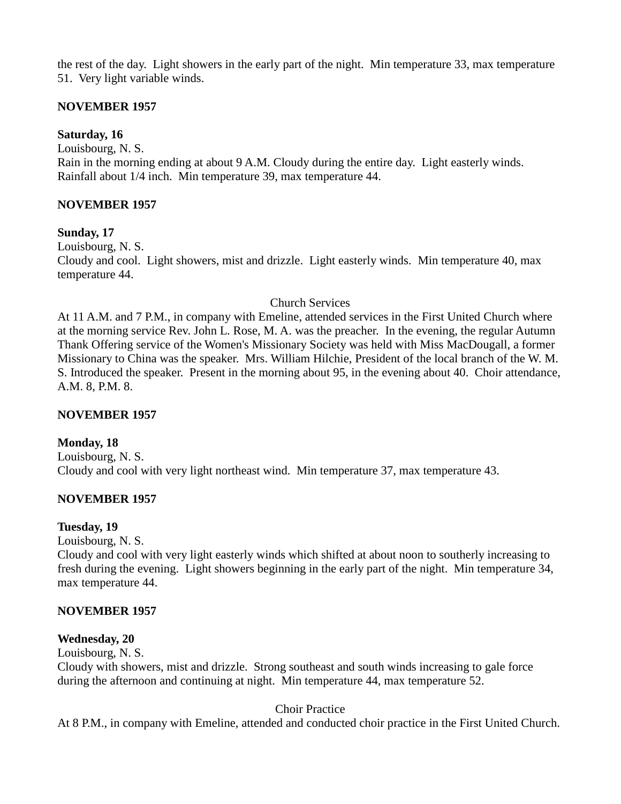the rest of the day. Light showers in the early part of the night. Min temperature 33, max temperature 51. Very light variable winds.

# **NOVEMBER 1957**

# **Saturday, 16**

Louisbourg, N. S.

Rain in the morning ending at about 9 A.M. Cloudy during the entire day. Light easterly winds. Rainfall about 1/4 inch. Min temperature 39, max temperature 44.

# **NOVEMBER 1957**

# **Sunday, 17**

Louisbourg, N. S.

Cloudy and cool. Light showers, mist and drizzle. Light easterly winds. Min temperature 40, max temperature 44.

# Church Services

At 11 A.M. and 7 P.M., in company with Emeline, attended services in the First United Church where at the morning service Rev. John L. Rose, M. A. was the preacher. In the evening, the regular Autumn Thank Offering service of the Women's Missionary Society was held with Miss MacDougall, a former Missionary to China was the speaker. Mrs. William Hilchie, President of the local branch of the W. M. S. Introduced the speaker. Present in the morning about 95, in the evening about 40. Choir attendance, A.M. 8, P.M. 8.

# **NOVEMBER 1957**

# **Monday, 18**

Louisbourg, N. S. Cloudy and cool with very light northeast wind. Min temperature 37, max temperature 43.

# **NOVEMBER 1957**

# **Tuesday, 19**

Louisbourg, N. S.

Cloudy and cool with very light easterly winds which shifted at about noon to southerly increasing to fresh during the evening. Light showers beginning in the early part of the night. Min temperature 34, max temperature 44.

# **NOVEMBER 1957**

# **Wednesday, 20**

Louisbourg, N. S.

Cloudy with showers, mist and drizzle. Strong southeast and south winds increasing to gale force during the afternoon and continuing at night. Min temperature 44, max temperature 52.

# Choir Practice

At 8 P.M., in company with Emeline, attended and conducted choir practice in the First United Church.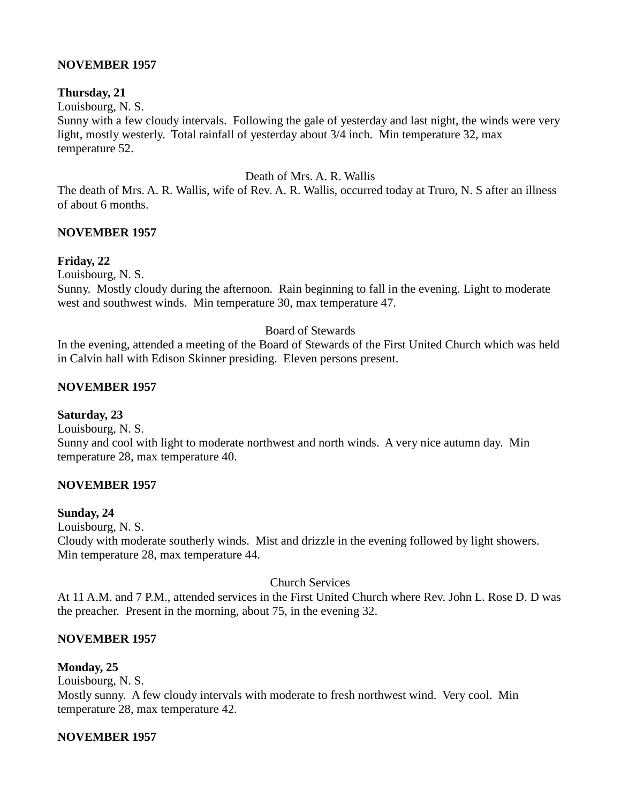#### **NOVEMBER 1957**

#### **Thursday, 21**

Louisbourg, N. S.

Sunny with a few cloudy intervals. Following the gale of yesterday and last night, the winds were very light, mostly westerly. Total rainfall of yesterday about 3/4 inch. Min temperature 32, max temperature 52.

Death of Mrs. A. R. Wallis

The death of Mrs. A. R. Wallis, wife of Rev. A. R. Wallis, occurred today at Truro, N. S after an illness of about 6 months.

#### **NOVEMBER 1957**

# **Friday, 22**

Louisbourg, N. S.

Sunny. Mostly cloudy during the afternoon. Rain beginning to fall in the evening. Light to moderate west and southwest winds. Min temperature 30, max temperature 47.

#### Board of Stewards

In the evening, attended a meeting of the Board of Stewards of the First United Church which was held in Calvin hall with Edison Skinner presiding. Eleven persons present.

# **NOVEMBER 1957**

#### **Saturday, 23**

Louisbourg, N. S. Sunny and cool with light to moderate northwest and north winds. A very nice autumn day. Min temperature 28, max temperature 40.

# **NOVEMBER 1957**

#### **Sunday, 24**

Louisbourg, N. S.

Cloudy with moderate southerly winds. Mist and drizzle in the evening followed by light showers. Min temperature 28, max temperature 44.

Church Services

At 11 A.M. and 7 P.M., attended services in the First United Church where Rev. John L. Rose D. D was the preacher. Present in the morning, about 75, in the evening 32.

# **NOVEMBER 1957**

# **Monday, 25**

Louisbourg, N. S.

Mostly sunny. A few cloudy intervals with moderate to fresh northwest wind. Very cool. Min temperature 28, max temperature 42.

# **NOVEMBER 1957**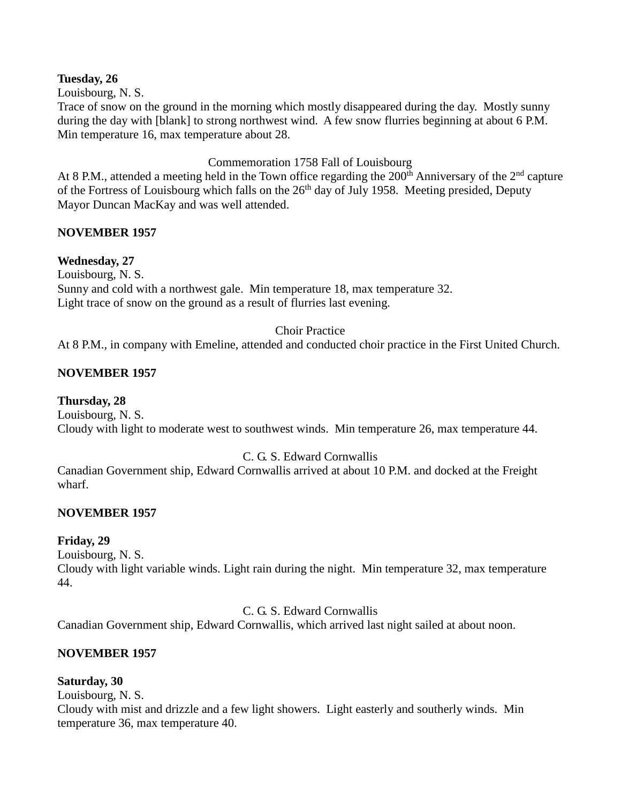#### **Tuesday, 26**

Louisbourg, N. S.

Trace of snow on the ground in the morning which mostly disappeared during the day. Mostly sunny during the day with [blank] to strong northwest wind. A few snow flurries beginning at about 6 P.M. Min temperature 16, max temperature about 28.

# Commemoration 1758 Fall of Louisbourg

At 8 P.M., attended a meeting held in the Town office regarding the  $200<sup>th</sup>$  Anniversary of the  $2<sup>nd</sup>$  capture of the Fortress of Louisbourg which falls on the 26<sup>th</sup> day of July 1958. Meeting presided, Deputy Mayor Duncan MacKay and was well attended.

# **NOVEMBER 1957**

# **Wednesday, 27**

Louisbourg, N. S. Sunny and cold with a northwest gale. Min temperature 18, max temperature 32. Light trace of snow on the ground as a result of flurries last evening.

#### Choir Practice

At 8 P.M., in company with Emeline, attended and conducted choir practice in the First United Church.

# **NOVEMBER 1957**

# **Thursday, 28**

Louisbourg, N. S. Cloudy with light to moderate west to southwest winds. Min temperature 26, max temperature 44.

# C. G. S. Edward Cornwallis

Canadian Government ship, Edward Cornwallis arrived at about 10 P.M. and docked at the Freight wharf.

# **NOVEMBER 1957**

# **Friday, 29**

Louisbourg, N. S.

Cloudy with light variable winds. Light rain during the night. Min temperature 32, max temperature 44.

# C. G. S. Edward Cornwallis

Canadian Government ship, Edward Cornwallis, which arrived last night sailed at about noon.

# **NOVEMBER 1957**

# **Saturday, 30**

Louisbourg, N. S.

Cloudy with mist and drizzle and a few light showers. Light easterly and southerly winds. Min temperature 36, max temperature 40.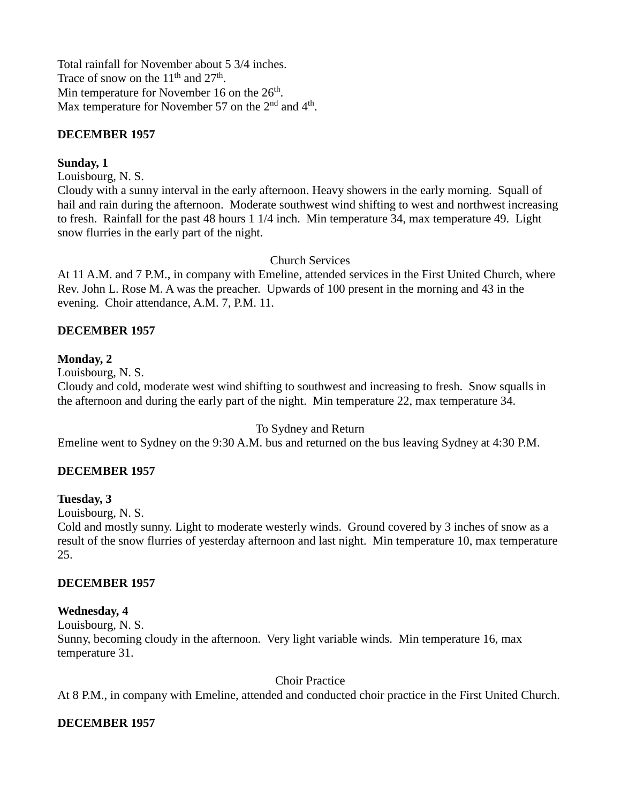Total rainfall for November about 5 3/4 inches. Trace of snow on the  $11<sup>th</sup>$  and  $27<sup>th</sup>$ . Min temperature for November 16 on the 26<sup>th</sup>. Max temperature for November 57 on the  $2<sup>nd</sup>$  and  $4<sup>th</sup>$ .

# **DECEMBER 1957**

#### **Sunday, 1**

Louisbourg, N. S.

Cloudy with a sunny interval in the early afternoon. Heavy showers in the early morning. Squall of hail and rain during the afternoon. Moderate southwest wind shifting to west and northwest increasing to fresh. Rainfall for the past 48 hours 1 1/4 inch. Min temperature 34, max temperature 49. Light snow flurries in the early part of the night.

#### Church Services

At 11 A.M. and 7 P.M., in company with Emeline, attended services in the First United Church, where Rev. John L. Rose M. A was the preacher. Upwards of 100 present in the morning and 43 in the evening. Choir attendance, A.M. 7, P.M. 11.

#### **DECEMBER 1957**

#### **Monday, 2**

Louisbourg, N. S.

Cloudy and cold, moderate west wind shifting to southwest and increasing to fresh. Snow squalls in the afternoon and during the early part of the night. Min temperature 22, max temperature 34.

#### To Sydney and Return

Emeline went to Sydney on the 9:30 A.M. bus and returned on the bus leaving Sydney at 4:30 P.M.

#### **DECEMBER 1957**

#### **Tuesday, 3**

Louisbourg, N. S.

Cold and mostly sunny. Light to moderate westerly winds. Ground covered by 3 inches of snow as a result of the snow flurries of yesterday afternoon and last night. Min temperature 10, max temperature 25.

#### **DECEMBER 1957**

#### **Wednesday, 4**

Louisbourg, N. S.

Sunny, becoming cloudy in the afternoon. Very light variable winds. Min temperature 16, max temperature 31.

#### Choir Practice

At 8 P.M., in company with Emeline, attended and conducted choir practice in the First United Church.

#### **DECEMBER 1957**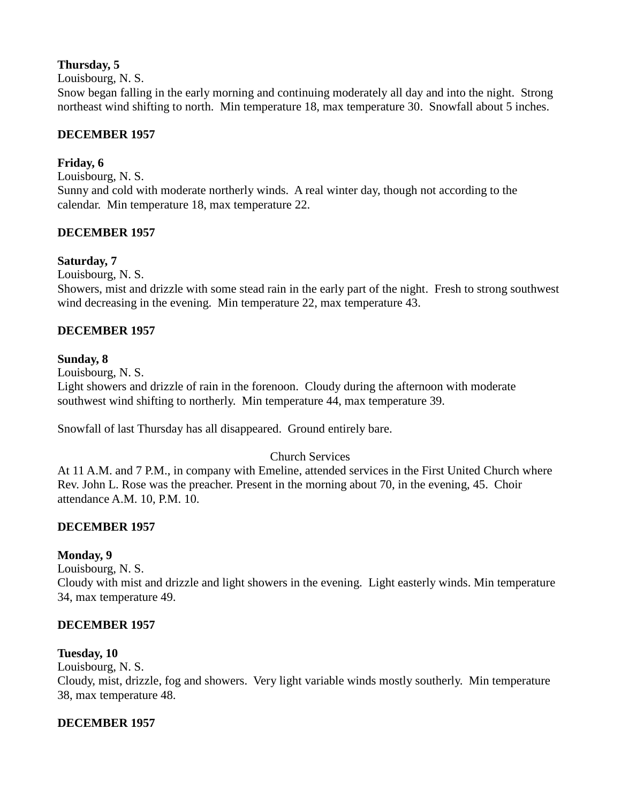# **Thursday, 5**

Louisbourg, N. S.

Snow began falling in the early morning and continuing moderately all day and into the night. Strong northeast wind shifting to north. Min temperature 18, max temperature 30. Snowfall about 5 inches.

# **DECEMBER 1957**

# **Friday, 6**

Louisbourg, N. S. Sunny and cold with moderate northerly winds. A real winter day, though not according to the calendar. Min temperature 18, max temperature 22.

# **DECEMBER 1957**

# **Saturday, 7**

Louisbourg, N. S.

Showers, mist and drizzle with some stead rain in the early part of the night. Fresh to strong southwest wind decreasing in the evening. Min temperature 22, max temperature 43.

# **DECEMBER 1957**

# **Sunday, 8**

Louisbourg, N. S.

Light showers and drizzle of rain in the forenoon. Cloudy during the afternoon with moderate southwest wind shifting to northerly. Min temperature 44, max temperature 39.

Snowfall of last Thursday has all disappeared. Ground entirely bare.

# Church Services

At 11 A.M. and 7 P.M., in company with Emeline, attended services in the First United Church where Rev. John L. Rose was the preacher. Present in the morning about 70, in the evening, 45. Choir attendance A.M. 10, P.M. 10.

# **DECEMBER 1957**

# **Monday, 9**

Louisbourg, N. S.

Cloudy with mist and drizzle and light showers in the evening. Light easterly winds. Min temperature 34, max temperature 49.

# **DECEMBER 1957**

# **Tuesday, 10**

Louisbourg, N. S. Cloudy, mist, drizzle, fog and showers. Very light variable winds mostly southerly. Min temperature 38, max temperature 48.

# **DECEMBER 1957**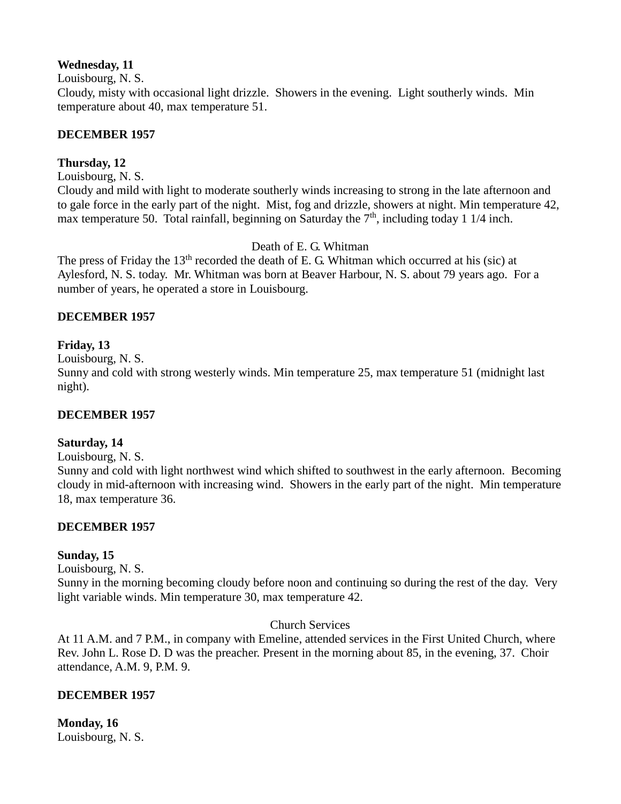#### **Wednesday, 11**

Louisbourg, N. S.

Cloudy, misty with occasional light drizzle. Showers in the evening. Light southerly winds. Min temperature about 40, max temperature 51.

# **DECEMBER 1957**

# **Thursday, 12**

Louisbourg, N. S.

Cloudy and mild with light to moderate southerly winds increasing to strong in the late afternoon and to gale force in the early part of the night. Mist, fog and drizzle, showers at night. Min temperature 42, max temperature 50. Total rainfall, beginning on Saturday the  $7<sup>th</sup>$ , including today 1 1/4 inch.

Death of E. G. Whitman

The press of Friday the  $13<sup>th</sup>$  recorded the death of E. G. Whitman which occurred at his (sic) at Aylesford, N. S. today. Mr. Whitman was born at Beaver Harbour, N. S. about 79 years ago. For a number of years, he operated a store in Louisbourg.

# **DECEMBER 1957**

# **Friday, 13**

Louisbourg, N. S.

Sunny and cold with strong westerly winds. Min temperature 25, max temperature 51 (midnight last night).

# **DECEMBER 1957**

# **Saturday, 14**

Louisbourg, N. S.

Sunny and cold with light northwest wind which shifted to southwest in the early afternoon. Becoming cloudy in mid-afternoon with increasing wind. Showers in the early part of the night. Min temperature 18, max temperature 36.

# **DECEMBER 1957**

# **Sunday, 15**

Louisbourg, N. S.

Sunny in the morning becoming cloudy before noon and continuing so during the rest of the day. Very light variable winds. Min temperature 30, max temperature 42.

# Church Services

At 11 A.M. and 7 P.M., in company with Emeline, attended services in the First United Church, where Rev. John L. Rose D. D was the preacher. Present in the morning about 85, in the evening, 37. Choir attendance, A.M. 9, P.M. 9.

# **DECEMBER 1957**

**Monday, 16** Louisbourg, N. S.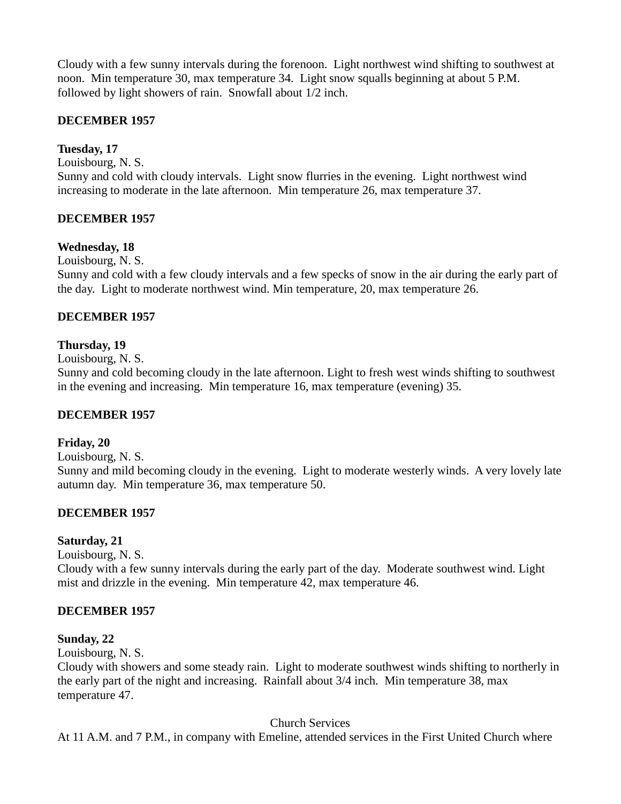Cloudy with a few sunny intervals during the forenoon. Light northwest wind shifting to southwest at noon. Min temperature 30, max temperature 34. Light snow squalls beginning at about 5 P.M. followed by light showers of rain. Snowfall about 1/2 inch.

# **DECEMBER 1957**

# **Tuesday, 17**

Louisbourg, N. S. Sunny and cold with cloudy intervals. Light snow flurries in the evening. Light northwest wind increasing to moderate in the late afternoon. Min temperature 26, max temperature 37.

# **DECEMBER 1957**

#### **Wednesday, 18**

Louisbourg, N. S.

Sunny and cold with a few cloudy intervals and a few specks of snow in the air during the early part of the day. Light to moderate northwest wind. Min temperature, 20, max temperature 26.

#### **DECEMBER 1957**

#### **Thursday, 19**

Louisbourg, N. S.

Sunny and cold becoming cloudy in the late afternoon. Light to fresh west winds shifting to southwest in the evening and increasing. Min temperature 16, max temperature (evening) 35.

#### **DECEMBER 1957**

#### **Friday, 20**

Louisbourg, N. S.

Sunny and mild becoming cloudy in the evening. Light to moderate westerly winds. A very lovely late autumn day. Min temperature 36, max temperature 50.

# **DECEMBER 1957**

#### **Saturday, 21**

Louisbourg, N. S.

Cloudy with a few sunny intervals during the early part of the day. Moderate southwest wind. Light mist and drizzle in the evening. Min temperature 42, max temperature 46.

# **DECEMBER 1957**

#### **Sunday, 22**

Louisbourg, N. S.

Cloudy with showers and some steady rain. Light to moderate southwest winds shifting to northerly in the early part of the night and increasing. Rainfall about 3/4 inch. Min temperature 38, max temperature 47.

Church Services

At 11 A.M. and 7 P.M., in company with Emeline, attended services in the First United Church where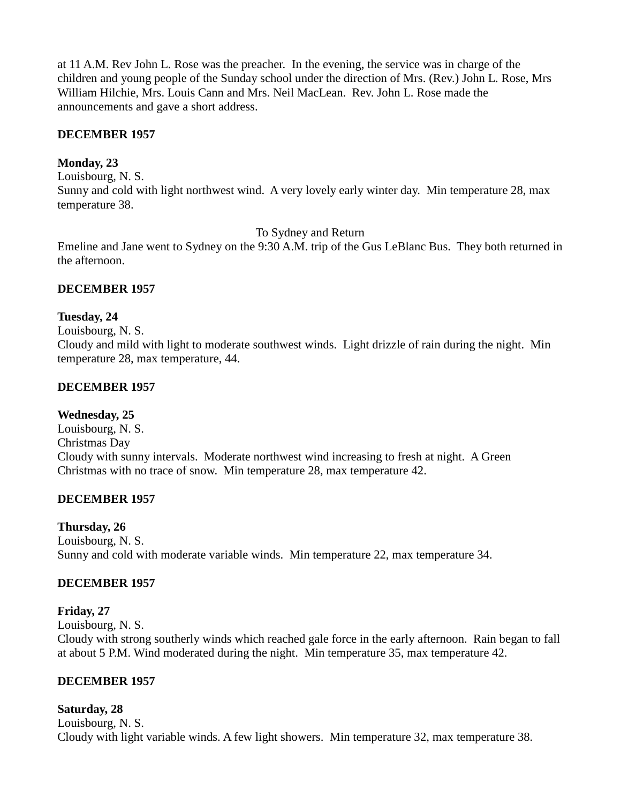at 11 A.M. Rev John L. Rose was the preacher. In the evening, the service was in charge of the children and young people of the Sunday school under the direction of Mrs. (Rev.) John L. Rose, Mrs William Hilchie, Mrs. Louis Cann and Mrs. Neil MacLean. Rev. John L. Rose made the announcements and gave a short address.

#### **DECEMBER 1957**

#### **Monday, 23**

Louisbourg, N. S. Sunny and cold with light northwest wind. A very lovely early winter day. Min temperature 28, max temperature 38.

To Sydney and Return

Emeline and Jane went to Sydney on the 9:30 A.M. trip of the Gus LeBlanc Bus. They both returned in the afternoon.

#### **DECEMBER 1957**

#### **Tuesday, 24**

Louisbourg, N. S.

Cloudy and mild with light to moderate southwest winds. Light drizzle of rain during the night. Min temperature 28, max temperature, 44.

#### **DECEMBER 1957**

#### **Wednesday, 25**

Louisbourg, N. S. Christmas Day Cloudy with sunny intervals. Moderate northwest wind increasing to fresh at night. A Green Christmas with no trace of snow. Min temperature 28, max temperature 42.

# **DECEMBER 1957**

#### **Thursday, 26**

Louisbourg, N. S. Sunny and cold with moderate variable winds. Min temperature 22, max temperature 34.

# **DECEMBER 1957**

#### **Friday, 27**

Louisbourg, N. S.

Cloudy with strong southerly winds which reached gale force in the early afternoon. Rain began to fall at about 5 P.M. Wind moderated during the night. Min temperature 35, max temperature 42.

# **DECEMBER 1957**

# **Saturday, 28**

Louisbourg, N. S. Cloudy with light variable winds. A few light showers. Min temperature 32, max temperature 38.